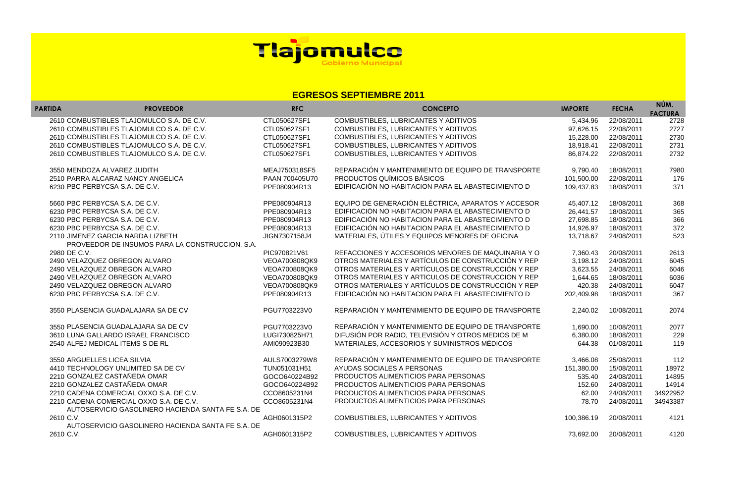| <b>IMPORTE</b> | <b>FECHA</b>          | NÚM.<br><b>FACTURA</b> |
|----------------|-----------------------|------------------------|
| 5,434.96       | 22/08/2011            | 2728                   |
| 97,626.15      | 22/08/2011            | 2727                   |
| 15,228.00      | 22/08/2011            | 2730                   |
| 18,918.41      | 22/08/2011            | 2731                   |
| 86,874.22      | 22/08/2011            | 2732                   |
| 9,790.40       | 18/08/2011            | 7980                   |
| 101,500.00     | 22/08/2011            | 176                    |
| 109,437.83     | 18/08/2011            | 371                    |
| 45,407.12      | 18/08/2011            | 368                    |
| 26,441.57      | 18/08/2011            | 365                    |
| 27,698.85      | 18/08/2011            | 366                    |
| 14,926.97      | 18/08/2011            | 372                    |
| 13,718.67      | 24/08/2011            | 523                    |
| 7,360.43       | 20/08/2011            | 2613                   |
| 3,198.12       | 24/08/2011            | 6045                   |
| 3,623.55       | 24/08/2011            | 6046                   |
| 1,644.65       | 18/08/2011            | 6036                   |
| 420.38         | 24/08/2011            | 6047                   |
| 202,409.98     | 18/08/2011            | 367                    |
| 2,240.02       | 10/08/2011            | 2074                   |
| 1,690.00       | 10/08/2011            | 2077                   |
| 6,380.00       | 18/08/2011            | 229                    |
| 644.38         | 01/08/2011            | 119                    |
| 3,466.08       | 25/08/2011            | 112                    |
| 151,380.00     | 15/08/2011            | 18972                  |
| 535.40         | 24/08/2011            | 14895                  |
|                | 152.60 24/08/2011     | 14914                  |
|                | 62.00 24/08/2011      | 34922952               |
|                | 78.70 24/08/2011      | 34943387               |
|                | 100,386.19 20/08/2011 | 4121                   |
|                | 73.692.00 20/08/2011  | 4120                   |

| <b>PARTIDA</b> | <b>PROVEEDOR</b>                                                                             | <b>RFC</b>     | <b>CONCEPTO</b>                                    | <b>IMPORTE</b> | <b>FECHA</b> | NÚM.<br><b>FACTURA</b> |
|----------------|----------------------------------------------------------------------------------------------|----------------|----------------------------------------------------|----------------|--------------|------------------------|
|                | 2610 COMBUSTIBLES TLAJOMULCO S.A. DE C.V.                                                    | CTL050627SF1   | COMBUSTIBLES, LUBRICANTES Y ADITIVOS               | 5,434.96       | 22/08/2011   | 2728                   |
|                | 2610 COMBUSTIBLES TLAJOMULCO S.A. DE C.V.                                                    | CTL050627SF1   | COMBUSTIBLES, LUBRICANTES Y ADITIVOS               | 97,626.15      | 22/08/2011   | 2727                   |
|                | 2610 COMBUSTIBLES TLAJOMULCO S.A. DE C.V.                                                    | CTL050627SF1   | COMBUSTIBLES, LUBRICANTES Y ADITIVOS               | 15,228.00      | 22/08/2011   | 2730                   |
|                | 2610 COMBUSTIBLES TLAJOMULCO S.A. DE C.V.                                                    | CTL050627SF1   | COMBUSTIBLES, LUBRICANTES Y ADITIVOS               | 18,918.41      | 22/08/2011   | 2731                   |
|                | 2610 COMBUSTIBLES TLAJOMULCO S.A. DE C.V.                                                    | CTL050627SF1   | COMBUSTIBLES, LUBRICANTES Y ADITIVOS               | 86,874.22      | 22/08/2011   | 2732                   |
|                | 3550 MENDOZA ALVAREZ JUDITH                                                                  | MEAJ750318SF5  | REPARACIÓN Y MANTENIMIENTO DE EQUIPO DE TRANSPORTE | 9,790.40       | 18/08/2011   | 7980                   |
|                | 2510 PARRA ALCARAZ NANCY ANGELICA                                                            | PAAN 700405U70 | PRODUCTOS QUÍMICOS BÁSICOS                         | 101,500.00     | 22/08/2011   | 176                    |
|                | 6230 PBC PERBYCSA S.A. DE C.V.                                                               | PPE080904R13   | EDIFICACIÓN NO HABITACION PARA EL ABASTECIMIENTO D | 109,437.83     | 18/08/2011   | 371                    |
|                | 5660 PBC PERBYCSA S.A. DE C.V.                                                               | PPE080904R13   | EQUIPO DE GENERACIÓN ELÉCTRICA, APARATOS Y ACCESOR | 45,407.12      | 18/08/2011   | 368                    |
|                | 6230 PBC PERBYCSA S.A. DE C.V.                                                               | PPE080904R13   | EDIFICACIÓN NO HABITACION PARA EL ABASTECIMIENTO D | 26,441.57      | 18/08/2011   | 365                    |
|                | 6230 PBC PERBYCSA S.A. DE C.V.                                                               | PPE080904R13   | EDIFICACIÓN NO HABITACION PARA EL ABASTECIMIENTO D | 27,698.85      | 18/08/2011   | 366                    |
|                | 6230 PBC PERBYCSA S.A. DE C.V.                                                               | PPE080904R13   | EDIFICACIÓN NO HABITACION PARA EL ABASTECIMIENTO D | 14,926.97      | 18/08/2011   | 372                    |
|                | 2110 JIMENEZ GARCIA NARDA LIZBETH<br>PROVEEDOR DE INSUMOS PARA LA CONSTRUCCION, S.A.         | JIGN7307158J4  | MATERIALES, ÚTILES Y EQUIPOS MENORES DE OFICINA    | 13,718.67      | 24/08/2011   | 523                    |
| 2980 DE C.V.   |                                                                                              | PIC970821V61   | REFACCIONES Y ACCESORIOS MENORES DE MAQUINARIA Y O | 7,360.43       | 20/08/2011   | 2613                   |
|                | 2490 VELAZQUEZ OBREGON ALVARO                                                                | VEOA700808QK9  | OTROS MATERIALES Y ARTÍCULOS DE CONSTRUCCIÓN Y REP | 3,198.12       | 24/08/2011   | 6045                   |
|                | 2490 VELAZQUEZ OBREGON ALVARO                                                                | VEOA700808QK9  | OTROS MATERIALES Y ARTÍCULOS DE CONSTRUCCIÓN Y REP | 3,623.55       | 24/08/2011   | 6046                   |
|                | 2490 VELAZQUEZ OBREGON ALVARO                                                                | VEOA700808QK9  | OTROS MATERIALES Y ARTÍCULOS DE CONSTRUCCIÓN Y REP | 1,644.65       | 18/08/2011   | 6036                   |
|                | 2490 VELAZQUEZ OBREGON ALVARO                                                                | VEOA700808QK9  | OTROS MATERIALES Y ARTÍCULOS DE CONSTRUCCIÓN Y REP | 420.38         | 24/08/2011   | 6047                   |
|                | 6230 PBC PERBYCSA S.A. DE C.V.                                                               | PPE080904R13   | EDIFICACIÓN NO HABITACION PARA EL ABASTECIMIENTO D | 202,409.98     | 18/08/2011   | 367                    |
|                | 3550 PLASENCIA GUADALAJARA SA DE CV                                                          | PGU7703223V0   | REPARACIÓN Y MANTENIMIENTO DE EQUIPO DE TRANSPORTE | 2,240.02       | 10/08/2011   | 2074                   |
|                | 3550 PLASENCIA GUADALAJARA SA DE CV                                                          | PGU7703223V0   | REPARACIÓN Y MANTENIMIENTO DE EQUIPO DE TRANSPORTE | 1,690.00       | 10/08/2011   | 2077                   |
|                | 3610 LUNA GALLARDO ISRAEL FRANCISCO                                                          | LUGI730825H71  | DIFUSIÓN POR RADIO, TELEVISIÓN Y OTROS MEDIOS DE M | 6,380.00       | 18/08/2011   | 229                    |
|                | 2540 ALFEJ MEDICAL ITEMS S DE RL                                                             | AMI090923B30   | MATERIALES, ACCESORIOS Y SUMINISTROS MÉDICOS       | 644.38         | 01/08/2011   | 119                    |
|                | 3550 ARGUELLES LICEA SILVIA                                                                  | AULS7003279W8  | REPARACIÓN Y MANTENIMIENTO DE EQUIPO DE TRANSPORTE | 3,466.08       | 25/08/2011   | 112                    |
|                | 4410 TECHNOLOGY UNLIMITED SA DE CV                                                           | TUN051031H51   | AYUDAS SOCIALES A PERSONAS                         | 151,380.00     | 15/08/2011   | 18972                  |
|                | 2210 GONZALEZ CASTAÑEDA OMAR                                                                 | GOCO640224B92  | PRODUCTOS ALIMENTICIOS PARA PERSONAS               | 535.40         | 24/08/2011   | 14895                  |
|                | 2210 GONZALEZ CASTAÑEDA OMAR                                                                 | GOCO640224B92  | PRODUCTOS ALIMENTICIOS PARA PERSONAS               | 152.60         | 24/08/2011   | 14914                  |
|                | 2210 CADENA COMERCIAL OXXO S.A. DE C.V.                                                      | CCO8605231N4   | <b>PRODUCTOS ALIMENTICIOS PARA PERSONAS</b>        | 62.00          | 24/08/2011   | 34922952               |
|                | 2210 CADENA COMERCIAL OXXO S.A. DE C.V.<br>AUTOSERVICIO GASOLINERO HACIENDA SANTA FE S.A. DE | CCO8605231N4   | PRODUCTOS ALIMENTICIOS PARA PERSONAS               | 78.70          | 24/08/2011   | 34943387               |
| 2610 C.V.      |                                                                                              | AGH0601315P2   | COMBUSTIBLES, LUBRICANTES Y ADITIVOS               | 100,386.19     | 20/08/2011   | 4121                   |
|                | AUTOSERVICIO GASOLINERO HACIENDA SANTA FE S.A. DE                                            |                |                                                    |                |              |                        |
| 2610 C.V.      |                                                                                              | AGH0601315P2   | COMBUSTIBLES, LUBRICANTES Y ADITIVOS               | 73,692.00      | 20/08/2011   | 4120                   |



## **EGRESOS SEPTIEMBRE 2011**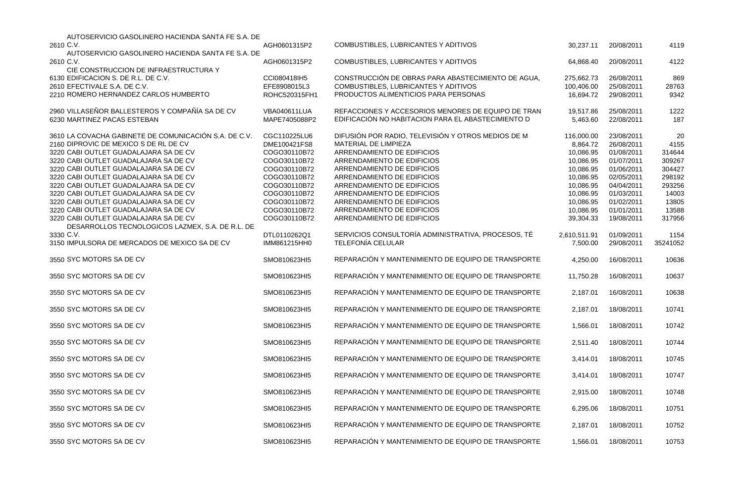| AUTOSERVICIO GASOLINERO HACIENDA SANTA FE S.A. DE                                         |                               |                                                                              |                         |                          |               |
|-------------------------------------------------------------------------------------------|-------------------------------|------------------------------------------------------------------------------|-------------------------|--------------------------|---------------|
| 2610 C.V.                                                                                 | AGH0601315P2                  | COMBUSTIBLES, LUBRICANTES Y ADITIVOS                                         | 30,237.11               | 20/08/2011               | 4119          |
| AUTOSERVICIO GASOLINERO HACIENDA SANTA FE S.A. DE                                         |                               |                                                                              |                         |                          |               |
| 2610 C.V.                                                                                 | AGH0601315P2                  | COMBUSTIBLES, LUBRICANTES Y ADITIVOS                                         | 64,868.40               | 20/08/2011               | 4122          |
| CIE CONSTRUCCION DE INFRAESTRUCTURA Y                                                     |                               |                                                                              |                         |                          |               |
| 6130 EDIFICACION S. DE R.L. DE C.V.                                                       | CCI080418IH5                  | CONSTRUCCIÓN DE OBRAS PARA ABASTECIMIENTO DE AGUA,                           | 275,662.73              | 26/08/2011               | 869           |
| 2610 EFECTIVALE S.A. DE C.V.<br>2210 ROMERO HERNANDEZ CARLOS HUMBERTO                     | EFE8908015L3<br>ROHC520315FH1 | COMBUSTIBLES, LUBRICANTES Y ADITIVOS<br>PRODUCTOS ALIMENTICIOS PARA PERSONAS | 100,406.00<br>16,694.72 | 25/08/2011<br>29/08/2011 | 28763<br>9342 |
|                                                                                           |                               |                                                                              |                         |                          |               |
| 2960 VILLASEÑOR BALLESTEROS Y COMPAÑÍA SA DE CV                                           | <b>VBA040611LUA</b>           | REFACCIONES Y ACCESORIOS MENORES DE EQUIPO DE TRAN                           | 19,517.86               | 25/08/2011               | 1222          |
| 6230 MARTINEZ PACAS ESTEBAN                                                               | MAPE7405088P2                 | EDIFICACIÓN NO HABITACION PARA EL ABASTECIMIENTO D                           | 5,463.60                | 22/08/2011               | 187           |
| 3610 LA COVACHA GABINETE DE COMUNICACIÓN S.A. DE C.V.                                     | CGC110225LU6                  | DIFUSIÓN POR RADIO, TELEVISIÓN Y OTROS MEDIOS DE M                           | 116,000.00              | 23/08/2011               | 20            |
| 2160 DIPROVIC DE MEXICO S DE RL DE CV                                                     | DME100421FS8                  | MATERIAL DE LIMPIEZA                                                         |                         | 26/08/2011               | 4155          |
| 3220 CABI OUTLET GUADALAJARA SA DE CV                                                     | COGO30110B72                  | ARRENDAMIENTO DE EDIFICIOS                                                   | 8,864.72                |                          | 314644        |
| 3220 CABI OUTLET GUADALAJARA SA DE CV                                                     | COGO30110B72                  | ARRENDAMIENTO DE EDIFICIOS                                                   | 10,086.95               | 01/08/2011               |               |
| 3220 CABI OUTLET GUADALAJARA SA DE CV                                                     |                               | ARRENDAMIENTO DE EDIFICIOS                                                   | 10,086.95               | 01/07/2011               | 309267        |
|                                                                                           | COGO30110B72                  | ARRENDAMIENTO DE EDIFICIOS                                                   | 10,086.95               | 01/06/2011               | 304427        |
| 3220 CABI OUTLET GUADALAJARA SA DE CV                                                     | COGO30110B72                  |                                                                              | 10,086.95               | 02/05/2011               | 298192        |
| 3220 CABI OUTLET GUADALAJARA SA DE CV                                                     | COGO30110B72                  | ARRENDAMIENTO DE EDIFICIOS                                                   | 10,086.95               | 04/04/2011               | 293256        |
| 3220 CABI OUTLET GUADALAJARA SA DE CV                                                     | COGO30110B72                  | ARRENDAMIENTO DE EDIFICIOS                                                   | 10,086.95               | 01/03/2011               | 14003         |
| 3220 CABI OUTLET GUADALAJARA SA DE CV                                                     | COGO30110B72                  | ARRENDAMIENTO DE EDIFICIOS                                                   | 10,086.95               | 01/02/2011               | 13805         |
| 3220 CABI OUTLET GUADALAJARA SA DE CV                                                     | COGO30110B72                  | ARRENDAMIENTO DE EDIFICIOS                                                   | 10,086.95               | 01/01/2011               | 13588         |
| 3220 CABI OUTLET GUADALAJARA SA DE CV<br>DESARROLLOS TECNOLOGICOS LAZMEX, S.A. DE R.L. DE | COGO30110B72                  | ARRENDAMIENTO DE EDIFICIOS                                                   | 39,304.33               | 19/08/2011               | 317956        |
| 3330 C.V.                                                                                 | DTL0110262Q1                  | SERVICIOS CONSULTORÍA ADMINISTRATIVA, PROCESOS, TÉ                           | 2,610,511.91            | 01/09/2011               | 1154          |
| 3150 IMPULSORA DE MERCADOS DE MEXICO SA DE CV                                             | IMM861215HH0                  | <b>TELEFONÍA CELULAR</b>                                                     | 7,500.00                | 29/08/2011               | 35241052      |
| 3550 SYC MOTORS SA DE CV                                                                  | SMO810623HI5                  | REPARACIÓN Y MANTENIMIENTO DE EQUIPO DE TRANSPORTE                           | 4,250.00                | 16/08/2011               | 10636         |
| 3550 SYC MOTORS SA DE CV                                                                  | SMO810623HI5                  | REPARACIÓN Y MANTENIMIENTO DE EQUIPO DE TRANSPORTE                           | 11,750.28               | 16/08/2011               | 10637         |
| 3550 SYC MOTORS SA DE CV                                                                  | SMO810623HI5                  | REPARACIÓN Y MANTENIMIENTO DE EQUIPO DE TRANSPORTE                           | 2,187.01                | 16/08/2011               | 10638         |
| 3550 SYC MOTORS SA DE CV                                                                  | SMO810623HI5                  | REPARACIÓN Y MANTENIMIENTO DE EQUIPO DE TRANSPORTE                           | 2,187.01                | 18/08/2011               | 10741         |
| 3550 SYC MOTORS SA DE CV                                                                  | SMO810623HI5                  | REPARACIÓN Y MANTENIMIENTO DE EQUIPO DE TRANSPORTE                           | 1,566.01                | 18/08/2011               | 10742         |
| 3550 SYC MOTORS SA DE CV                                                                  | SMO810623HI5                  | REPARACIÓN Y MANTENIMIENTO DE EQUIPO DE TRANSPORTE                           | 2,511.40                | 18/08/2011               | 10744         |
| 3550 SYC MOTORS SA DE CV                                                                  | SMO810623HI5                  | REPARACIÓN Y MANTENIMIENTO DE EQUIPO DE TRANSPORTE                           | 3,414.01                | 18/08/2011               | 10745         |
| 3550 SYC MOTORS SA DE CV                                                                  | SMO810623HI5                  | REPARACIÓN Y MANTENIMIENTO DE EQUIPO DE TRANSPORTE                           | 3,414.01                | 18/08/2011               | 10747         |
| 3550 SYC MOTORS SA DE CV                                                                  | SMO810623HI5                  | REPARACIÓN Y MANTENIMIENTO DE EQUIPO DE TRANSPORTE                           | 2,915.00                | 18/08/2011               | 10748         |
| 3550 SYC MOTORS SA DE CV                                                                  | SMO810623HI5                  | REPARACIÓN Y MANTENIMIENTO DE EQUIPO DE TRANSPORTE                           | 6,295.06                | 18/08/2011               | 10751         |
| 3550 SYC MOTORS SA DE CV                                                                  | SMO810623HI5                  | REPARACIÓN Y MANTENIMIENTO DE EQUIPO DE TRANSPORTE                           | 2,187.01                | 18/08/2011               | 10752         |
| 3550 SYC MOTORS SA DE CV                                                                  | SMO810623HI5                  | REPARACIÓN Y MANTENIMIENTO DE EQUIPO DE TRANSPORTE                           | 1,566.01                | 18/08/2011               | 10753         |

| 30,237.11                                                                                                                                   | 20/08/2011                                                                                                                                             | 4119                                                                                              |
|---------------------------------------------------------------------------------------------------------------------------------------------|--------------------------------------------------------------------------------------------------------------------------------------------------------|---------------------------------------------------------------------------------------------------|
| 64,868.40                                                                                                                                   | 20/08/2011                                                                                                                                             | 4122                                                                                              |
| 275,662.73<br>100,406.00<br>16,694.72                                                                                                       | 26/08/2011<br>25/08/2011<br>29/08/2011                                                                                                                 | 869<br>28763<br>9342                                                                              |
| 19,517.86<br>5,463.60                                                                                                                       | 25/08/2011<br>22/08/2011                                                                                                                               | 1222<br>187                                                                                       |
| 116,000.00<br>8,864.72<br>10,086.95<br>10,086.95<br>10,086.95<br>10,086.95<br>10,086.95<br>10,086.95<br>10,086.95<br>10,086.95<br>39,304.33 | 23/08/2011<br>26/08/2011<br>01/08/2011<br>01/07/2011<br>01/06/2011<br>02/05/2011<br>04/04/2011<br>01/03/2011<br>01/02/2011<br>01/01/2011<br>19/08/2011 | 20<br>4155<br>314644<br>309267<br>304427<br>298192<br>293256<br>14003<br>13805<br>13588<br>317956 |
| 2,610,511.91<br>7,500.00                                                                                                                    | 01/09/2011<br>29/08/2011                                                                                                                               | 1154<br>35241052                                                                                  |
| 4,250.00                                                                                                                                    | 16/08/2011                                                                                                                                             | 10636                                                                                             |
| 11,750.28                                                                                                                                   | 16/08/2011                                                                                                                                             | 10637                                                                                             |
| 2,187.01                                                                                                                                    | 16/08/2011                                                                                                                                             | 10638                                                                                             |
| 2,187.01                                                                                                                                    | 18/08/2011                                                                                                                                             | 10741                                                                                             |
| 1,566.01                                                                                                                                    | 18/08/2011                                                                                                                                             | 10742                                                                                             |
| 2,511.40                                                                                                                                    | 18/08/2011                                                                                                                                             | 10744                                                                                             |
| 3,414.01                                                                                                                                    | 18/08/2011                                                                                                                                             | 10745                                                                                             |
| 3,414.01                                                                                                                                    | 18/08/2011                                                                                                                                             | 10747                                                                                             |
| 2,915.00                                                                                                                                    | 18/08/2011                                                                                                                                             | 10748                                                                                             |
| 6,295.06                                                                                                                                    | 18/08/2011                                                                                                                                             | 10751                                                                                             |
| 2,187.01                                                                                                                                    | 18/08/2011                                                                                                                                             | 10752                                                                                             |
| 1,566.01                                                                                                                                    | 18/08/2011                                                                                                                                             | 10753                                                                                             |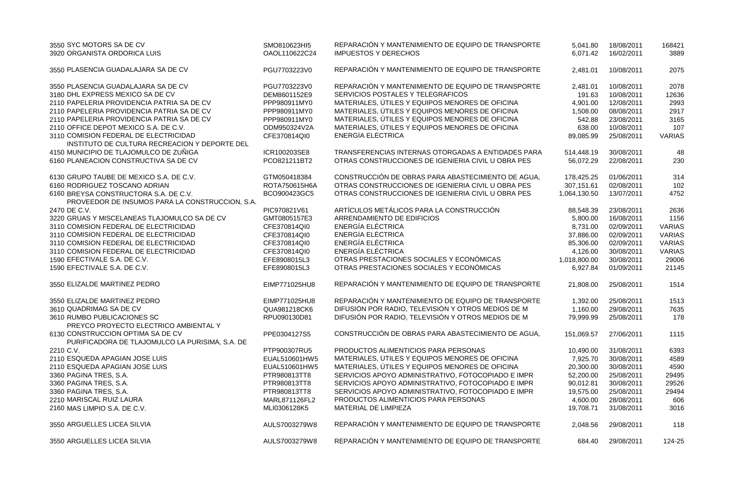| 3550 SYC MOTORS SA DE CV<br>3920 ORGANISTA ORDORICA LUIS | SMO810623HI5<br>OAOL110622C24 | REPARACIÓN Y MANTENIMIENTO DE EQUIPO DE TRANSPORTE<br><b>IMPUESTOS Y DERECHOS</b> | 5,041.80<br>6,071.42 | 18/08/2011<br>16/02/2011 | 168421<br>3889 |
|----------------------------------------------------------|-------------------------------|-----------------------------------------------------------------------------------|----------------------|--------------------------|----------------|
| 3550 PLASENCIA GUADALAJARA SA DE CV                      | PGU7703223V0                  | REPARACIÓN Y MANTENIMIENTO DE EQUIPO DE TRANSPORTE                                | 2,481.01             | 10/08/2011               | 2075           |
| 3550 PLASENCIA GUADALAJARA SA DE CV                      | PGU7703223V0                  | REPARACIÓN Y MANTENIMIENTO DE EQUIPO DE TRANSPORTE                                | 2,481.01             | 10/08/2011               | 2078           |
| 3180 DHL EXPRESS MEXICO SA DE CV                         | DEM8601152E9                  | SERVICIOS POSTALES Y TELEGRÁFICOS                                                 | 191.63               | 10/08/2011               | 12636          |
| 2110 PAPELERIA PROVIDENCIA PATRIA SA DE CV               | PPP980911MY0                  | MATERIALES, ÚTILES Y EQUIPOS MENORES DE OFICINA                                   | 4,901.00             | 12/08/2011               | 2993           |
| 2110 PAPELERIA PROVIDENCIA PATRIA SA DE CV               | PPP980911MY0                  | MATERIALES, ÚTILES Y EQUIPOS MENORES DE OFICINA                                   | 1,508.00             | 08/08/2011               | 2917           |
| 2110 PAPELERIA PROVIDENCIA PATRIA SA DE CV               | PPP980911MY0                  | MATERIALES, ÚTILES Y EQUIPOS MENORES DE OFICINA                                   | 542.88               | 23/08/2011               | 3165           |
| 2110 OFFICE DEPOT MEXICO S.A. DE C.V.                    | ODM950324V2A                  | MATERIALES, ÚTILES Y EQUIPOS MENORES DE OFICINA                                   | 638.00               | 10/08/2011               | 107            |
| 3110 COMISION FEDERAL DE ELECTRICIDAD                    | CFE370814QI0                  | <b>ENERGÍA ELÉCTRICA</b>                                                          | 89,085.99            | 25/08/2011               | <b>VARIAS</b>  |
| INSTITUTO DE CULTURA RECREACION Y DEPORTE DEL            |                               |                                                                                   |                      |                          |                |
| 4150 MUNICIPIO DE TLAJOMULCO DE ZUÑIGA                   | ICR100203SE8                  | TRANSFERENCIAS INTERNAS OTORGADAS A ENTIDADES PARA                                | 514,448.19           | 30/08/2011               | 48             |
| 6160 PLANEACION CONSTRUCTIVA SA DE CV                    | PCO821211BT2                  | OTRAS CONSTRUCCIONES DE IGENIERIA CIVIL U OBRA PES                                | 56,072.29            | 22/08/2011               | 230            |
|                                                          |                               |                                                                                   |                      |                          |                |
| 6130 GRUPO TAUBE DE MEXICO S.A. DE C.V.                  | GTM050418384                  | CONSTRUCCIÓN DE OBRAS PARA ABASTECIMIENTO DE AGUA,                                | 178,425.25           | 01/06/2011               | 314            |
| 6160 RODRIGUEZ TOSCANO ADRIAN                            | ROTA750615H6A                 | OTRAS CONSTRUCCIONES DE IGENIERIA CIVIL U OBRA PES                                | 307,151.61           | 02/08/2011               | 102            |
| 6160 BREYSA CONSTRUCTORA S.A. DE C.V.                    | BCO900423GC5                  | OTRAS CONSTRUCCIONES DE IGENIERIA CIVIL U OBRA PES                                | 1,064,130.50         | 13/07/2011               | 4752           |
| PROVEEDOR DE INSUMOS PARA LA CONSTRUCCION, S.A.          |                               |                                                                                   |                      |                          |                |
| 2470 DE C.V.                                             | PIC970821V61                  | ARTÍCULOS METÁLICOS PARA LA CONSTRUCCIÓN                                          | 88,548.39            | 23/08/2011               | 2636           |
| 3220 GRUAS Y MISCELANEAS TLAJOMULCO SA DE CV             | GMT0805157E3                  | ARRENDAMIENTO DE EDIFICIOS                                                        | 5,800.00             | 16/08/2011               | 1156           |
| 3110 COMISION FEDERAL DE ELECTRICIDAD                    | CFE370814QI0                  | <b>ENERGÍA ELÉCTRICA</b>                                                          | 8,731.00             | 02/09/2011               | <b>VARIAS</b>  |
| 3110 COMISION FEDERAL DE ELECTRICIDAD                    | CFE370814QI0                  | <b>ENERGÍA ELÉCTRICA</b>                                                          | 37,886.00            | 02/09/2011               | <b>VARIAS</b>  |
| 3110 COMISION FEDERAL DE ELECTRICIDAD                    | CFE370814QI0                  | <b>ENERGÍA ELÉCTRICA</b>                                                          | 85,306.00            | 02/09/2011               | <b>VARIAS</b>  |
| 3110 COMISION FEDERAL DE ELECTRICIDAD                    | CFE370814QI0                  | ENERGÍA ELÉCTRICA                                                                 | 4,126.00             | 30/08/2011               | <b>VARIAS</b>  |
| 1590 EFECTIVALE S.A. DE C.V.                             | EFE8908015L3                  | OTRAS PRESTACIONES SOCIALES Y ECONÓMICAS                                          | 1,018,800.00         | 30/08/2011               | 29006          |
| 1590 EFECTIVALE S.A. DE C.V.                             | EFE8908015L3                  | OTRAS PRESTACIONES SOCIALES Y ECONÓMICAS                                          | 6,927.84             | 01/09/2011               | 21145          |
| 3550 ELIZALDE MARTINEZ PEDRO                             | EIMP771025HU8                 | REPARACIÓN Y MANTENIMIENTO DE EQUIPO DE TRANSPORTE                                | 21,808.00            | 25/08/2011               | 1514           |
| 3550 ELIZALDE MARTINEZ PEDRO                             | EIMP771025HU8                 | REPARACIÓN Y MANTENIMIENTO DE EQUIPO DE TRANSPORTE                                | 1,392.00             | 25/08/2011               | 1513           |
| 3610 QUADRIMAG SA DE CV                                  | QUA981218CK6                  | DIFUSIÓN POR RADIO, TELEVISIÓN Y OTROS MEDIOS DE M                                | 1,160.00             | 29/08/2011               | 7635           |
| 3610 RUMBO PUBLICACIONES SC                              | RPU090130D81                  | DIFUSIÓN POR RADIO, TELEVISIÓN Y OTROS MEDIOS DE M                                | 79,999.99            | 25/08/2011               | 178            |
| PREYCO PROYECTO ELECTRICO AMBIENTAL Y                    |                               |                                                                                   |                      |                          |                |
| 6130 CONSTRUCCION OPTIMA SA DE CV                        | PPE0304127S5                  | CONSTRUCCIÓN DE OBRAS PARA ABASTECIMIENTO DE AGUA,                                | 151,069.57           | 27/06/2011               | 1115           |
| PURIFICADORA DE TLAJOMULCO LA PURISIMA, S.A. DE          |                               |                                                                                   |                      |                          |                |
| 2210 C.V.                                                | PTP900307RU5                  | PRODUCTOS ALIMENTICIOS PARA PERSONAS                                              | 10,490.00            | 31/08/2011               | 6393           |
| 2110 ESQUEDA APAGIAN JOSE LUIS                           | EUAL510601HW5                 | MATERIALES, ÚTILES Y EQUIPOS MENORES DE OFICINA                                   | 7,925.70             | 30/08/2011               | 4589           |
| 2110 ESQUEDA APAGIAN JOSE LUIS                           | EUAL510601HW5                 | MATERIALES, ÚTILES Y EQUIPOS MENORES DE OFICINA                                   | 20,300.00            | 30/08/2011               | 4590           |
| 3360 PAGINA TRES, S.A.                                   | PTR980813TT8                  | SERVICIOS APOYO ADMINISTRATIVO, FOTOCOPIADO E IMPR                                | 52,200.00            | 25/08/2011               | 29495          |
| 3360 PAGINA TRES, S.A.                                   | PTR980813TT8                  | SERVICIOS APOYO ADMINISTRATIVO, FOTOCOPIADO E IMPR                                | 90,012.81            | 30/08/2011               | 29526          |
| 3360 PAGINA TRES, S.A.                                   | PTR980813TT8                  | SERVICIOS APOYO ADMINISTRATIVO, FOTOCOPIADO E IMPR                                | 19,575.00            | 25/08/2011               | 29494          |
| 2210 MARISCAL RUIZ LAURA                                 | MARL871126FL2                 | PRODUCTOS ALIMENTICIOS PARA PERSONAS                                              | 4,600.00             | 28/08/2011               | 606            |
| 2160 MAS LIMPIO S.A. DE C.V.                             | MLI0306128K5                  | MATERIAL DE LIMPIEZA                                                              | 19,708.71            | 31/08/2011               | 3016           |
|                                                          |                               |                                                                                   |                      |                          |                |
| 3550 ARGUELLES LICEA SILVIA                              | AULS7003279W8                 | REPARACIÓN Y MANTENIMIENTO DE EQUIPO DE TRANSPORTE                                | 2,048.56             | 29/08/2011               | 118            |
| 3550 ARGUELLES LICEA SILVIA                              | AULS7003279W8                 | REPARACIÓN Y MANTENIMIENTO DE EQUIPO DE TRANSPORTE                                | 684.40               | 29/08/2011               | 124-25         |

| 5,041.80     | 18/08/2011 | 168421 |
|--------------|------------|--------|
| 6,071.42     | 16/02/2011 | 3889   |
| 2,481.01     | 10/08/2011 | 2075   |
| 2,481.01     | 10/08/2011 | 2078   |
| 191.63       | 10/08/2011 | 12636  |
| 4,901.00     | 12/08/2011 | 2993   |
| 1,508.00     | 08/08/2011 | 2917   |
| 542.88       | 23/08/2011 | 3165   |
| 638.00       | 10/08/2011 | 107    |
| 89,085.99    | 25/08/2011 | VARIAS |
| 514,448.19   | 30/08/2011 | 48     |
| 56,072.29    | 22/08/2011 | 230    |
| 178,425.25   | 01/06/2011 | 314    |
| 307,151.61   | 02/08/2011 | 102    |
| 1,064,130.50 | 13/07/2011 | 4752   |
| 88,548.39    | 23/08/2011 | 2636   |
| 5,800.00     | 16/08/2011 | 1156   |
| 8,731.00     | 02/09/2011 | VARIAS |
| 37,886.00    | 02/09/2011 | VARIAS |
| 85,306.00    | 02/09/2011 | VARIAS |
| 4,126.00     | 30/08/2011 | VARIAS |
| 1,018,800.00 | 30/08/2011 | 29006  |
| 6,927.84     | 01/09/2011 | 21145  |
| 21,808.00    | 25/08/2011 | 1514   |
| 1,392.00     | 25/08/2011 | 1513   |
| 1,160.00     | 29/08/2011 | 7635   |
| 79,999.99    | 25/08/2011 | 178    |
| 151,069.57   | 27/06/2011 | 1115   |
| 10,490.00    | 31/08/2011 | 6393   |
| 7,925.70     | 30/08/2011 | 4589   |
| 20,300.00    | 30/08/2011 | 4590   |
| 52,200.00    | 25/08/2011 | 29495  |
| 90,012.81    | 30/08/2011 | 29526  |
| 19,575.00    | 25/08/2011 | 29494  |
| 4,600.00     | 28/08/2011 | 606    |
| 19,708.71    | 31/08/2011 | 3016   |
| 2,048.56     | 29/08/2011 | 118    |
| 684.40       | 29/08/2011 | 124-25 |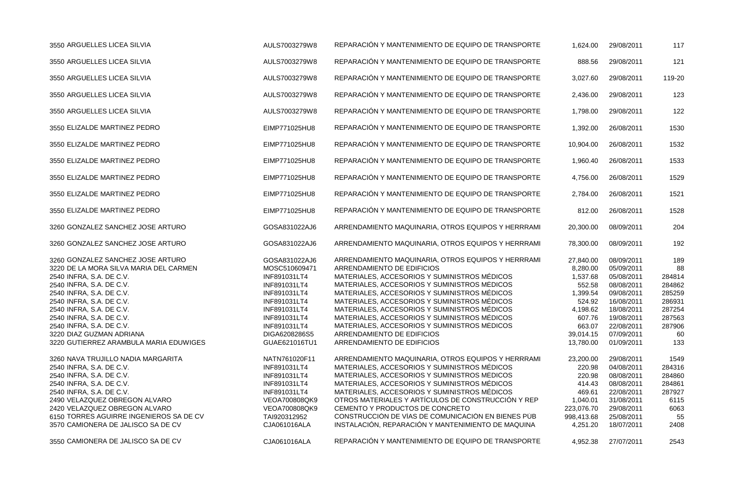| 3550 ARGUELLES LICEA SILVIA                                                                                                                                                                                                                                                                                                                           | AULS7003279W8                                                                                                                                                                    | REPARACIÓN Y MANTENIMIENTO DE EQUIPO DE TRANSPORTE                                                                                                                                                                                                                                                                                                                                                                                                                                           | 1,624.00                                                                                                                    | 29/08/2011                                                                                                                                             | 117                                                                                          |
|-------------------------------------------------------------------------------------------------------------------------------------------------------------------------------------------------------------------------------------------------------------------------------------------------------------------------------------------------------|----------------------------------------------------------------------------------------------------------------------------------------------------------------------------------|----------------------------------------------------------------------------------------------------------------------------------------------------------------------------------------------------------------------------------------------------------------------------------------------------------------------------------------------------------------------------------------------------------------------------------------------------------------------------------------------|-----------------------------------------------------------------------------------------------------------------------------|--------------------------------------------------------------------------------------------------------------------------------------------------------|----------------------------------------------------------------------------------------------|
| 3550 ARGUELLES LICEA SILVIA                                                                                                                                                                                                                                                                                                                           | AULS7003279W8                                                                                                                                                                    | REPARACIÓN Y MANTENIMIENTO DE EQUIPO DE TRANSPORTE                                                                                                                                                                                                                                                                                                                                                                                                                                           | 888.56                                                                                                                      | 29/08/2011                                                                                                                                             | 121                                                                                          |
| 3550 ARGUELLES LICEA SILVIA                                                                                                                                                                                                                                                                                                                           | AULS7003279W8                                                                                                                                                                    | REPARACIÓN Y MANTENIMIENTO DE EQUIPO DE TRANSPORTE                                                                                                                                                                                                                                                                                                                                                                                                                                           | 3,027.60                                                                                                                    | 29/08/2011                                                                                                                                             | 119-20                                                                                       |
| 3550 ARGUELLES LICEA SILVIA                                                                                                                                                                                                                                                                                                                           | AULS7003279W8                                                                                                                                                                    | REPARACIÓN Y MANTENIMIENTO DE EQUIPO DE TRANSPORTE                                                                                                                                                                                                                                                                                                                                                                                                                                           | 2,436.00                                                                                                                    | 29/08/2011                                                                                                                                             | 123                                                                                          |
| 3550 ARGUELLES LICEA SILVIA                                                                                                                                                                                                                                                                                                                           | AULS7003279W8                                                                                                                                                                    | REPARACIÓN Y MANTENIMIENTO DE EQUIPO DE TRANSPORTE                                                                                                                                                                                                                                                                                                                                                                                                                                           | 1,798.00                                                                                                                    | 29/08/2011                                                                                                                                             | 122                                                                                          |
| 3550 ELIZALDE MARTINEZ PEDRO                                                                                                                                                                                                                                                                                                                          | EIMP771025HU8                                                                                                                                                                    | REPARACIÓN Y MANTENIMIENTO DE EQUIPO DE TRANSPORTE                                                                                                                                                                                                                                                                                                                                                                                                                                           | 1,392.00                                                                                                                    | 26/08/2011                                                                                                                                             | 1530                                                                                         |
| 3550 ELIZALDE MARTINEZ PEDRO                                                                                                                                                                                                                                                                                                                          | EIMP771025HU8                                                                                                                                                                    | REPARACIÓN Y MANTENIMIENTO DE EQUIPO DE TRANSPORTE                                                                                                                                                                                                                                                                                                                                                                                                                                           | 10,904.00                                                                                                                   | 26/08/2011                                                                                                                                             | 1532                                                                                         |
| 3550 ELIZALDE MARTINEZ PEDRO                                                                                                                                                                                                                                                                                                                          | EIMP771025HU8                                                                                                                                                                    | REPARACIÓN Y MANTENIMIENTO DE EQUIPO DE TRANSPORTE                                                                                                                                                                                                                                                                                                                                                                                                                                           | 1,960.40                                                                                                                    | 26/08/2011                                                                                                                                             | 1533                                                                                         |
| 3550 ELIZALDE MARTINEZ PEDRO                                                                                                                                                                                                                                                                                                                          | EIMP771025HU8                                                                                                                                                                    | REPARACIÓN Y MANTENIMIENTO DE EQUIPO DE TRANSPORTE                                                                                                                                                                                                                                                                                                                                                                                                                                           | 4,756.00                                                                                                                    | 26/08/2011                                                                                                                                             | 1529                                                                                         |
| 3550 ELIZALDE MARTINEZ PEDRO                                                                                                                                                                                                                                                                                                                          | EIMP771025HU8                                                                                                                                                                    | REPARACIÓN Y MANTENIMIENTO DE EQUIPO DE TRANSPORTE                                                                                                                                                                                                                                                                                                                                                                                                                                           | 2,784.00                                                                                                                    | 26/08/2011                                                                                                                                             | 1521                                                                                         |
| 3550 ELIZALDE MARTINEZ PEDRO                                                                                                                                                                                                                                                                                                                          | EIMP771025HU8                                                                                                                                                                    | REPARACIÓN Y MANTENIMIENTO DE EQUIPO DE TRANSPORTE                                                                                                                                                                                                                                                                                                                                                                                                                                           | 812.00                                                                                                                      | 26/08/2011                                                                                                                                             | 1528                                                                                         |
| 3260 GONZALEZ SANCHEZ JOSE ARTURO                                                                                                                                                                                                                                                                                                                     | GOSA831022AJ6                                                                                                                                                                    | ARRENDAMIENTO MAQUINARIA, OTROS EQUIPOS Y HERRRAMI                                                                                                                                                                                                                                                                                                                                                                                                                                           | 20,300.00                                                                                                                   | 08/09/2011                                                                                                                                             | 204                                                                                          |
| 3260 GONZALEZ SANCHEZ JOSE ARTURO                                                                                                                                                                                                                                                                                                                     | GOSA831022AJ6                                                                                                                                                                    | ARRENDAMIENTO MAQUINARIA, OTROS EQUIPOS Y HERRRAMI                                                                                                                                                                                                                                                                                                                                                                                                                                           | 78,300.00                                                                                                                   | 08/09/2011                                                                                                                                             | 192                                                                                          |
| 3260 GONZALEZ SANCHEZ JOSE ARTURO<br>3220 DE LA MORA SILVA MARIA DEL CARMEN<br>2540 INFRA, S.A. DE C.V.<br>2540 INFRA, S.A. DE C.V.<br>2540 INFRA, S.A. DE C.V.<br>2540 INFRA, S.A. DE C.V.<br>2540 INFRA, S.A. DE C.V.<br>2540 INFRA, S.A. DE C.V.<br>2540 INFRA, S.A. DE C.V.<br>3220 DIAZ GUZMAN ADRIANA<br>3220 GUTIERREZ ARAMBULA MARIA EDUWIGES | GOSA831022AJ6<br>MOSC510609471<br>INF891031LT4<br>INF891031LT4<br>INF891031LT4<br>INF891031LT4<br>INF891031LT4<br>INF891031LT4<br>INF891031LT4<br>DIGA6208286S5<br>GUAE621016TU1 | ARRENDAMIENTO MAQUINARIA, OTROS EQUIPOS Y HERRRAMI<br>ARRENDAMIENTO DE EDIFICIOS<br>MATERIALES, ACCESORIOS Y SUMINISTROS MÉDICOS<br>MATERIALES, ACCESORIOS Y SUMINISTROS MÉDICOS<br>MATERIALES, ACCESORIOS Y SUMINISTROS MÉDICOS<br>MATERIALES, ACCESORIOS Y SUMINISTROS MÉDICOS<br>MATERIALES, ACCESORIOS Y SUMINISTROS MÉDICOS<br>MATERIALES, ACCESORIOS Y SUMINISTROS MÉDICOS<br>MATERIALES, ACCESORIOS Y SUMINISTROS MÉDICOS<br>ARRENDAMIENTO DE EDIFICIOS<br>ARRENDAMIENTO DE EDIFICIOS | 27,840.00<br>8,280.00<br>1,537.68<br>552.58<br>1,399.54<br>524.92<br>4,198.62<br>607.76<br>663.07<br>39,014.15<br>13,780.00 | 08/09/2011<br>05/09/2011<br>05/08/2011<br>08/08/2011<br>09/08/2011<br>16/08/2011<br>18/08/2011<br>19/08/2011<br>22/08/2011<br>07/09/2011<br>01/09/2011 | 189<br>88<br>284814<br>284862<br>285259<br>286931<br>287254<br>287563<br>287906<br>60<br>133 |
| 3260 NAVA TRUJILLO NADIA MARGARITA<br>2540 INFRA, S.A. DE C.V.<br>2540 INFRA, S.A. DE C.V.<br>2540 INFRA, S.A. DE C.V.<br>2540 INFRA, S.A. DE C.V.<br>2490 VELAZQUEZ OBREGON ALVARO<br>2420 VELAZQUEZ OBREGON ALVARO<br>6150 TORRES AGUIRRE INGENIEROS SA DE CV<br>3570 CAMIONERA DE JALISCO SA DE CV                                                 | NATN761020F11<br>INF891031LT4<br>INF891031LT4<br>INF891031LT4<br>INF891031LT4<br>VEOA700808QK9<br>VEOA700808QK9<br>TAI920312952<br>CJA061016ALA                                  | ARRENDAMIENTO MAQUINARIA, OTROS EQUIPOS Y HERRRAMI<br>MATERIALES, ACCESORIOS Y SUMINISTROS MÉDICOS<br>MATERIALES, ACCESORIOS Y SUMINISTROS MÉDICOS<br>MATERIALES, ACCESORIOS Y SUMINISTROS MÉDICOS<br>MATERIALES, ACCESORIOS Y SUMINISTROS MÉDICOS<br>OTROS MATERIALES Y ARTÍCULOS DE CONSTRUCCIÓN Y REP<br>CEMENTO Y PRODUCTOS DE CONCRETO<br>CONSTRUCCIÓN DE VÍAS DE COMUNICACIÓN EN BIENES PÚB<br>INSTALACIÓN, REPARACIÓN Y MANTENIMIENTO DE MAQUINA                                      | 23,200.00<br>220.98<br>220.98<br>414.43<br>469.61<br>1,040.01<br>223,076.70<br>998,413.68<br>4,251.20                       | 29/08/2011<br>04/08/2011<br>08/08/2011<br>08/08/2011<br>22/08/2011<br>31/08/2011<br>29/08/2011<br>25/08/2011<br>18/07/2011                             | 1549<br>284316<br>284860<br>284861<br>287927<br>6115<br>6063<br>55<br>2408                   |
| 3550 CAMIONERA DE JALISCO SA DE CV                                                                                                                                                                                                                                                                                                                    | CJA061016ALA                                                                                                                                                                     | REPARACIÓN Y MANTENIMIENTO DE EQUIPO DE TRANSPORTE                                                                                                                                                                                                                                                                                                                                                                                                                                           | 4,952.38                                                                                                                    | 27/07/2011                                                                                                                                             | 2543                                                                                         |

| 1,624.00                                                                                                                    | 29/08/2011                                                                                                                                             | 117                                                                                          |
|-----------------------------------------------------------------------------------------------------------------------------|--------------------------------------------------------------------------------------------------------------------------------------------------------|----------------------------------------------------------------------------------------------|
| 888.56                                                                                                                      | 29/08/2011                                                                                                                                             | 121                                                                                          |
| 3,027.60                                                                                                                    | 29/08/2011                                                                                                                                             | 119-20                                                                                       |
| 2,436.00                                                                                                                    | 29/08/2011                                                                                                                                             | 123                                                                                          |
| 1,798.00                                                                                                                    | 29/08/2011                                                                                                                                             | 122                                                                                          |
| 1,392.00                                                                                                                    | 26/08/2011                                                                                                                                             | 1530                                                                                         |
| 10,904.00                                                                                                                   | 26/08/2011                                                                                                                                             | 1532                                                                                         |
| 1,960.40                                                                                                                    | 26/08/2011                                                                                                                                             | 1533                                                                                         |
| 4,756.00                                                                                                                    | 26/08/2011                                                                                                                                             | 1529                                                                                         |
| 2,784.00                                                                                                                    | 26/08/2011                                                                                                                                             | 1521                                                                                         |
| 812.00                                                                                                                      | 26/08/2011                                                                                                                                             | 1528                                                                                         |
| 20,300.00                                                                                                                   | 08/09/2011                                                                                                                                             | 204                                                                                          |
| 78,300.00                                                                                                                   | 08/09/2011                                                                                                                                             | 192                                                                                          |
| 27,840.00<br>8,280.00<br>1,537.68<br>552.58<br>1,399.54<br>524.92<br>4,198.62<br>607.76<br>663.07<br>39,014.15<br>13,780.00 | 08/09/2011<br>05/09/2011<br>05/08/2011<br>08/08/2011<br>09/08/2011<br>16/08/2011<br>18/08/2011<br>19/08/2011<br>22/08/2011<br>07/09/2011<br>01/09/2011 | 189<br>88<br>284814<br>284862<br>285259<br>286931<br>287254<br>287563<br>287906<br>60<br>133 |
| 23,200.00<br>220.98<br>220.98<br>414.43<br>469.61<br>1,040.01<br>223,076.70<br>98,413.68<br>4,251.20                        | 29/08/2011<br>04/08/2011<br>08/08/2011<br>08/08/2011<br>22/08/2011<br>31/08/2011<br>29/08/2011<br>25/08/2011<br>18/07/2011                             | 1549<br>284316<br>284860<br>284861<br>287927<br>6115<br>6063<br>55<br>2408                   |
| 4.952.38                                                                                                                    | 27/07/2011                                                                                                                                             | 2543                                                                                         |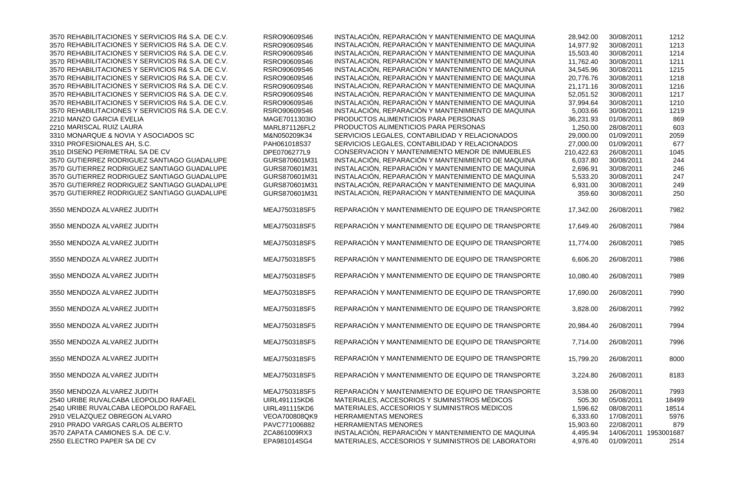| QUINA         | 28,942.00  | 30/08/2011 | 1212       |
|---------------|------------|------------|------------|
| QUINA         | 14,977.92  | 30/08/2011 | 1213       |
| QUINA         | 15,503.40  | 30/08/2011 | 1214       |
| QUINA         | 11,762.40  | 30/08/2011 | 1211       |
| QUINA         | 34,545.96  | 30/08/2011 | 1215       |
| QUINA         | 20,776.76  | 30/08/2011 | 1218       |
| QUINA         | 21,171.16  | 30/08/2011 | 1216       |
| QUINA         | 52,051.52  | 30/08/2011 | 1217       |
| QUINA         | 37,994.64  | 30/08/2011 | 1210       |
| QUINA         | 5,003.66   | 30/08/2011 | 1219       |
|               | 36,231.93  | 01/08/2011 | 869        |
|               | 1,250.00   | 28/08/2011 | 603        |
| S             | 29,000.00  | 01/09/2011 | 2059       |
| S             | 27,000.00  | 01/09/2011 | 677        |
| <b>BLES</b>   | 210,422.63 | 26/08/2011 | 1045       |
| QUINA         | 6,037.80   | 30/08/2011 | 244        |
| QUINA         | 2,696.91   | 30/08/2011 | 246        |
| QUINA         | 5,533.20   |            |            |
| QUINA         |            | 30/08/2011 | 247        |
|               | 6,931.00   | 30/08/2011 | 249        |
| QUINA         | 359.60     | 30/08/2011 | 250        |
| <b>SPORTE</b> | 17,342.00  | 26/08/2011 | 7982       |
| SPORTE        | 17,649.40  | 26/08/2011 | 7984       |
| <b>SPORTE</b> | 11,774.00  | 26/08/2011 | 7985       |
| <b>SPORTE</b> | 6,606.20   | 26/08/2011 | 7986       |
| <b>SPORTE</b> | 10,080.40  | 26/08/2011 | 7989       |
| <b>SPORTE</b> | 17,690.00  | 26/08/2011 | 7990       |
| <b>SPORTE</b> | 3,828.00   | 26/08/2011 | 7992       |
| SPORTE        | 20,984.40  | 26/08/2011 | 7994       |
| <b>SPORTE</b> | 7,714.00   | 26/08/2011 | 7996       |
| <b>SPORTE</b> | 15,799.20  | 26/08/2011 | 8000       |
| SPORTE        | 3,224.80   | 26/08/2011 | 8183       |
| <b>SPORTE</b> | 3,538.00   | 26/08/2011 | 7993       |
|               | 505.30     | 05/08/2011 | 18499      |
|               | 1,596.62   | 08/08/2011 | 18514      |
|               | 6,333.60   | 17/08/2011 | 5976       |
|               | 15,903.60  | 22/08/2011 | 879        |
| QUINA         | 4,495.94   | 14/06/2011 | 1953001687 |
| <b>ATORI</b>  | 4,976.40   | 01/09/2011 | 2514       |
|               |            |            |            |

| 3570 REHABILITACIONES Y SERVICIOS R& S.A. DE C.V. | RSRO90609S46         | INSTALACIÓN, REPARACIÓN Y MANTENIMIENTO DE MAQUINA | 28,942.00  | 30/08/2011 | 1212       |
|---------------------------------------------------|----------------------|----------------------------------------------------|------------|------------|------------|
| 3570 REHABILITACIONES Y SERVICIOS R& S.A. DE C.V. | RSRO90609S46         | INSTALACIÓN, REPARACIÓN Y MANTENIMIENTO DE MAQUINA | 14,977.92  | 30/08/2011 | 1213       |
| 3570 REHABILITACIONES Y SERVICIOS R& S.A. DE C.V. | RSRO90609S46         | INSTALACIÓN, REPARACIÓN Y MANTENIMIENTO DE MAQUINA | 15,503.40  | 30/08/2011 | 1214       |
| 3570 REHABILITACIONES Y SERVICIOS R& S.A. DE C.V. | RSRO90609S46         | INSTALACIÓN, REPARACIÓN Y MANTENIMIENTO DE MAQUINA | 11,762.40  | 30/08/2011 | 1211       |
| 3570 REHABILITACIONES Y SERVICIOS R& S.A. DE C.V. | RSRO90609S46         | INSTALACIÓN, REPARACIÓN Y MANTENIMIENTO DE MAQUINA | 34,545.96  | 30/08/2011 | 1215       |
| 3570 REHABILITACIONES Y SERVICIOS R& S.A. DE C.V. | RSRO90609S46         | INSTALACIÓN, REPARACIÓN Y MANTENIMIENTO DE MAQUINA | 20,776.76  | 30/08/2011 | 1218       |
| 3570 REHABILITACIONES Y SERVICIOS R& S.A. DE C.V. | RSRO90609S46         | INSTALACIÓN, REPARACIÓN Y MANTENIMIENTO DE MAQUINA | 21,171.16  | 30/08/2011 | 1216       |
| 3570 REHABILITACIONES Y SERVICIOS R& S.A. DE C.V. | RSRO90609S46         | INSTALACIÓN, REPARACIÓN Y MANTENIMIENTO DE MAQUINA | 52,051.52  | 30/08/2011 | 1217       |
| 3570 REHABILITACIONES Y SERVICIOS R& S.A. DE C.V. | RSRO90609S46         | INSTALACIÓN, REPARACIÓN Y MANTENIMIENTO DE MAQUINA | 37,994.64  | 30/08/2011 | 1210       |
| 3570 REHABILITACIONES Y SERVICIOS R& S.A. DE C.V. | RSRO90609S46         | INSTALACIÓN, REPARACIÓN Y MANTENIMIENTO DE MAQUINA | 5,003.66   | 30/08/2011 | 1219       |
| 2210 MANZO GARCIA EVELIA                          | MAGE7011303IO        | PRODUCTOS ALIMENTICIOS PARA PERSONAS               | 36,231.93  | 01/08/2011 | 869        |
| 2210 MARISCAL RUIZ LAURA                          | MARL871126FL2        | PRODUCTOS ALIMENTICIOS PARA PERSONAS               | 1,250.00   | 28/08/2011 | 603        |
| 3310 MONARQUE & NOVIA Y ASOCIADOS SC              | M&N050209K34         | SERVICIOS LEGALES, CONTABILIDAD Y RELACIONADOS     | 29,000.00  | 01/09/2011 | 2059       |
| 3310 PROFESIONALES AH, S.C.                       | PAH061018S37         | SERVICIOS LEGALES, CONTABILIDAD Y RELACIONADOS     | 27,000.00  | 01/09/2011 | 677        |
| 3510 DISEÑO PERIMETRAL SA DE CV                   | DPE0706277L9         | CONSERVACIÓN Y MANTENIMIENTO MENOR DE INMUEBLES    | 210,422.63 | 26/08/2011 | 1045       |
| 3570 GUTIERREZ RODRIGUEZ SANTIAGO GUADALUPE       | GURS870601M31        |                                                    |            | 30/08/2011 |            |
|                                                   |                      | INSTALACIÓN, REPARACIÓN Y MANTENIMIENTO DE MAQUINA | 6,037.80   |            | 244        |
| 3570 GUTIERREZ RODRIGUEZ SANTIAGO GUADALUPE       | GURS870601M31        | INSTALACIÓN, REPARACIÓN Y MANTENIMIENTO DE MAQUINA | 2,696.91   | 30/08/2011 | 246        |
| 3570 GUTIERREZ RODRIGUEZ SANTIAGO GUADALUPE       | GURS870601M31        | INSTALACIÓN, REPARACIÓN Y MANTENIMIENTO DE MAQUINA | 5,533.20   | 30/08/2011 | 247        |
| 3570 GUTIERREZ RODRIGUEZ SANTIAGO GUADALUPE       | GURS870601M31        | INSTALACIÓN, REPARACIÓN Y MANTENIMIENTO DE MAQUINA | 6,931.00   | 30/08/2011 | 249        |
| 3570 GUTIERREZ RODRIGUEZ SANTIAGO GUADALUPE       | GURS870601M31        | INSTALACIÓN, REPARACIÓN Y MANTENIMIENTO DE MAQUINA | 359.60     | 30/08/2011 | 250        |
| 3550 MENDOZA ALVAREZ JUDITH                       | MEAJ750318SF5        | REPARACIÓN Y MANTENIMIENTO DE EQUIPO DE TRANSPORTE | 17,342.00  | 26/08/2011 | 7982       |
| 3550 MENDOZA ALVAREZ JUDITH                       | MEAJ750318SF5        | REPARACIÓN Y MANTENIMIENTO DE EQUIPO DE TRANSPORTE | 17,649.40  | 26/08/2011 | 7984       |
| 3550 MENDOZA ALVAREZ JUDITH                       | MEAJ750318SF5        | REPARACIÓN Y MANTENIMIENTO DE EQUIPO DE TRANSPORTE | 11,774.00  | 26/08/2011 | 7985       |
| 3550 MENDOZA ALVAREZ JUDITH                       | MEAJ750318SF5        | REPARACIÓN Y MANTENIMIENTO DE EQUIPO DE TRANSPORTE | 6,606.20   | 26/08/2011 | 7986       |
| 3550 MENDOZA ALVAREZ JUDITH                       | MEAJ750318SF5        | REPARACIÓN Y MANTENIMIENTO DE EQUIPO DE TRANSPORTE | 10,080.40  | 26/08/2011 | 7989       |
| 3550 MENDOZA ALVAREZ JUDITH                       | MEAJ750318SF5        | REPARACIÓN Y MANTENIMIENTO DE EQUIPO DE TRANSPORTE | 17,690.00  | 26/08/2011 | 7990       |
| 3550 MENDOZA ALVAREZ JUDITH                       | MEAJ750318SF5        | REPARACIÓN Y MANTENIMIENTO DE EQUIPO DE TRANSPORTE | 3,828.00   | 26/08/2011 | 7992       |
| 3550 MENDOZA ALVAREZ JUDITH                       | MEAJ750318SF5        | REPARACIÓN Y MANTENIMIENTO DE EQUIPO DE TRANSPORTE | 20,984.40  | 26/08/2011 | 7994       |
| 3550 MENDOZA ALVAREZ JUDITH                       | MEAJ750318SF5        | REPARACIÓN Y MANTENIMIENTO DE EQUIPO DE TRANSPORTE | 7,714.00   | 26/08/2011 | 7996       |
| 3550 MENDOZA ALVAREZ JUDITH                       | MEAJ750318SF5        | REPARACIÓN Y MANTENIMIENTO DE EQUIPO DE TRANSPORTE | 15,799.20  | 26/08/2011 | 8000       |
| 3550 MENDOZA ALVAREZ JUDITH                       | MEAJ750318SF5        | REPARACIÓN Y MANTENIMIENTO DE EQUIPO DE TRANSPORTE | 3,224.80   | 26/08/2011 | 8183       |
| 3550 MENDOZA ALVAREZ JUDITH                       | MEAJ750318SF5        | REPARACIÓN Y MANTENIMIENTO DE EQUIPO DE TRANSPORTE | 3,538.00   | 26/08/2011 | 7993       |
| 2540 URIBE RUVALCABA LEOPOLDO RAFAEL              | <b>UIRL491115KD6</b> | MATERIALES, ACCESORIOS Y SUMINISTROS MÉDICOS       | 505.30     | 05/08/2011 | 18499      |
| 2540 URIBE RUVALCABA LEOPOLDO RAFAEL              | <b>UIRL491115KD6</b> | MATERIALES, ACCESORIOS Y SUMINISTROS MÉDICOS       | 1,596.62   | 08/08/2011 | 18514      |
| 2910 VELAZQUEZ OBREGON ALVARO                     | VEOA700808QK9        | <b>HERRAMIENTAS MENORES</b>                        | 6,333.60   | 17/08/2011 | 5976       |
| 2910 PRADO VARGAS CARLOS ALBERTO                  | PAVC771006882        | <b>HERRAMIENTAS MENORES</b>                        | 15,903.60  | 22/08/2011 | 879        |
| 3570 ZAPATA CAMIONES S.A. DE C.V.                 | ZCA861009RX3         | INSTALACIÓN, REPARACIÓN Y MANTENIMIENTO DE MAQUINA | 4,495.94   | 14/06/2011 | 1953001687 |
| 2550 ELECTRO PAPER SA DE CV                       | EPA981014SG4         | MATERIALES, ACCESORIOS Y SUMINISTROS DE LABORATORI | 4,976.40   | 01/09/2011 | 2514       |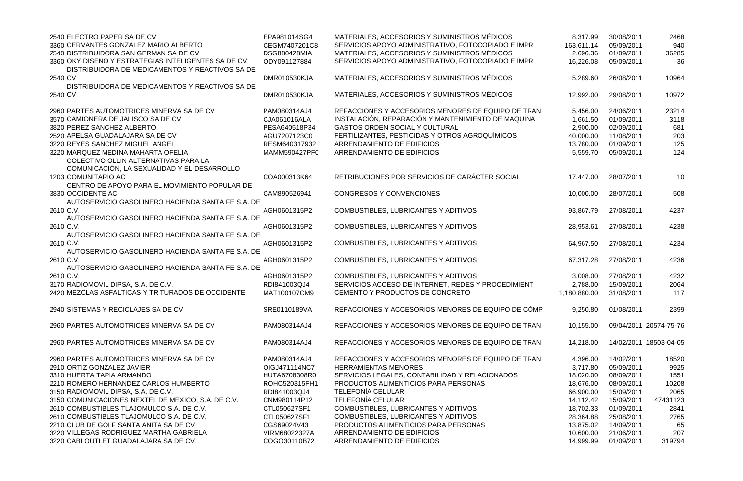| 2540 ELECTRO PAPER SA DE CV                                                                            | EPA981014SG4        | MATERIALES, ACCESORIOS Y SUMINISTROS MÉDICOS       | 8,317.99     | 30/08/2011 | 2468                   |
|--------------------------------------------------------------------------------------------------------|---------------------|----------------------------------------------------|--------------|------------|------------------------|
| 3360 CERVANTES GONZALEZ MARIO ALBERTO                                                                  | CEGM7407201C8       | SERVICIOS APOYO ADMINISTRATIVO, FOTOCOPIADO E IMPR | 163,611.14   | 05/09/2011 | 940                    |
| 2540 DISTRIBUIDORA SAN GERMAN SA DE CV                                                                 | <b>DSG880428MIA</b> | MATERIALES, ACCESORIOS Y SUMINISTROS MÉDICOS       | 2,696.36     | 01/09/2011 | 36285                  |
| 3360 OKY DISEÑO Y ESTRATEGIAS INTELIGENTES SA DE CV<br>DISTRIBUIDORA DE MEDICAMENTOS Y REACTIVOS SA DE | ODY091127884        | SERVICIOS APOYO ADMINISTRATIVO, FOTOCOPIADO E IMPR | 16,226.08    | 05/09/2011 | 36                     |
| 2540 CV                                                                                                | <b>DMR010530KJA</b> | MATERIALES, ACCESORIOS Y SUMINISTROS MÉDICOS       | 5,289.60     | 26/08/2011 | 10964                  |
| DISTRIBUIDORA DE MEDICAMENTOS Y REACTIVOS SA DE                                                        |                     |                                                    |              |            |                        |
| 2540 CV                                                                                                | DMR010530KJA        | MATERIALES, ACCESORIOS Y SUMINISTROS MÉDICOS       | 12,992.00    | 29/08/2011 | 10972                  |
| 2960 PARTES AUTOMOTRICES MINERVA SA DE CV                                                              | PAM080314AJ4        | REFACCIONES Y ACCESORIOS MENORES DE EQUIPO DE TRAN | 5,456.00     | 24/06/2011 | 23214                  |
| 3570 CAMIONERA DE JALISCO SA DE CV                                                                     | CJA061016ALA        | INSTALACIÓN, REPARACIÓN Y MANTENIMIENTO DE MAQUINA | 1,661.50     | 01/09/2011 | 3118                   |
| 3820 PEREZ SANCHEZ ALBERTO                                                                             | PESA640518P34       | <b>GASTOS ORDEN SOCIAL Y CULTURAL</b>              | 2,900.00     | 02/09/2011 | 681                    |
| 2520 APELSA GUADALAJARA SA DE CV                                                                       | AGU7207123C0        | FERTILIZANTES, PESTICIDAS Y OTROS AGROQUÍMICOS     | 40,000.00    | 11/08/2011 | 203                    |
| 3220 REYES SANCHEZ MIGUEL ANGEL                                                                        | RESM640317932       | ARRENDAMIENTO DE EDIFICIOS                         | 13,780.00    | 01/09/2011 | 125                    |
| 3220 MARQUEZ MEDINA MAHARTA OFELIA                                                                     | MAMM590427PF0       | ARRENDAMIENTO DE EDIFICIOS                         | 5,559.70     | 05/09/2011 | 124                    |
| COLECTIVO OLLIN ALTERNATIVAS PARA LA                                                                   |                     |                                                    |              |            |                        |
| COMUNICACIÓN, LA SEXUALIDAD Y EL DESARROLLO                                                            |                     |                                                    |              |            |                        |
| 1203 COMUNITARIO AC                                                                                    | COA000313K64        | RETRIBUCIONES POR SERVICIOS DE CARÁCTER SOCIAL     | 17,447.00    | 28/07/2011 | 10                     |
| CENTRO DE APOYO PARA EL MOVIMIENTO POPULAR DE                                                          |                     |                                                    |              |            |                        |
| 3830 OCCIDENTE AC                                                                                      | CAM890526941        | <b>CONGRESOS Y CONVENCIONES</b>                    | 10,000.00    | 28/07/2011 | 508                    |
| AUTOSERVICIO GASOLINERO HACIENDA SANTA FE S.A. DE                                                      |                     |                                                    |              |            |                        |
| 2610 C.V.                                                                                              | AGH0601315P2        | COMBUSTIBLES, LUBRICANTES Y ADITIVOS               | 93,867.79    | 27/08/2011 | 4237                   |
| AUTOSERVICIO GASOLINERO HACIENDA SANTA FE S.A. DE                                                      |                     |                                                    |              |            |                        |
| 2610 C.V.                                                                                              | AGH0601315P2        | COMBUSTIBLES, LUBRICANTES Y ADITIVOS               | 28,953.61    | 27/08/2011 | 4238                   |
| AUTOSERVICIO GASOLINERO HACIENDA SANTA FE S.A. DE                                                      |                     |                                                    |              |            |                        |
| 2610 C.V.                                                                                              | AGH0601315P2        | COMBUSTIBLES, LUBRICANTES Y ADITIVOS               | 64,967.50    | 27/08/2011 | 4234                   |
| AUTOSERVICIO GASOLINERO HACIENDA SANTA FE S.A. DE                                                      |                     |                                                    |              |            |                        |
| 2610 C.V.                                                                                              | AGH0601315P2        | COMBUSTIBLES, LUBRICANTES Y ADITIVOS               | 67,317.28    | 27/08/2011 | 4236                   |
| AUTOSERVICIO GASOLINERO HACIENDA SANTA FE S.A. DE                                                      |                     |                                                    |              |            |                        |
| 2610 C.V.                                                                                              | AGH0601315P2        | COMBUSTIBLES, LUBRICANTES Y ADITIVOS               | 3,008.00     | 27/08/2011 | 4232                   |
| 3170 RADIOMOVIL DIPSA, S.A. DE C.V.                                                                    | RDI841003QJ4        | SERVICIOS ACCESO DE INTERNET, REDES Y PROCEDIMIENT | 2,788.00     | 15/09/2011 | 2064                   |
| 2420 MEZCLAS ASFALTICAS Y TRITURADOS DE OCCIDENTE                                                      | MAT100107CM9        | CEMENTO Y PRODUCTOS DE CONCRETO                    | 1,180,880.00 | 31/08/2011 | 117                    |
| 2940 SISTEMAS Y RECICLAJES SA DE CV                                                                    | SRE0110189VA        | REFACCIONES Y ACCESORIOS MENORES DE EQUIPO DE CÓMP | 9,250.80     | 01/08/2011 | 2399                   |
| 2960 PARTES AUTOMOTRICES MINERVA SA DE CV                                                              | PAM080314AJ4        | REFACCIONES Y ACCESORIOS MENORES DE EQUIPO DE TRAN | 10,155.00    |            | 09/04/2011 20574-75-76 |
| 2960 PARTES AUTOMOTRICES MINERVA SA DE CV                                                              | PAM080314AJ4        | REFACCIONES Y ACCESORIOS MENORES DE EQUIPO DE TRAN | 14,218.00    |            | 14/02/2011 18503-04-05 |
| 2960 PARTES AUTOMOTRICES MINERVA SA DE CV                                                              | PAM080314AJ4        | REFACCIONES Y ACCESORIOS MENORES DE EQUIPO DE TRAN | 4,396.00     | 14/02/2011 | 18520                  |
| 2910 ORTIZ GONZALEZ JAVIER                                                                             | OIGJ471114NC7       | <b>HERRAMIENTAS MENORES</b>                        | 3,717.80     | 05/09/2011 | 9925                   |
| 3310 HUERTA TAPIA ARMANDO                                                                              | HUTA6708308R0       | SERVICIOS LEGALES, CONTABILIDAD Y RELACIONADOS     | 18,020.00    | 08/09/2011 | 1551                   |
| 2210 ROMERO HERNANDEZ CARLOS HUMBERTO                                                                  | ROHC520315FH1       | PRODUCTOS ALIMENTICIOS PARA PERSONAS               | 18,676.00    | 08/09/2011 | 10208                  |
| 3150 RADIOMOVIL DIPSA, S.A. DE C.V.                                                                    | RDI841003QJ4        | <b>TELEFONÍA CELULAR</b>                           | 66,900.00    | 15/09/2011 | 2065                   |
| 3150 COMUNICACIONES NEXTEL DE MEXICO, S.A. DE C.V.                                                     | CNM980114P12        | <b>TELEFONÍA CELULAR</b>                           | 14,112.42    | 15/09/2011 | 47431123               |
| 2610 COMBUSTIBLES TLAJOMULCO S.A. DE C.V.                                                              | CTL050627SF1        | COMBUSTIBLES, LUBRICANTES Y ADITIVOS               | 18,702.33    | 01/09/2011 | 2841                   |
| 2610 COMBUSTIBLES TLAJOMULCO S.A. DE C.V.                                                              | CTL050627SF1        | COMBUSTIBLES, LUBRICANTES Y ADITIVOS               | 28,364.88    | 25/08/2011 | 2765                   |
| 2210 CLUB DE GOLF SANTA ANITA SA DE CV                                                                 | CGS69024V43         | PRODUCTOS ALIMENTICIOS PARA PERSONAS               | 13,875.02    | 14/09/2011 | 65                     |
| 3220 VILLEGAS RODRIGUEZ MARTHA GABRIELA                                                                | VIRM68022327A       | ARRENDAMIENTO DE EDIFICIOS                         | 10,600.00    | 21/06/2011 | 207                    |
| 3220 CABI OUTLET GUADALAJARA SA DE CV                                                                  | COGO30110B72        | ARRENDAMIENTO DE EDIFICIOS                         | 14,999.99    | 01/09/2011 | 319794                 |
|                                                                                                        |                     |                                                    |              |            |                        |

| 8,317.99               | 30/08/2011               | 2468                   |
|------------------------|--------------------------|------------------------|
| 163,611.14             | 05/09/2011               | 940                    |
| 2,696.36               | 01/09/2011               | 36285                  |
| 16,226.08              | 05/09/2011               | 36                     |
| 5,289.60               | 26/08/2011               | 10964                  |
| 12,992.00              | 29/08/2011               | 10972                  |
| 5,456.00               | 24/06/2011               | 23214                  |
| 1,661.50               | 01/09/2011               | 3118                   |
| 2,900.00               | 02/09/2011               | 681                    |
| 40,000.00              | 11/08/2011               | 203                    |
| 13,780.00              | 01/09/2011               | 125                    |
| 5,559.70               | 05/09/2011               | 124                    |
| 17,447.00              | 28/07/2011               | 10                     |
| 10,000.00              | 28/07/2011               | 508                    |
| 93,867.79              | 27/08/2011               | 4237                   |
|                        |                          |                        |
| 28,953.61              | 27/08/2011               | 4238                   |
| 64,967.50              | 27/08/2011               | 4234                   |
| 67,317.28              | 27/08/2011               | 4236                   |
| 3,008.00               | 27/08/2011               | 4232                   |
| 2,788.00               | 15/09/2011               | 2064                   |
| 1,180,880.00           | 31/08/2011               | 117                    |
| 9,250.80               | 01/08/2011               | 2399                   |
| 10,155.00              |                          | 09/04/2011 20574-75-76 |
| 14,218.00              | 14/02/2011               | 18503-04-05            |
| 4,396.00               | 14/02/2011               | 18520                  |
| 3,717.80               | 05/09/2011               | 9925                   |
| 18,020.00              | 08/09/2011               | 1551                   |
| 18,676.00              | 08/09/2011               | 10208                  |
| 66,900.00              | 15/09/2011               | 2065                   |
| 14,112.42              | 15/09/2011               | 47431123               |
| 18,702.33              | 01/09/2011               | 2841                   |
| 28,364.88              | 25/08/2011               | 2765                   |
| 13,875.02              | 14/09/2011<br>21/06/2011 | 65                     |
| 10,600.00<br>14,999.99 | 01/09/2011               | 207<br>319794          |
|                        |                          |                        |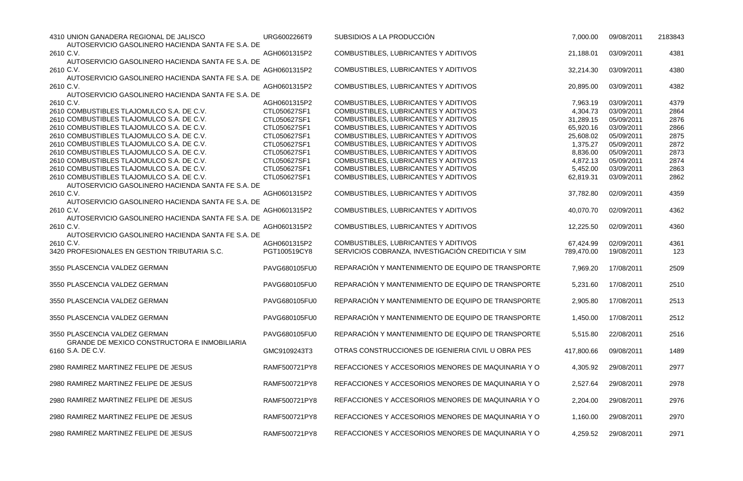| 4310 UNION GANADERA REGIONAL DE JALISCO<br>AUTOSERVICIO GASOLINERO HACIENDA SANTA FE S.A. DE | URG6002266T9  | SUBSIDIOS A LA PRODUCCIÓN                          | 7,000.00   | 09/08/2011 | 2183843 |
|----------------------------------------------------------------------------------------------|---------------|----------------------------------------------------|------------|------------|---------|
| 2610 C.V.                                                                                    | AGH0601315P2  | COMBUSTIBLES, LUBRICANTES Y ADITIVOS               | 21,188.01  | 03/09/2011 | 4381    |
| AUTOSERVICIO GASOLINERO HACIENDA SANTA FE S.A. DE                                            |               |                                                    |            |            |         |
| 2610 C.V.                                                                                    | AGH0601315P2  | COMBUSTIBLES, LUBRICANTES Y ADITIVOS               | 32,214.30  | 03/09/2011 | 4380    |
| AUTOSERVICIO GASOLINERO HACIENDA SANTA FE S.A. DE                                            |               |                                                    |            |            |         |
| 2610 C.V.                                                                                    | AGH0601315P2  | COMBUSTIBLES, LUBRICANTES Y ADITIVOS               | 20,895.00  | 03/09/2011 | 4382    |
| AUTOSERVICIO GASOLINERO HACIENDA SANTA FE S.A. DE                                            |               |                                                    |            |            |         |
| 2610 C.V.                                                                                    | AGH0601315P2  | COMBUSTIBLES, LUBRICANTES Y ADITIVOS               | 7,963.19   | 03/09/2011 | 4379    |
| 2610 COMBUSTIBLES TLAJOMULCO S.A. DE C.V.                                                    | CTL050627SF1  | COMBUSTIBLES, LUBRICANTES Y ADITIVOS               | 4,304.73   | 03/09/2011 | 2864    |
| 2610 COMBUSTIBLES TLAJOMULCO S.A. DE C.V.                                                    | CTL050627SF1  | COMBUSTIBLES, LUBRICANTES Y ADITIVOS               | 31,289.15  | 05/09/2011 | 2876    |
| 2610 COMBUSTIBLES TLAJOMULCO S.A. DE C.V.                                                    | CTL050627SF1  | COMBUSTIBLES, LUBRICANTES Y ADITIVOS               | 65,920.16  | 03/09/2011 | 2866    |
| 2610 COMBUSTIBLES TLAJOMULCO S.A. DE C.V.                                                    | CTL050627SF1  | COMBUSTIBLES, LUBRICANTES Y ADITIVOS               | 25,608.02  | 05/09/2011 | 2875    |
| 2610 COMBUSTIBLES TLAJOMULCO S.A. DE C.V.                                                    | CTL050627SF1  | COMBUSTIBLES, LUBRICANTES Y ADITIVOS               | 1,375.27   | 05/09/2011 | 2872    |
| 2610 COMBUSTIBLES TLAJOMULCO S.A. DE C.V.                                                    | CTL050627SF1  | COMBUSTIBLES, LUBRICANTES Y ADITIVOS               | 8,836.00   | 05/09/2011 | 2873    |
| 2610 COMBUSTIBLES TLAJOMULCO S.A. DE C.V.                                                    | CTL050627SF1  | COMBUSTIBLES, LUBRICANTES Y ADITIVOS               | 4,872.13   | 05/09/2011 | 2874    |
| 2610 COMBUSTIBLES TLAJOMULCO S.A. DE C.V.                                                    | CTL050627SF1  | COMBUSTIBLES, LUBRICANTES Y ADITIVOS               | 5,452.00   | 03/09/2011 | 2863    |
| 2610 COMBUSTIBLES TLAJOMULCO S.A. DE C.V.                                                    | CTL050627SF1  | COMBUSTIBLES, LUBRICANTES Y ADITIVOS               | 62,819.31  | 03/09/2011 | 2862    |
| AUTOSERVICIO GASOLINERO HACIENDA SANTA FE S.A. DE                                            |               |                                                    |            |            |         |
| 2610 C.V.                                                                                    | AGH0601315P2  | COMBUSTIBLES, LUBRICANTES Y ADITIVOS               | 37,782.80  | 02/09/2011 | 4359    |
| AUTOSERVICIO GASOLINERO HACIENDA SANTA FE S.A. DE                                            |               |                                                    |            |            |         |
| 2610 C.V.                                                                                    | AGH0601315P2  | COMBUSTIBLES, LUBRICANTES Y ADITIVOS               | 40,070.70  | 02/09/2011 | 4362    |
| AUTOSERVICIO GASOLINERO HACIENDA SANTA FE S.A. DE                                            |               |                                                    |            |            |         |
| 2610 C.V.                                                                                    | AGH0601315P2  | COMBUSTIBLES, LUBRICANTES Y ADITIVOS               | 12,225.50  | 02/09/2011 | 4360    |
| AUTOSERVICIO GASOLINERO HACIENDA SANTA FE S.A. DE                                            |               |                                                    |            |            |         |
| 2610 C.V.                                                                                    | AGH0601315P2  | COMBUSTIBLES, LUBRICANTES Y ADITIVOS               | 67,424.99  | 02/09/2011 | 4361    |
| 3420 PROFESIONALES EN GESTION TRIBUTARIA S.C.                                                | PGT100519CY8  | SERVICIOS COBRANZA, INVESTIGACIÓN CREDITICIA Y SIM | 789,470.00 | 19/08/2011 | 123     |
|                                                                                              |               |                                                    |            |            |         |
| 3550 PLASCENCIA VALDEZ GERMAN                                                                | PAVG680105FU0 | REPARACIÓN Y MANTENIMIENTO DE EQUIPO DE TRANSPORTE | 7,969.20   | 17/08/2011 | 2509    |
|                                                                                              |               |                                                    |            |            |         |
| 3550 PLASCENCIA VALDEZ GERMAN                                                                | PAVG680105FU0 | REPARACIÓN Y MANTENIMIENTO DE EQUIPO DE TRANSPORTE | 5,231.60   | 17/08/2011 | 2510    |
|                                                                                              |               |                                                    |            |            |         |
| 3550 PLASCENCIA VALDEZ GERMAN                                                                | PAVG680105FU0 | REPARACIÓN Y MANTENIMIENTO DE EQUIPO DE TRANSPORTE | 2,905.80   | 17/08/2011 | 2513    |
|                                                                                              |               |                                                    |            |            |         |
| 3550 PLASCENCIA VALDEZ GERMAN                                                                | PAVG680105FU0 | REPARACIÓN Y MANTENIMIENTO DE EQUIPO DE TRANSPORTE | 1,450.00   | 17/08/2011 | 2512    |
|                                                                                              |               |                                                    |            |            |         |
| 3550 PLASCENCIA VALDEZ GERMAN                                                                | PAVG680105FU0 | REPARACIÓN Y MANTENIMIENTO DE EQUIPO DE TRANSPORTE | 5,515.80   | 22/08/2011 | 2516    |
| <b>GRANDE DE MEXICO CONSTRUCTORA E INMOBILIARIA</b>                                          |               |                                                    |            |            |         |
| 6160 S.A. DE C.V.                                                                            | GMC9109243T3  | OTRAS CONSTRUCCIONES DE IGENIERIA CIVIL U OBRA PES | 417,800.66 | 09/08/2011 | 1489    |
|                                                                                              |               |                                                    |            |            |         |
| 2980 RAMIREZ MARTINEZ FELIPE DE JESUS                                                        | RAMF500721PY8 | REFACCIONES Y ACCESORIOS MENORES DE MAQUINARIA Y O | 4,305.92   | 29/08/2011 | 2977    |
|                                                                                              |               |                                                    |            |            |         |
| 2980 RAMIREZ MARTINEZ FELIPE DE JESUS                                                        | RAMF500721PY8 | REFACCIONES Y ACCESORIOS MENORES DE MAQUINARIA Y O | 2,527.64   | 29/08/2011 | 2978    |
|                                                                                              |               |                                                    |            |            |         |
| 2980 RAMIREZ MARTINEZ FELIPE DE JESUS                                                        | RAMF500721PY8 | REFACCIONES Y ACCESORIOS MENORES DE MAQUINARIA Y O | 2,204.00   | 29/08/2011 | 2976    |
|                                                                                              |               |                                                    |            |            |         |
| 2980 RAMIREZ MARTINEZ FELIPE DE JESUS                                                        | RAMF500721PY8 | REFACCIONES Y ACCESORIOS MENORES DE MAQUINARIA Y O | 1,160.00   | 29/08/2011 | 2970    |
|                                                                                              |               |                                                    |            |            |         |
| 2980 RAMIREZ MARTINEZ FELIPE DE JESUS                                                        | RAMF500721PY8 | REFACCIONES Y ACCESORIOS MENORES DE MAQUINARIA Y O | 4,259.52   | 29/08/2011 | 2971    |

|            | 7,000.00   | 09/08/2011          | 2183843 |
|------------|------------|---------------------|---------|
|            | 21,188.01  | 03/09/2011          | 4381    |
|            | 32,214.30  | 03/09/2011          | 4380    |
|            | 20,895.00  | 03/09/2011          | 4382    |
|            | 7,963.19   | 03/09/2011          | 4379    |
|            | 4,304.73   | 03/09/2011          | 2864    |
|            | 31,289.15  | 05/09/2011          | 2876    |
|            | 65,920.16  | 03/09/2011          | 2866    |
|            | 25,608.02  | 05/09/2011          | 2875    |
|            | 1,375.27   | 05/09/2011          | 2872    |
|            |            |                     |         |
|            | 8,836.00   | 05/09/2011          | 2873    |
|            | 4,872.13   | 05/09/2011          | 2874    |
|            | 5,452.00   | 03/09/2011          | 2863    |
|            | 62,819.31  | 03/09/2011          | 2862    |
|            | 37,782.80  | 02/09/2011          | 4359    |
|            | 40,070.70  | 02/09/2011          | 4362    |
|            | 12,225.50  | 02/09/2011          | 4360    |
|            | 67,424.99  | 02/09/2011          | 4361    |
|            | 789,470.00 | 19/08/2011          | 123     |
| <b>TE</b>  | 7,969.20   | 17/08/2011          | 2509    |
| <b>RTE</b> | 5,231.60   | 17/08/2011          | 2510    |
| <b>RTE</b> | 2,905.80   | 17/08/2011          | 2513    |
| <b>RTE</b> | 1,450.00   | 17/08/2011          | 2512    |
| <b>TE</b>  | 5,515.80   | 22/08/2011          | 2516    |
|            | 417,800.66 | 09/08/2011          | 1489    |
| $\sqrt{O}$ | 4,305.92   | 29/08/2011          | 2977    |
| $\sqrt{O}$ | 2,527.64   | 29/08/2011          | 2978    |
| $\sqrt{O}$ | 2,204.00   | 29/08/2011          | 2976    |
| $\sqrt{O}$ |            | 1,160.00 29/08/2011 | 2970    |
| $\sim$ O   | 4,259.52   | 29/08/2011          | 2971    |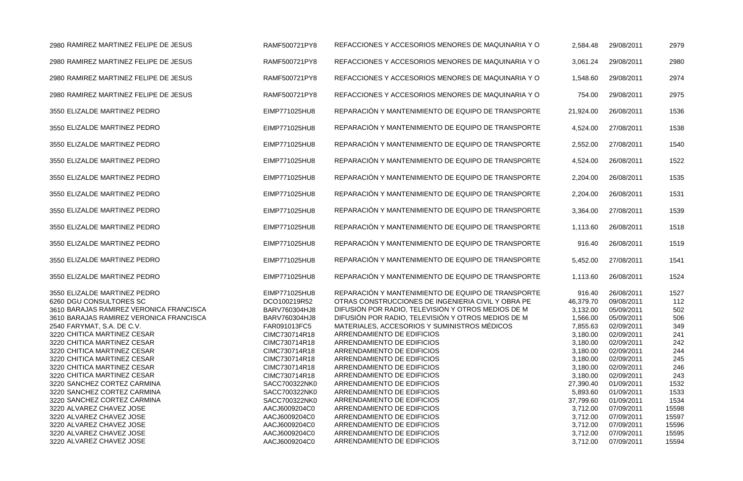2980 RAMIREZ MARTINEZ FELIPE DE JESUS **RAMF500721PY8 REFACCIONES Y ACCESORIOS MENORES** DE MAQUINARIA Y O 2980 RAMIREZ MARTINEZ FELIPE DE JESUS RAMF500721PY8 REFACCIONES Y ACCESORIOS MENORES DE MAQUINARIA Y O 3,061.24 29/08/2011 2980 2980 RAMIREZ MARTINEZ FELIPE DE JESUS RAMF500721PY8 REFACCIONES Y ACCESORIOS MENORES DE MAQUINARIA Y O 1,548.60 29/08/2011 2974 2980 RAMIREZ MARTINEZ FELIPE DE JESUS RAMF500721PY8 REFACCIONES Y ACCESORIOS MENORES DE MAQUINARIA Y O 3550 ELIZALDE MARTINEZ PEDRO EN EIMP771025HU8 REPARACIÓN Y MANTENIMIENTO DE EQUIPO DE TRANSPORTE 3550 ELIZALDE MARTINEZ PEDRO EN EIMP771025HU8 REPARACIÓN Y MANTENIMIENTO DE EQUIPO DE TRANSPORTE 3550 ELIZALDE MARTINEZ PEDRO EN ELIMP771025HU8 REPARACIÓN Y MANTENIMIENTO DE EQUIPO DE TRANSPORTE 3550 ELIZALDE MARTINEZ PEDRO EN ENP771025HU8 REPARACIÓN Y MANTENIMIENTO DE EQUIPO DE TRANSPORTE 3550 ELIZALDE MARTINEZ PEDRO EN EIMP771025HU8 REPARACIÓN Y MANTENIMIENTO DE EQUIPO DE TRANSPORTE 3550 ELIZALDE MARTINEZ PEDRO EN EIMP771025HU8 REPARACIÓN Y MANTENIMIENTO DE EQUIPO DE TRANSPORTE 3550 ELIZALDE MARTINEZ PEDRO EN EIMP771025HU8 REPARACIÓN Y MANTENIMIENTO DE EQUIPO DE TRANSPORTE 3550 ELIZALDE MARTINEZ PEDRO EN EIMP771025HU8 REPARACIÓN Y MANTENIMIENTO DE EQUIPO DE TRANSPORTE 3550 ELIZALDE MARTINEZ PEDRO EN EIMP771025HU8 REPARACIÓN Y MANTENIMIENTO DE EQUIPO DE TRANSPORTE 3550 ELIZALDE MARTINEZ PEDRO EN EIMP771025HU8 REPARACIÓN Y MANTENIMIENTO DE EQUIPO DE TRANSPORTE 3550 ELIZALDE MARTINEZ PEDRO EN EIMP771025HU8 REPARACIÓN Y MANTENIMIENTO DE EQUIPO DE TRANSPORTE 3550 ELIZALDE MARTINEZ PEDRO EN EIMP771025HU8 REPARACIÓN Y MANTENIMIENTO DE EQUIPO DE TRANSPORTE 6260 DGU CONSULTORES SC DCO100219R52 OTRAS CONSTRUCCIONES DE INGENIERIA CIVIL Y OBRA PE 3610 BARAJAS RAMIREZ VERONICA FRANCISCA BARV760304HJ8 DIFUSIÓN POR RADIO, TELEVISIÓN Y OTROS MEDIOS DE M 3610 BARAJAS RAMIREZ VERONICA FRANCISCA BARV760304HJ8 DIFUSIÓN POR RADIO, TELEVISIÓN Y OTROS MEDIOS DE M 1,566.00 05/09/2011 506 2540 FARYMAT, S.A. DE C.V. FARO91013FC5 MATERIALES, ACCESORIOS Y SUMINISTROS MÉDICOS 3220 CHITICA MARTINEZ CESAR CIMC730714R18 ARRENDAMIENTO DE EDIFICIOS 3220 CHITICA MARTINEZ CESAR CIMC730714R18 ARRENDAMIENTO DE EDIFICIOS 3220 CHITICA MARTINEZ CESAR CIMC730714R18 ARRENDAMIENTO DE EDIFICIOS 3220 CHITICA MARTINEZ CESAR CIMC730714R18 ARRENDAMIENTO DE EDIFICIOS 3220 CHITICA MARTINEZ CESAR CIMC730714R18 ARRENDAMIENTO DE EDIFICIOS 3220 CHITICA MARTINEZ CESAR CIMC730714R18 ARRENDAMIENTO DE EDIFICIOS 3220 SANCHEZ CORTEZ CARMINA SACC700322NK0 ARRENDAMIENTO DE EDIFICIOS 3220 SANCHEZ CORTEZ CARMINA SACC700322NK0 ARRENDAMIENTO DE EDIFICIOS 3220 SANCHEZ CORTEZ CARMINA SACC700322NK0 ARRENDAMIENTO DE EDIFICIOS 3220 ALVAREZ CHAVEZ JOSE AACJ6009204C0 ARRENDAMIENTO DE EDIFICIOS 3220 ALVAREZ CHAVEZ JOSE AACJ6009204C0 ARRENDAMIENTO DE EDIFICIOS 3220 ALVAREZ CHAVEZ JOSE AACJ6009204C0 ARRENDAMIENTO DE EDIFICIOS 3220 ALVAREZ CHAVEZ JOSE AACJ6009204C0 ARRENDAMIENTO DE EDIFICIOS 3220 ALVAREZ CHAVEZ JOSE AACJ6009204C0 ARRENDAMIENTO DE EDIFICIOS

| 2,584.48                                                                                                                                                                                                  | 29/08/2011                                                                                                                                                                                                                                 | 2979                                                                                                                          |
|-----------------------------------------------------------------------------------------------------------------------------------------------------------------------------------------------------------|--------------------------------------------------------------------------------------------------------------------------------------------------------------------------------------------------------------------------------------------|-------------------------------------------------------------------------------------------------------------------------------|
| 3,061.24                                                                                                                                                                                                  | 29/08/2011                                                                                                                                                                                                                                 | 2980                                                                                                                          |
| 1,548.60                                                                                                                                                                                                  | 29/08/2011                                                                                                                                                                                                                                 | 2974                                                                                                                          |
| 754.00                                                                                                                                                                                                    | 29/08/2011                                                                                                                                                                                                                                 | 2975                                                                                                                          |
| 21,924.00                                                                                                                                                                                                 | 26/08/2011                                                                                                                                                                                                                                 | 1536                                                                                                                          |
| 4,524.00                                                                                                                                                                                                  | 27/08/2011                                                                                                                                                                                                                                 | 1538                                                                                                                          |
| 2,552.00                                                                                                                                                                                                  | 27/08/2011                                                                                                                                                                                                                                 | 1540                                                                                                                          |
| 4,524.00                                                                                                                                                                                                  | 26/08/2011                                                                                                                                                                                                                                 | 1522                                                                                                                          |
| 2,204.00                                                                                                                                                                                                  | 26/08/2011                                                                                                                                                                                                                                 | 1535                                                                                                                          |
| 2,204.00                                                                                                                                                                                                  | 26/08/2011                                                                                                                                                                                                                                 | 1531                                                                                                                          |
| 3,364.00                                                                                                                                                                                                  | 27/08/2011                                                                                                                                                                                                                                 | 1539                                                                                                                          |
| 1,113.60                                                                                                                                                                                                  | 26/08/2011                                                                                                                                                                                                                                 | 1518                                                                                                                          |
| 916.40                                                                                                                                                                                                    | 26/08/2011                                                                                                                                                                                                                                 | 1519                                                                                                                          |
| 5,452.00                                                                                                                                                                                                  | 27/08/2011                                                                                                                                                                                                                                 | 1541                                                                                                                          |
| 1,113.60                                                                                                                                                                                                  | 26/08/2011                                                                                                                                                                                                                                 | 1524                                                                                                                          |
| 916.40<br>46,379.70<br>3,132.00<br>1,566.00<br>7,855.63<br>3,180.00<br>3,180.00<br>3,180.00<br>3,180.00<br>3,180.00<br>3,180.00<br>27,390.40<br>5,893.60<br>37,799.60<br>3,712.00<br>3,712.00<br>3,712.00 | 26/08/2011<br>09/08/2011<br>05/09/2011<br>05/09/2011<br>02/09/2011<br>02/09/2011<br>02/09/2011<br>02/09/2011<br>02/09/2011<br>02/09/2011<br>02/09/2011<br>01/09/2011<br>01/09/2011<br>01/09/2011<br>07/09/2011<br>07/09/2011<br>07/09/2011 | 1527<br>112<br>502<br>506<br>349<br>241<br>242<br>244<br>245<br>246<br>243<br>1532<br>1533<br>1534<br>15598<br>15597<br>15596 |
| 3,712.00<br>3,712.00                                                                                                                                                                                      | 07/09/2011<br>07/09/2011                                                                                                                                                                                                                   | 15595<br>15594                                                                                                                |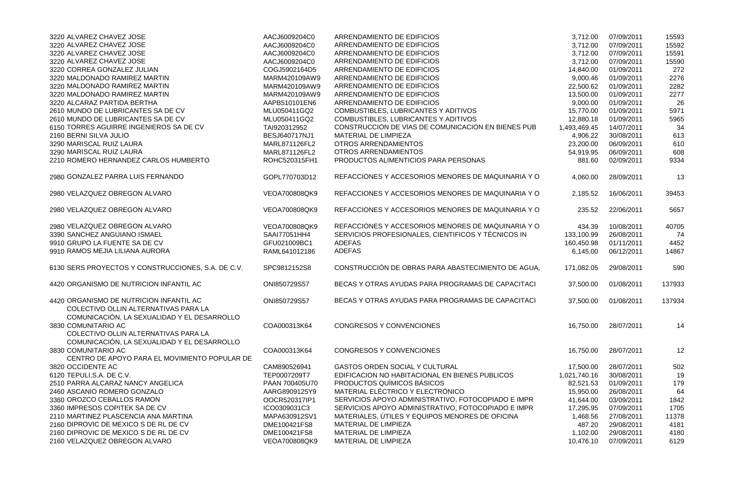| 15592<br>ARRENDAMIENTO DE EDIFICIOS<br>3,712.00<br>07/09/2011<br>AACJ6009204C0<br>ARRENDAMIENTO DE EDIFICIOS<br>15591<br>AACJ6009204C0<br>3,712.00<br>07/09/2011<br>ARRENDAMIENTO DE EDIFICIOS<br>3,712.00<br>07/09/2011<br>15590<br>AACJ6009204C0<br>COGJ5902164D5<br>ARRENDAMIENTO DE EDIFICIOS<br>01/09/2011<br>272<br>14,840.00<br>ARRENDAMIENTO DE EDIFICIOS<br>2276<br>MARM420109AW9<br>9,000.46<br>01/09/2011<br>ARRENDAMIENTO DE EDIFICIOS<br>MARM420109AW9<br>22,500.62<br>01/09/2011<br>2282<br>ARRENDAMIENTO DE EDIFICIOS<br>MARM420109AW9<br>13,500.00<br>01/09/2011<br>2277<br>ARRENDAMIENTO DE EDIFICIOS<br>9,000.00<br>01/09/2011<br>26<br>AAPB510101EN6<br>5971<br>COMBUSTIBLES, LUBRICANTES Y ADITIVOS<br>01/09/2011<br>MLU050411GQ2<br>15,770.00<br>COMBUSTIBLES, LUBRICANTES Y ADITIVOS<br>12,880.18<br>01/09/2011<br>5965<br>MLU050411GQ2<br>CONSTRUCCIÓN DE VÍAS DE COMUNICACIÓN EN BIENES PÚB<br>TAI920312952<br>1,493,469.45<br>14/07/2011<br>34<br>BESJ640717NJ1<br><b>MATERIAL DE LIMPIEZA</b><br>30/08/2011<br>613<br>4,906.22<br><b>OTROS ARRENDAMIENTOS</b><br>MARL871126FL2<br>06/09/2011<br>610<br>23,200.00<br><b>OTROS ARRENDAMIENTOS</b><br>54,919.95<br>06/09/2011<br>608<br>MARL871126FL2<br>PRODUCTOS ALIMENTICIOS PARA PERSONAS<br>02/09/2011<br>9334<br>ROHC520315FH1<br>881.60<br>GOPL770703D12<br>REFACCIONES Y ACCESORIOS MENORES DE MAQUINARIA Y O<br>28/09/2011<br>13<br>4,060.00<br>VEOA700808QK9<br>REFACCIONES Y ACCESORIOS MENORES DE MAQUINARIA Y O<br>39453<br>2,185.52<br>16/06/2011<br>REFACCIONES Y ACCESORIOS MENORES DE MAQUINARIA Y O<br>22/06/2011<br>5657<br>VEOA700808QK9<br>235.52<br>REFACCIONES Y ACCESORIOS MENORES DE MAQUINARIA Y O<br>VEOA700808QK9<br>40705<br>10/08/2011<br>434.39<br>SERVICIOS PROFESIONALES, CIENTIFICOS Y TÉCNICOS IN<br>SAAI77051HH4<br>133,100.99<br>26/08/2011<br>74<br>GFU021009BC1<br>160,450.98<br>01/11/2011<br>4452<br><b>ADEFAS</b><br><b>ADEFAS</b><br>RAML641012186<br>6,145.00<br>06/12/2011<br>14867<br>CONSTRUCCIÓN DE OBRAS PARA ABASTECIMIENTO DE AGUA,<br>SPC9812152S8<br>171,082.05<br>29/08/2011<br>590<br>ONI850729S57<br>BECAS Y OTRAS AYUDAS PARA PROGRAMAS DE CAPACITACI<br>37,500.00<br>01/08/2011<br>137933<br>ONI850729S57<br>BECAS Y OTRAS AYUDAS PARA PROGRAMAS DE CAPACITACI<br>37,500.00<br>01/08/2011<br>137934<br>COLECTIVO OLLIN ALTERNATIVAS PARA LA<br>COMUNICACIÓN, LA SEXUALIDAD Y EL DESARROLLO<br>3830 COMUNITARIO AC<br>COA000313K64<br><b>CONGRESOS Y CONVENCIONES</b><br>28/07/2011<br>16,750.00<br>14<br>COLECTIVO OLLIN ALTERNATIVAS PARA LA<br>COMUNICACIÓN, LA SEXUALIDAD Y EL DESARROLLO<br>3830 COMUNITARIO AC<br><b>CONGRESOS Y CONVENCIONES</b><br>COA000313K64<br>16,750.00<br>28/07/2011<br>12<br>CENTRO DE APOYO PARA EL MOVIMIENTO POPULAR DE<br>3820 OCCIDENTE AC<br><b>GASTOS ORDEN SOCIAL Y CULTURAL</b><br>CAM890526941<br>28/07/2011<br>502<br>17,500.00<br>EDIFICACION NO HABITACIONAL EN BIENES PUBLICOS<br>6120 TEPULI, S.A. DE C.V.<br>30/08/2011<br>TEP0007209T7<br>1,021,740.16<br>19<br>PRODUCTOS QUÍMICOS BÁSICOS<br>2510 PARRA ALCARAZ NANCY ANGELICA<br>PAAN 700405U70<br>01/09/2011<br>82,521.53<br>179<br>MATERIAL ELÉCTRICO Y ELECTRÓNICO<br>2460 ASCANIO ROMERO GONZALO<br>64<br>AARG8909125Y9<br>15,950.00<br>26/08/2011<br>3360 OROZCO CEBALLOS RAMON<br>SERVICIOS APOYO ADMINISTRATIVO, FOTOCOPIADO E IMPR<br>03/09/2011<br>OOCR520317IP1<br>41,644.00<br>1842<br>3360 IMPRESOS COPITEK SA DE CV<br>SERVICIOS APOYO ADMINISTRATIVO, FOTOCOPIADO E IMPR<br>ICO0309031C3<br>07/09/2011<br>17,295.95<br>1705<br>MATERIALES, ÚTILES Y EQUIPOS MENORES DE OFICINA<br>2110 MARTINEZ PLASCENCIA ANA MARTINA<br>11378<br>MAPA630912SV1<br>27/08/2011<br>1,468.56<br>2160 DIPROVIC DE MEXICO S DE RL DE CV<br>MATERIAL DE LIMPIEZA<br>4181<br>DME100421FS8<br>29/08/2011<br>487.20<br>2160 DIPROVIC DE MEXICO S DE RL DE CV<br>MATERIAL DE LIMPIEZA<br>DME100421FS8<br>1,102.00<br>29/08/2011<br>4180 | 3220 ALVAREZ CHAVEZ JOSE                           | AACJ6009204C0 | ARRENDAMIENTO DE EDIFICIOS | 3,712.00  | 07/09/2011 | 15593 |
|----------------------------------------------------------------------------------------------------------------------------------------------------------------------------------------------------------------------------------------------------------------------------------------------------------------------------------------------------------------------------------------------------------------------------------------------------------------------------------------------------------------------------------------------------------------------------------------------------------------------------------------------------------------------------------------------------------------------------------------------------------------------------------------------------------------------------------------------------------------------------------------------------------------------------------------------------------------------------------------------------------------------------------------------------------------------------------------------------------------------------------------------------------------------------------------------------------------------------------------------------------------------------------------------------------------------------------------------------------------------------------------------------------------------------------------------------------------------------------------------------------------------------------------------------------------------------------------------------------------------------------------------------------------------------------------------------------------------------------------------------------------------------------------------------------------------------------------------------------------------------------------------------------------------------------------------------------------------------------------------------------------------------------------------------------------------------------------------------------------------------------------------------------------------------------------------------------------------------------------------------------------------------------------------------------------------------------------------------------------------------------------------------------------------------------------------------------------------------------------------------------------------------------------------------------------------------------------------------------------------------------------------------------------------------------------------------------------------------------------------------------------------------------------------------------------------------------------------------------------------------------------------------------------------------------------------------------------------------------------------------------------------------------------------------------------------------------------------------------------------------------------------------------------------------------------------------------------------------------------------------------------------------------------------------------------------------------------------------------------------------------------------------------------------------------------------------------------------------------------------------------------------------------------------------------------------------------------------------------------------------------------------------------------------------------------------------------------------------------------------------------------------------------------------------------------------------------------------------------------------------------------------------------------------------------------------------------------|----------------------------------------------------|---------------|----------------------------|-----------|------------|-------|
|                                                                                                                                                                                                                                                                                                                                                                                                                                                                                                                                                                                                                                                                                                                                                                                                                                                                                                                                                                                                                                                                                                                                                                                                                                                                                                                                                                                                                                                                                                                                                                                                                                                                                                                                                                                                                                                                                                                                                                                                                                                                                                                                                                                                                                                                                                                                                                                                                                                                                                                                                                                                                                                                                                                                                                                                                                                                                                                                                                                                                                                                                                                                                                                                                                                                                                                                                                                                                                                                                                                                                                                                                                                                                                                                                                                                                                                                                                                                                                | 3220 ALVAREZ CHAVEZ JOSE                           |               |                            |           |            |       |
|                                                                                                                                                                                                                                                                                                                                                                                                                                                                                                                                                                                                                                                                                                                                                                                                                                                                                                                                                                                                                                                                                                                                                                                                                                                                                                                                                                                                                                                                                                                                                                                                                                                                                                                                                                                                                                                                                                                                                                                                                                                                                                                                                                                                                                                                                                                                                                                                                                                                                                                                                                                                                                                                                                                                                                                                                                                                                                                                                                                                                                                                                                                                                                                                                                                                                                                                                                                                                                                                                                                                                                                                                                                                                                                                                                                                                                                                                                                                                                | 3220 ALVAREZ CHAVEZ JOSE                           |               |                            |           |            |       |
|                                                                                                                                                                                                                                                                                                                                                                                                                                                                                                                                                                                                                                                                                                                                                                                                                                                                                                                                                                                                                                                                                                                                                                                                                                                                                                                                                                                                                                                                                                                                                                                                                                                                                                                                                                                                                                                                                                                                                                                                                                                                                                                                                                                                                                                                                                                                                                                                                                                                                                                                                                                                                                                                                                                                                                                                                                                                                                                                                                                                                                                                                                                                                                                                                                                                                                                                                                                                                                                                                                                                                                                                                                                                                                                                                                                                                                                                                                                                                                | 3220 ALVAREZ CHAVEZ JOSE                           |               |                            |           |            |       |
|                                                                                                                                                                                                                                                                                                                                                                                                                                                                                                                                                                                                                                                                                                                                                                                                                                                                                                                                                                                                                                                                                                                                                                                                                                                                                                                                                                                                                                                                                                                                                                                                                                                                                                                                                                                                                                                                                                                                                                                                                                                                                                                                                                                                                                                                                                                                                                                                                                                                                                                                                                                                                                                                                                                                                                                                                                                                                                                                                                                                                                                                                                                                                                                                                                                                                                                                                                                                                                                                                                                                                                                                                                                                                                                                                                                                                                                                                                                                                                | 3220 CORREA GONZALEZ JULIAN                        |               |                            |           |            |       |
|                                                                                                                                                                                                                                                                                                                                                                                                                                                                                                                                                                                                                                                                                                                                                                                                                                                                                                                                                                                                                                                                                                                                                                                                                                                                                                                                                                                                                                                                                                                                                                                                                                                                                                                                                                                                                                                                                                                                                                                                                                                                                                                                                                                                                                                                                                                                                                                                                                                                                                                                                                                                                                                                                                                                                                                                                                                                                                                                                                                                                                                                                                                                                                                                                                                                                                                                                                                                                                                                                                                                                                                                                                                                                                                                                                                                                                                                                                                                                                | 3220 MALDONADO RAMIREZ MARTIN                      |               |                            |           |            |       |
|                                                                                                                                                                                                                                                                                                                                                                                                                                                                                                                                                                                                                                                                                                                                                                                                                                                                                                                                                                                                                                                                                                                                                                                                                                                                                                                                                                                                                                                                                                                                                                                                                                                                                                                                                                                                                                                                                                                                                                                                                                                                                                                                                                                                                                                                                                                                                                                                                                                                                                                                                                                                                                                                                                                                                                                                                                                                                                                                                                                                                                                                                                                                                                                                                                                                                                                                                                                                                                                                                                                                                                                                                                                                                                                                                                                                                                                                                                                                                                | 3220 MALDONADO RAMIREZ MARTIN                      |               |                            |           |            |       |
|                                                                                                                                                                                                                                                                                                                                                                                                                                                                                                                                                                                                                                                                                                                                                                                                                                                                                                                                                                                                                                                                                                                                                                                                                                                                                                                                                                                                                                                                                                                                                                                                                                                                                                                                                                                                                                                                                                                                                                                                                                                                                                                                                                                                                                                                                                                                                                                                                                                                                                                                                                                                                                                                                                                                                                                                                                                                                                                                                                                                                                                                                                                                                                                                                                                                                                                                                                                                                                                                                                                                                                                                                                                                                                                                                                                                                                                                                                                                                                | 3220 MALDONADO RAMIREZ MARTIN                      |               |                            |           |            |       |
|                                                                                                                                                                                                                                                                                                                                                                                                                                                                                                                                                                                                                                                                                                                                                                                                                                                                                                                                                                                                                                                                                                                                                                                                                                                                                                                                                                                                                                                                                                                                                                                                                                                                                                                                                                                                                                                                                                                                                                                                                                                                                                                                                                                                                                                                                                                                                                                                                                                                                                                                                                                                                                                                                                                                                                                                                                                                                                                                                                                                                                                                                                                                                                                                                                                                                                                                                                                                                                                                                                                                                                                                                                                                                                                                                                                                                                                                                                                                                                | 3220 ALCARAZ PARTIDA BERTHA                        |               |                            |           |            |       |
|                                                                                                                                                                                                                                                                                                                                                                                                                                                                                                                                                                                                                                                                                                                                                                                                                                                                                                                                                                                                                                                                                                                                                                                                                                                                                                                                                                                                                                                                                                                                                                                                                                                                                                                                                                                                                                                                                                                                                                                                                                                                                                                                                                                                                                                                                                                                                                                                                                                                                                                                                                                                                                                                                                                                                                                                                                                                                                                                                                                                                                                                                                                                                                                                                                                                                                                                                                                                                                                                                                                                                                                                                                                                                                                                                                                                                                                                                                                                                                | 2610 MUNDO DE LUBRICANTES SA DE CV                 |               |                            |           |            |       |
|                                                                                                                                                                                                                                                                                                                                                                                                                                                                                                                                                                                                                                                                                                                                                                                                                                                                                                                                                                                                                                                                                                                                                                                                                                                                                                                                                                                                                                                                                                                                                                                                                                                                                                                                                                                                                                                                                                                                                                                                                                                                                                                                                                                                                                                                                                                                                                                                                                                                                                                                                                                                                                                                                                                                                                                                                                                                                                                                                                                                                                                                                                                                                                                                                                                                                                                                                                                                                                                                                                                                                                                                                                                                                                                                                                                                                                                                                                                                                                | 2610 MUNDO DE LUBRICANTES SA DE CV                 |               |                            |           |            |       |
|                                                                                                                                                                                                                                                                                                                                                                                                                                                                                                                                                                                                                                                                                                                                                                                                                                                                                                                                                                                                                                                                                                                                                                                                                                                                                                                                                                                                                                                                                                                                                                                                                                                                                                                                                                                                                                                                                                                                                                                                                                                                                                                                                                                                                                                                                                                                                                                                                                                                                                                                                                                                                                                                                                                                                                                                                                                                                                                                                                                                                                                                                                                                                                                                                                                                                                                                                                                                                                                                                                                                                                                                                                                                                                                                                                                                                                                                                                                                                                | 6150 TORRES AGUIRRE INGENIEROS SA DE CV            |               |                            |           |            |       |
|                                                                                                                                                                                                                                                                                                                                                                                                                                                                                                                                                                                                                                                                                                                                                                                                                                                                                                                                                                                                                                                                                                                                                                                                                                                                                                                                                                                                                                                                                                                                                                                                                                                                                                                                                                                                                                                                                                                                                                                                                                                                                                                                                                                                                                                                                                                                                                                                                                                                                                                                                                                                                                                                                                                                                                                                                                                                                                                                                                                                                                                                                                                                                                                                                                                                                                                                                                                                                                                                                                                                                                                                                                                                                                                                                                                                                                                                                                                                                                | 2160 BERNI SILVA JULIO                             |               |                            |           |            |       |
|                                                                                                                                                                                                                                                                                                                                                                                                                                                                                                                                                                                                                                                                                                                                                                                                                                                                                                                                                                                                                                                                                                                                                                                                                                                                                                                                                                                                                                                                                                                                                                                                                                                                                                                                                                                                                                                                                                                                                                                                                                                                                                                                                                                                                                                                                                                                                                                                                                                                                                                                                                                                                                                                                                                                                                                                                                                                                                                                                                                                                                                                                                                                                                                                                                                                                                                                                                                                                                                                                                                                                                                                                                                                                                                                                                                                                                                                                                                                                                | 3290 MARISCAL RUIZ LAURA                           |               |                            |           |            |       |
|                                                                                                                                                                                                                                                                                                                                                                                                                                                                                                                                                                                                                                                                                                                                                                                                                                                                                                                                                                                                                                                                                                                                                                                                                                                                                                                                                                                                                                                                                                                                                                                                                                                                                                                                                                                                                                                                                                                                                                                                                                                                                                                                                                                                                                                                                                                                                                                                                                                                                                                                                                                                                                                                                                                                                                                                                                                                                                                                                                                                                                                                                                                                                                                                                                                                                                                                                                                                                                                                                                                                                                                                                                                                                                                                                                                                                                                                                                                                                                | 3290 MARISCAL RUIZ LAURA                           |               |                            |           |            |       |
|                                                                                                                                                                                                                                                                                                                                                                                                                                                                                                                                                                                                                                                                                                                                                                                                                                                                                                                                                                                                                                                                                                                                                                                                                                                                                                                                                                                                                                                                                                                                                                                                                                                                                                                                                                                                                                                                                                                                                                                                                                                                                                                                                                                                                                                                                                                                                                                                                                                                                                                                                                                                                                                                                                                                                                                                                                                                                                                                                                                                                                                                                                                                                                                                                                                                                                                                                                                                                                                                                                                                                                                                                                                                                                                                                                                                                                                                                                                                                                | 2210 ROMERO HERNANDEZ CARLOS HUMBERTO              |               |                            |           |            |       |
|                                                                                                                                                                                                                                                                                                                                                                                                                                                                                                                                                                                                                                                                                                                                                                                                                                                                                                                                                                                                                                                                                                                                                                                                                                                                                                                                                                                                                                                                                                                                                                                                                                                                                                                                                                                                                                                                                                                                                                                                                                                                                                                                                                                                                                                                                                                                                                                                                                                                                                                                                                                                                                                                                                                                                                                                                                                                                                                                                                                                                                                                                                                                                                                                                                                                                                                                                                                                                                                                                                                                                                                                                                                                                                                                                                                                                                                                                                                                                                | 2980 GONZALEZ PARRA LUIS FERNANDO                  |               |                            |           |            |       |
|                                                                                                                                                                                                                                                                                                                                                                                                                                                                                                                                                                                                                                                                                                                                                                                                                                                                                                                                                                                                                                                                                                                                                                                                                                                                                                                                                                                                                                                                                                                                                                                                                                                                                                                                                                                                                                                                                                                                                                                                                                                                                                                                                                                                                                                                                                                                                                                                                                                                                                                                                                                                                                                                                                                                                                                                                                                                                                                                                                                                                                                                                                                                                                                                                                                                                                                                                                                                                                                                                                                                                                                                                                                                                                                                                                                                                                                                                                                                                                | 2980 VELAZQUEZ OBREGON ALVARO                      |               |                            |           |            |       |
|                                                                                                                                                                                                                                                                                                                                                                                                                                                                                                                                                                                                                                                                                                                                                                                                                                                                                                                                                                                                                                                                                                                                                                                                                                                                                                                                                                                                                                                                                                                                                                                                                                                                                                                                                                                                                                                                                                                                                                                                                                                                                                                                                                                                                                                                                                                                                                                                                                                                                                                                                                                                                                                                                                                                                                                                                                                                                                                                                                                                                                                                                                                                                                                                                                                                                                                                                                                                                                                                                                                                                                                                                                                                                                                                                                                                                                                                                                                                                                | 2980 VELAZQUEZ OBREGON ALVARO                      |               |                            |           |            |       |
|                                                                                                                                                                                                                                                                                                                                                                                                                                                                                                                                                                                                                                                                                                                                                                                                                                                                                                                                                                                                                                                                                                                                                                                                                                                                                                                                                                                                                                                                                                                                                                                                                                                                                                                                                                                                                                                                                                                                                                                                                                                                                                                                                                                                                                                                                                                                                                                                                                                                                                                                                                                                                                                                                                                                                                                                                                                                                                                                                                                                                                                                                                                                                                                                                                                                                                                                                                                                                                                                                                                                                                                                                                                                                                                                                                                                                                                                                                                                                                | 2980 VELAZQUEZ OBREGON ALVARO                      |               |                            |           |            |       |
|                                                                                                                                                                                                                                                                                                                                                                                                                                                                                                                                                                                                                                                                                                                                                                                                                                                                                                                                                                                                                                                                                                                                                                                                                                                                                                                                                                                                                                                                                                                                                                                                                                                                                                                                                                                                                                                                                                                                                                                                                                                                                                                                                                                                                                                                                                                                                                                                                                                                                                                                                                                                                                                                                                                                                                                                                                                                                                                                                                                                                                                                                                                                                                                                                                                                                                                                                                                                                                                                                                                                                                                                                                                                                                                                                                                                                                                                                                                                                                | 3390 SANCHEZ ANGUIANO ISMAEL                       |               |                            |           |            |       |
|                                                                                                                                                                                                                                                                                                                                                                                                                                                                                                                                                                                                                                                                                                                                                                                                                                                                                                                                                                                                                                                                                                                                                                                                                                                                                                                                                                                                                                                                                                                                                                                                                                                                                                                                                                                                                                                                                                                                                                                                                                                                                                                                                                                                                                                                                                                                                                                                                                                                                                                                                                                                                                                                                                                                                                                                                                                                                                                                                                                                                                                                                                                                                                                                                                                                                                                                                                                                                                                                                                                                                                                                                                                                                                                                                                                                                                                                                                                                                                | 9910 GRUPO LA FUENTE SA DE CV                      |               |                            |           |            |       |
|                                                                                                                                                                                                                                                                                                                                                                                                                                                                                                                                                                                                                                                                                                                                                                                                                                                                                                                                                                                                                                                                                                                                                                                                                                                                                                                                                                                                                                                                                                                                                                                                                                                                                                                                                                                                                                                                                                                                                                                                                                                                                                                                                                                                                                                                                                                                                                                                                                                                                                                                                                                                                                                                                                                                                                                                                                                                                                                                                                                                                                                                                                                                                                                                                                                                                                                                                                                                                                                                                                                                                                                                                                                                                                                                                                                                                                                                                                                                                                | 9910 RAMOS MEJIA LILIANA AURORA                    |               |                            |           |            |       |
|                                                                                                                                                                                                                                                                                                                                                                                                                                                                                                                                                                                                                                                                                                                                                                                                                                                                                                                                                                                                                                                                                                                                                                                                                                                                                                                                                                                                                                                                                                                                                                                                                                                                                                                                                                                                                                                                                                                                                                                                                                                                                                                                                                                                                                                                                                                                                                                                                                                                                                                                                                                                                                                                                                                                                                                                                                                                                                                                                                                                                                                                                                                                                                                                                                                                                                                                                                                                                                                                                                                                                                                                                                                                                                                                                                                                                                                                                                                                                                | 6130 SERS PROYECTOS Y CONSTRUCCIONES, S.A. DE C.V. |               |                            |           |            |       |
|                                                                                                                                                                                                                                                                                                                                                                                                                                                                                                                                                                                                                                                                                                                                                                                                                                                                                                                                                                                                                                                                                                                                                                                                                                                                                                                                                                                                                                                                                                                                                                                                                                                                                                                                                                                                                                                                                                                                                                                                                                                                                                                                                                                                                                                                                                                                                                                                                                                                                                                                                                                                                                                                                                                                                                                                                                                                                                                                                                                                                                                                                                                                                                                                                                                                                                                                                                                                                                                                                                                                                                                                                                                                                                                                                                                                                                                                                                                                                                | 4420 ORGANISMO DE NUTRICION INFANTIL AC            |               |                            |           |            |       |
|                                                                                                                                                                                                                                                                                                                                                                                                                                                                                                                                                                                                                                                                                                                                                                                                                                                                                                                                                                                                                                                                                                                                                                                                                                                                                                                                                                                                                                                                                                                                                                                                                                                                                                                                                                                                                                                                                                                                                                                                                                                                                                                                                                                                                                                                                                                                                                                                                                                                                                                                                                                                                                                                                                                                                                                                                                                                                                                                                                                                                                                                                                                                                                                                                                                                                                                                                                                                                                                                                                                                                                                                                                                                                                                                                                                                                                                                                                                                                                | 4420 ORGANISMO DE NUTRICION INFANTIL AC            |               |                            |           |            |       |
|                                                                                                                                                                                                                                                                                                                                                                                                                                                                                                                                                                                                                                                                                                                                                                                                                                                                                                                                                                                                                                                                                                                                                                                                                                                                                                                                                                                                                                                                                                                                                                                                                                                                                                                                                                                                                                                                                                                                                                                                                                                                                                                                                                                                                                                                                                                                                                                                                                                                                                                                                                                                                                                                                                                                                                                                                                                                                                                                                                                                                                                                                                                                                                                                                                                                                                                                                                                                                                                                                                                                                                                                                                                                                                                                                                                                                                                                                                                                                                |                                                    |               |                            |           |            |       |
|                                                                                                                                                                                                                                                                                                                                                                                                                                                                                                                                                                                                                                                                                                                                                                                                                                                                                                                                                                                                                                                                                                                                                                                                                                                                                                                                                                                                                                                                                                                                                                                                                                                                                                                                                                                                                                                                                                                                                                                                                                                                                                                                                                                                                                                                                                                                                                                                                                                                                                                                                                                                                                                                                                                                                                                                                                                                                                                                                                                                                                                                                                                                                                                                                                                                                                                                                                                                                                                                                                                                                                                                                                                                                                                                                                                                                                                                                                                                                                |                                                    |               |                            |           |            |       |
|                                                                                                                                                                                                                                                                                                                                                                                                                                                                                                                                                                                                                                                                                                                                                                                                                                                                                                                                                                                                                                                                                                                                                                                                                                                                                                                                                                                                                                                                                                                                                                                                                                                                                                                                                                                                                                                                                                                                                                                                                                                                                                                                                                                                                                                                                                                                                                                                                                                                                                                                                                                                                                                                                                                                                                                                                                                                                                                                                                                                                                                                                                                                                                                                                                                                                                                                                                                                                                                                                                                                                                                                                                                                                                                                                                                                                                                                                                                                                                |                                                    |               |                            |           |            |       |
|                                                                                                                                                                                                                                                                                                                                                                                                                                                                                                                                                                                                                                                                                                                                                                                                                                                                                                                                                                                                                                                                                                                                                                                                                                                                                                                                                                                                                                                                                                                                                                                                                                                                                                                                                                                                                                                                                                                                                                                                                                                                                                                                                                                                                                                                                                                                                                                                                                                                                                                                                                                                                                                                                                                                                                                                                                                                                                                                                                                                                                                                                                                                                                                                                                                                                                                                                                                                                                                                                                                                                                                                                                                                                                                                                                                                                                                                                                                                                                |                                                    |               |                            |           |            |       |
|                                                                                                                                                                                                                                                                                                                                                                                                                                                                                                                                                                                                                                                                                                                                                                                                                                                                                                                                                                                                                                                                                                                                                                                                                                                                                                                                                                                                                                                                                                                                                                                                                                                                                                                                                                                                                                                                                                                                                                                                                                                                                                                                                                                                                                                                                                                                                                                                                                                                                                                                                                                                                                                                                                                                                                                                                                                                                                                                                                                                                                                                                                                                                                                                                                                                                                                                                                                                                                                                                                                                                                                                                                                                                                                                                                                                                                                                                                                                                                |                                                    |               |                            |           |            |       |
|                                                                                                                                                                                                                                                                                                                                                                                                                                                                                                                                                                                                                                                                                                                                                                                                                                                                                                                                                                                                                                                                                                                                                                                                                                                                                                                                                                                                                                                                                                                                                                                                                                                                                                                                                                                                                                                                                                                                                                                                                                                                                                                                                                                                                                                                                                                                                                                                                                                                                                                                                                                                                                                                                                                                                                                                                                                                                                                                                                                                                                                                                                                                                                                                                                                                                                                                                                                                                                                                                                                                                                                                                                                                                                                                                                                                                                                                                                                                                                |                                                    |               |                            |           |            |       |
|                                                                                                                                                                                                                                                                                                                                                                                                                                                                                                                                                                                                                                                                                                                                                                                                                                                                                                                                                                                                                                                                                                                                                                                                                                                                                                                                                                                                                                                                                                                                                                                                                                                                                                                                                                                                                                                                                                                                                                                                                                                                                                                                                                                                                                                                                                                                                                                                                                                                                                                                                                                                                                                                                                                                                                                                                                                                                                                                                                                                                                                                                                                                                                                                                                                                                                                                                                                                                                                                                                                                                                                                                                                                                                                                                                                                                                                                                                                                                                |                                                    |               |                            |           |            |       |
|                                                                                                                                                                                                                                                                                                                                                                                                                                                                                                                                                                                                                                                                                                                                                                                                                                                                                                                                                                                                                                                                                                                                                                                                                                                                                                                                                                                                                                                                                                                                                                                                                                                                                                                                                                                                                                                                                                                                                                                                                                                                                                                                                                                                                                                                                                                                                                                                                                                                                                                                                                                                                                                                                                                                                                                                                                                                                                                                                                                                                                                                                                                                                                                                                                                                                                                                                                                                                                                                                                                                                                                                                                                                                                                                                                                                                                                                                                                                                                |                                                    |               |                            |           |            |       |
|                                                                                                                                                                                                                                                                                                                                                                                                                                                                                                                                                                                                                                                                                                                                                                                                                                                                                                                                                                                                                                                                                                                                                                                                                                                                                                                                                                                                                                                                                                                                                                                                                                                                                                                                                                                                                                                                                                                                                                                                                                                                                                                                                                                                                                                                                                                                                                                                                                                                                                                                                                                                                                                                                                                                                                                                                                                                                                                                                                                                                                                                                                                                                                                                                                                                                                                                                                                                                                                                                                                                                                                                                                                                                                                                                                                                                                                                                                                                                                |                                                    |               |                            |           |            |       |
|                                                                                                                                                                                                                                                                                                                                                                                                                                                                                                                                                                                                                                                                                                                                                                                                                                                                                                                                                                                                                                                                                                                                                                                                                                                                                                                                                                                                                                                                                                                                                                                                                                                                                                                                                                                                                                                                                                                                                                                                                                                                                                                                                                                                                                                                                                                                                                                                                                                                                                                                                                                                                                                                                                                                                                                                                                                                                                                                                                                                                                                                                                                                                                                                                                                                                                                                                                                                                                                                                                                                                                                                                                                                                                                                                                                                                                                                                                                                                                |                                                    |               |                            |           |            |       |
|                                                                                                                                                                                                                                                                                                                                                                                                                                                                                                                                                                                                                                                                                                                                                                                                                                                                                                                                                                                                                                                                                                                                                                                                                                                                                                                                                                                                                                                                                                                                                                                                                                                                                                                                                                                                                                                                                                                                                                                                                                                                                                                                                                                                                                                                                                                                                                                                                                                                                                                                                                                                                                                                                                                                                                                                                                                                                                                                                                                                                                                                                                                                                                                                                                                                                                                                                                                                                                                                                                                                                                                                                                                                                                                                                                                                                                                                                                                                                                |                                                    |               |                            |           |            |       |
|                                                                                                                                                                                                                                                                                                                                                                                                                                                                                                                                                                                                                                                                                                                                                                                                                                                                                                                                                                                                                                                                                                                                                                                                                                                                                                                                                                                                                                                                                                                                                                                                                                                                                                                                                                                                                                                                                                                                                                                                                                                                                                                                                                                                                                                                                                                                                                                                                                                                                                                                                                                                                                                                                                                                                                                                                                                                                                                                                                                                                                                                                                                                                                                                                                                                                                                                                                                                                                                                                                                                                                                                                                                                                                                                                                                                                                                                                                                                                                |                                                    |               |                            |           |            |       |
|                                                                                                                                                                                                                                                                                                                                                                                                                                                                                                                                                                                                                                                                                                                                                                                                                                                                                                                                                                                                                                                                                                                                                                                                                                                                                                                                                                                                                                                                                                                                                                                                                                                                                                                                                                                                                                                                                                                                                                                                                                                                                                                                                                                                                                                                                                                                                                                                                                                                                                                                                                                                                                                                                                                                                                                                                                                                                                                                                                                                                                                                                                                                                                                                                                                                                                                                                                                                                                                                                                                                                                                                                                                                                                                                                                                                                                                                                                                                                                |                                                    |               |                            |           |            |       |
|                                                                                                                                                                                                                                                                                                                                                                                                                                                                                                                                                                                                                                                                                                                                                                                                                                                                                                                                                                                                                                                                                                                                                                                                                                                                                                                                                                                                                                                                                                                                                                                                                                                                                                                                                                                                                                                                                                                                                                                                                                                                                                                                                                                                                                                                                                                                                                                                                                                                                                                                                                                                                                                                                                                                                                                                                                                                                                                                                                                                                                                                                                                                                                                                                                                                                                                                                                                                                                                                                                                                                                                                                                                                                                                                                                                                                                                                                                                                                                |                                                    |               |                            |           |            |       |
|                                                                                                                                                                                                                                                                                                                                                                                                                                                                                                                                                                                                                                                                                                                                                                                                                                                                                                                                                                                                                                                                                                                                                                                                                                                                                                                                                                                                                                                                                                                                                                                                                                                                                                                                                                                                                                                                                                                                                                                                                                                                                                                                                                                                                                                                                                                                                                                                                                                                                                                                                                                                                                                                                                                                                                                                                                                                                                                                                                                                                                                                                                                                                                                                                                                                                                                                                                                                                                                                                                                                                                                                                                                                                                                                                                                                                                                                                                                                                                |                                                    |               |                            |           |            |       |
|                                                                                                                                                                                                                                                                                                                                                                                                                                                                                                                                                                                                                                                                                                                                                                                                                                                                                                                                                                                                                                                                                                                                                                                                                                                                                                                                                                                                                                                                                                                                                                                                                                                                                                                                                                                                                                                                                                                                                                                                                                                                                                                                                                                                                                                                                                                                                                                                                                                                                                                                                                                                                                                                                                                                                                                                                                                                                                                                                                                                                                                                                                                                                                                                                                                                                                                                                                                                                                                                                                                                                                                                                                                                                                                                                                                                                                                                                                                                                                | 2160 VELAZQUEZ OBREGON ALVARO                      | VEOA700808QK9 | MATERIAL DE LIMPIEZA       | 10,476.10 | 07/09/2011 | 6129  |

|                | 3,712.00     | 07/09/2011 | 15593  |
|----------------|--------------|------------|--------|
|                | 3,712.00     | 07/09/2011 | 15592  |
|                | 3,712.00     | 07/09/2011 | 15591  |
|                | 3,712.00     | 07/09/2011 | 15590  |
|                | 14,840.00    | 01/09/2011 | 272    |
|                | 9,000.46     | 01/09/2011 | 2276   |
|                | 22,500.62    | 01/09/2011 | 2282   |
|                | 13,500.00    | 01/09/2011 | 2277   |
|                | 9,000.00     | 01/09/2011 | 26     |
|                | 15,770.00    | 01/09/2011 | 5971   |
|                | 12,880.18    | 01/09/2011 | 5965   |
| ĴВ             | 1,493,469.45 | 14/07/2011 | 34     |
|                | 4,906.22     | 30/08/2011 | 613    |
|                | 23,200.00    | 06/09/2011 | 610    |
|                | 54,919.95    | 06/09/2011 | 608    |
|                | 881.60       | 02/09/2011 | 9334   |
| Y O            | 4,060.00     | 28/09/2011 | 13     |
| Y O            | 2,185.52     | 16/06/2011 | 39453  |
| Y O            | 235.52       | 22/06/2011 | 5657   |
| Y O            | 434.39       | 10/08/2011 | 40705  |
|                | 133,100.99   | 26/08/2011 | 74     |
|                | 160,450.98   | 01/11/2011 | 4452   |
|                | 6,145.00     | 06/12/2011 | 14867  |
| UA,            | 171,082.05   | 29/08/2011 | 590    |
| .CI            | 37,500.00    | 01/08/2011 | 137933 |
| C <sub>1</sub> | 37,500.00    | 01/08/2011 | 137934 |
|                | 16,750.00    | 28/07/2011 | 14     |
|                | 16,750.00    | 28/07/2011 | 12     |
|                | 17,500.00    | 28/07/2011 | 502    |
|                | 1,021,740.16 | 30/08/2011 | 19     |
|                | 82,521.53    | 01/09/2011 | 179    |
|                | 15,950.00    | 26/08/2011 | 64     |
| R              | 41,644.00    | 03/09/2011 | 1842   |
| R              | 17,295.95    | 07/09/2011 | 1705   |
|                | 1,468.56     | 27/08/2011 | 11378  |
|                | 487.20       | 29/08/2011 | 4181   |
|                | 1,102.00     | 29/08/2011 | 4180   |
|                | 10,476.10    | 07/09/2011 | 6129   |
|                |              |            |        |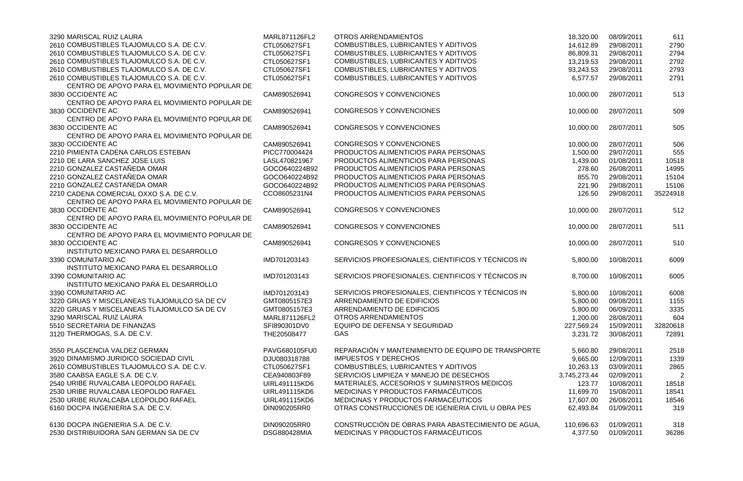| 3290 MARISCAL RUIZ LAURA                                     | MARL871126FL2        | <b>OTROS ARRENDAMIENTOS</b>                        | 18,320.00    | 08/09/2011 | 611      |
|--------------------------------------------------------------|----------------------|----------------------------------------------------|--------------|------------|----------|
| 2610 COMBUSTIBLES TLAJOMULCO S.A. DE C.V.                    | CTL050627SF1         | COMBUSTIBLES, LUBRICANTES Y ADITIVOS               | 14,612.89    | 29/08/2011 | 2790     |
| 2610 COMBUSTIBLES TLAJOMULCO S.A. DE C.V.                    | CTL050627SF1         | COMBUSTIBLES, LUBRICANTES Y ADITIVOS               | 86,809.31    | 29/08/2011 | 2794     |
| 2610 COMBUSTIBLES TLAJOMULCO S.A. DE C.V.                    | CTL050627SF1         | COMBUSTIBLES, LUBRICANTES Y ADITIVOS               | 13,219.53    | 29/08/2011 | 2792     |
| 2610 COMBUSTIBLES TLAJOMULCO S.A. DE C.V.                    | CTL050627SF1         | COMBUSTIBLES, LUBRICANTES Y ADITIVOS               | 93,243.53    | 29/08/2011 | 2793     |
| 2610 COMBUSTIBLES TLAJOMULCO S.A. DE C.V.                    | CTL050627SF1         | COMBUSTIBLES, LUBRICANTES Y ADITIVOS               | 6,577.57     | 29/08/2011 | 2791     |
| CENTRO DE APOYO PARA EL MOVIMIENTO POPULAR DE                |                      |                                                    |              |            |          |
| 3830 OCCIDENTE AC                                            | CAM890526941         | <b>CONGRESOS Y CONVENCIONES</b>                    | 10,000.00    | 28/07/2011 | 513      |
| CENTRO DE APOYO PARA EL MOVIMIENTO POPULAR DE                |                      |                                                    |              |            |          |
| 3830 OCCIDENTE AC                                            | CAM890526941         | <b>CONGRESOS Y CONVENCIONES</b>                    | 10,000.00    | 28/07/2011 | 509      |
| CENTRO DE APOYO PARA EL MOVIMIENTO POPULAR DE                |                      |                                                    |              |            |          |
| 3830 OCCIDENTE AC                                            | CAM890526941         | <b>CONGRESOS Y CONVENCIONES</b>                    | 10,000.00    | 28/07/2011 | 505      |
| CENTRO DE APOYO PARA EL MOVIMIENTO POPULAR DE                |                      |                                                    |              |            |          |
| 3830 OCCIDENTE AC                                            | CAM890526941         | <b>CONGRESOS Y CONVENCIONES</b>                    | 10,000.00    | 28/07/2011 | 506      |
| 2210 PIMIENTA CADENA CARLOS ESTEBAN                          | PICC770004424        | PRODUCTOS ALIMENTICIOS PARA PERSONAS               | 1,500.00     | 29/07/2011 | 555      |
| 2210 DE LARA SANCHEZ JOSE LUIS                               | LASL470821967        | PRODUCTOS ALIMENTICIOS PARA PERSONAS               | 1,439.00     | 01/08/2011 | 10518    |
| 2210 GONZALEZ CASTAÑEDA OMAR                                 | GOCO640224B92        | PRODUCTOS ALIMENTICIOS PARA PERSONAS               | 278.60       | 26/08/2011 | 14995    |
| 2210 GONZALEZ CASTAÑEDA OMAR                                 | GOCO640224B92        | PRODUCTOS ALIMENTICIOS PARA PERSONAS               | 855.70       | 29/08/2011 | 15104    |
| 2210 GONZALEZ CASTAÑEDA OMAR                                 | GOCO640224B92        | PRODUCTOS ALIMENTICIOS PARA PERSONAS               | 221.90       | 29/08/2011 | 15106    |
| 2210 CADENA COMERCIAL OXXO S.A. DE C.V.                      | CCO8605231N4         | PRODUCTOS ALIMENTICIOS PARA PERSONAS               | 126.50       | 29/08/2011 | 35224918 |
| CENTRO DE APOYO PARA EL MOVIMIENTO POPULAR DE                |                      |                                                    |              |            |          |
| 3830 OCCIDENTE AC                                            | CAM890526941         | <b>CONGRESOS Y CONVENCIONES</b>                    | 10,000.00    | 28/07/2011 | 512      |
| CENTRO DE APOYO PARA EL MOVIMIENTO POPULAR DE                |                      |                                                    |              |            |          |
| 3830 OCCIDENTE AC                                            | CAM890526941         | <b>CONGRESOS Y CONVENCIONES</b>                    |              | 28/07/2011 |          |
| CENTRO DE APOYO PARA EL MOVIMIENTO POPULAR DE                |                      |                                                    | 10,000.00    |            | 511      |
| 3830 OCCIDENTE AC                                            | CAM890526941         | <b>CONGRESOS Y CONVENCIONES</b>                    |              | 28/07/2011 |          |
| INSTITUTO MEXICANO PARA EL DESARROLLO                        |                      |                                                    | 10,000.00    |            | 510      |
| 3390 COMUNITARIO AC                                          |                      | SERVICIOS PROFESIONALES, CIENTIFICOS Y TÉCNICOS IN |              |            |          |
|                                                              | IMD701203143         |                                                    | 5,800.00     | 10/08/2011 | 6009     |
| INSTITUTO MEXICANO PARA EL DESARROLLO<br>3390 COMUNITARIO AC |                      |                                                    |              |            |          |
|                                                              | IMD701203143         | SERVICIOS PROFESIONALES, CIENTIFICOS Y TÉCNICOS IN | 8,700.00     | 10/08/2011 | 6005     |
| INSTITUTO MEXICANO PARA EL DESARROLLO                        |                      |                                                    |              |            |          |
| 3390 COMUNITARIO AC                                          | IMD701203143         | SERVICIOS PROFESIONALES, CIENTIFICOS Y TÉCNICOS IN | 5,800.00     | 10/08/2011 | 6008     |
| 3220 GRUAS Y MISCELANEAS TLAJOMULCO SA DE CV                 | GMT0805157E3         | ARRENDAMIENTO DE EDIFICIOS                         | 5,800.00     | 09/08/2011 | 1155     |
| 3220 GRUAS Y MISCELANEAS TLAJOMULCO SA DE CV                 | GMT0805157E3         | ARRENDAMIENTO DE EDIFICIOS                         | 5,800.00     | 06/09/2011 | 3335     |
| 3290 MARISCAL RUIZ LAURA                                     | MARL871126FL2        | <b>OTROS ARRENDAMIENTOS</b>                        | 1,200.00     | 28/08/2011 | 604      |
| 5510 SECRETARIA DE FINANZAS                                  | SFI890301DV0         | EQUIPO DE DEFENSA Y SEGURIDAD                      | 227,569.24   | 15/09/2011 | 32820618 |
| 3120 THERMOGAS, S.A. DE C.V.                                 | THE20508477          | <b>GAS</b>                                         | 3,231.72     | 30/08/2011 | 72891    |
|                                                              |                      |                                                    |              |            |          |
| 3550 PLASCENCIA VALDEZ GERMAN                                | PAVG680105FU0        | REPARACIÓN Y MANTENIMIENTO DE EQUIPO DE TRANSPORTE | 5,660.80     | 29/08/2011 | 2518     |
| 3920 DINAMISMO JURIDICO SOCIEDAD CIVIL                       | DJU080318788         | <b>IMPUESTOS Y DERECHOS</b>                        | 9,665.00     | 12/09/2011 | 1339     |
| 2610 COMBUSTIBLES TLAJOMULCO S.A. DE C.V.                    | CTL050627SF1         | COMBUSTIBLES, LUBRICANTES Y ADITIVOS               | 10,263.13    | 03/09/2011 | 2865     |
| 3580 CAABSA EAGLE S.A. DE C.V.                               | CEA940803F89         | SERVICIOS LIMPIEZA Y MANEJO DE DESECHOS            | 3,745,273.44 | 02/09/2011 |          |
| 2540 URIBE RUVALCABA LEOPOLDO RAFAEL                         | <b>UIRL491115KD6</b> | MATERIALES, ACCESORIOS Y SUMINISTROS MÉDICOS       | 123.77       | 10/08/2011 | 18518    |
| 2530 URIBE RUVALCABA LEOPOLDO RAFAEL                         | UIRL491115KD6        | MEDICINAS Y PRODUCTOS FARMACÉUTICOS                | 11,699.70    | 15/08/2011 | 18541    |
| 2530 URIBE RUVALCABA LEOPOLDO RAFAEL                         | UIRL491115KD6        | MEDICINAS Y PRODUCTOS FARMACÉUTICOS                | 17,607.00    | 26/08/2011 | 18546    |
| 6160 DOCPA INGENIERIA S.A. DE C.V.                           | DIN090205RR0         | OTRAS CONSTRUCCIONES DE IGENIERIA CIVIL U OBRA PES | 62,493.84    | 01/09/2011 | 319      |
| 6130 DOCPA INGENIERIA S.A. DE C.V.                           | DIN090205RR0         | CONSTRUCCIÓN DE OBRAS PARA ABASTECIMIENTO DE AGUA, | 110,696.63   | 01/09/2011 | 318      |
| 2530 DISTRIBUIDORA SAN GERMAN SA DE CV                       |                      | MEDICINAS Y PRODUCTOS FARMACÉUTICOS                |              |            |          |
|                                                              | DSG880428MIA         |                                                    | 4,377.50     | 01/09/2011 | 36286    |

| 18,320.00  | 08/09/2011 | 611      |
|------------|------------|----------|
| 14,612.89  | 29/08/2011 | 2790     |
| 86,809.31  | 29/08/2011 | 2794     |
| 13,219.53  | 29/08/2011 | 2792     |
| 93,243.53  | 29/08/2011 | 2793     |
| 6,577.57   | 29/08/2011 | 2791     |
| 10,000.00  | 28/07/2011 | 513      |
| 10,000.00  | 28/07/2011 | 509      |
| 10,000.00  | 28/07/2011 | 505      |
| 10,000.00  | 28/07/2011 | 506      |
| 1,500.00   | 29/07/2011 | 555      |
| 1,439.00   | 01/08/2011 | 10518    |
| 278.60     | 26/08/2011 | 14995    |
| 855.70     | 29/08/2011 | 15104    |
| 221.90     | 29/08/2011 | 15106    |
| 126.50     | 29/08/2011 | 35224918 |
| 10,000.00  | 28/07/2011 | 512      |
| 10,000.00  | 28/07/2011 | 511      |
| 10,000.00  | 28/07/2011 | 510      |
| 5,800.00   | 10/08/2011 | 6009     |
| 8,700.00   | 10/08/2011 | 6005     |
| 5,800.00   | 10/08/2011 | 6008     |
| 5,800.00   | 09/08/2011 | 1155     |
| 5,800.00   | 06/09/2011 | 3335     |
| 1,200.00   | 28/08/2011 | 604      |
| 227,569.24 | 15/09/2011 | 32820618 |
| 3,231.72   | 30/08/2011 | 72891    |
| 5,660.80   | 29/08/2011 | 2518     |
| 9,665.00   | 12/09/2011 | 1339     |
| 10,263.13  | 03/09/2011 | 2865     |
| 745,273.44 | 02/09/2011 | 2        |
| 123.77     | 10/08/2011 | 18518    |
| 11,699.70  | 15/08/2011 | 18541    |
| 17,607.00  | 26/08/2011 | 18546    |
| 62,493.84  | 01/09/2011 | 319      |
| 110,696.63 | 01/09/2011 | 318      |
| 4,377.50   | 01/09/2011 | 36286    |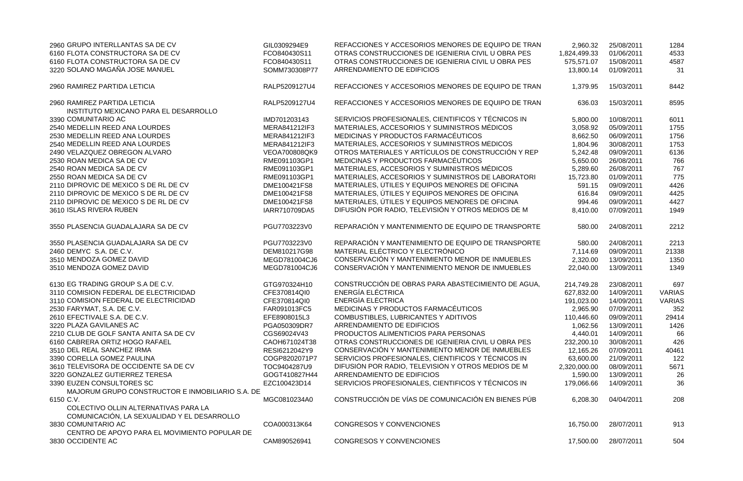| 2960 GRUPO INTERLLANTAS SA DE CV                             | GIL0309294E9                  | REFACCIONES Y ACCESORIOS MENORES DE EQUIPO DE TRAN | 2,960.32     | 25/08/2011 | 1284          |
|--------------------------------------------------------------|-------------------------------|----------------------------------------------------|--------------|------------|---------------|
| 6160 FLOTA CONSTRUCTORA SA DE CV                             | FCO840430S11                  | OTRAS CONSTRUCCIONES DE IGENIERIA CIVIL U OBRA PES | 1,824,499.33 | 01/06/2011 | 4533          |
| 6160 FLOTA CONSTRUCTORA SA DE CV                             | FCO840430S11                  | OTRAS CONSTRUCCIONES DE IGENIERIA CIVIL U OBRA PES | 575,571.07   | 15/08/2011 | 4587          |
| 3220 SOLANO MAGAÑA JOSE MANUEL                               | SOMM730308P77                 | ARRENDAMIENTO DE EDIFICIOS                         | 13,800.14    | 01/09/2011 | 31            |
| 2960 RAMIREZ PARTIDA LETICIA                                 | RALP5209127U4                 | REFACCIONES Y ACCESORIOS MENORES DE EQUIPO DE TRAN | 1,379.95     | 15/03/2011 | 8442          |
| 2960 RAMIREZ PARTIDA LETICIA                                 | RALP5209127U4                 | REFACCIONES Y ACCESORIOS MENORES DE EQUIPO DE TRAN | 636.03       | 15/03/2011 | 8595          |
| INSTITUTO MEXICANO PARA EL DESARROLLO<br>3390 COMUNITARIO AC |                               | SERVICIOS PROFESIONALES, CIENTIFICOS Y TÉCNICOS IN |              |            |               |
| 2540 MEDELLIN REED ANA LOURDES                               | IMD701203143<br>MERA841212IF3 | MATERIALES, ACCESORIOS Y SUMINISTROS MÉDICOS       | 5,800.00     | 10/08/2011 | 6011<br>1755  |
| 2530 MEDELLIN REED ANA LOURDES                               | MERA841212IF3                 | MEDICINAS Y PRODUCTOS FARMACÉUTICOS                | 3,058.92     | 05/09/2011 | 1756          |
| 2540 MEDELLIN REED ANA LOURDES                               | MERA841212IF3                 | MATERIALES, ACCESORIOS Y SUMINISTROS MÉDICOS       | 8,662.50     | 06/09/2011 | 1753          |
| 2490 VELAZQUEZ OBREGON ALVARO                                | VEOA700808QK9                 | OTROS MATERIALES Y ARTÍCULOS DE CONSTRUCCIÓN Y REP | 1,804.96     | 30/08/2011 | 6136          |
| 2530 ROAN MEDICA SA DE CV                                    |                               | MEDICINAS Y PRODUCTOS FARMACÉUTICOS                | 5,242.48     | 09/09/2011 |               |
| 2540 ROAN MEDICA SA DE CV                                    | RME091103GP1<br>RME091103GP1  | MATERIALES, ACCESORIOS Y SUMINISTROS MÉDICOS       | 5,650.00     | 26/08/2011 | 766<br>767    |
| 2550 ROAN MEDICA SA DE CV                                    |                               | MATERIALES, ACCESORIOS Y SUMINISTROS DE LABORATORI | 5,289.60     | 26/08/2011 |               |
| 2110 DIPROVIC DE MEXICO S DE RL DE CV                        | RME091103GP1                  | MATERIALES, ÚTILES Y EQUIPOS MENORES DE OFICINA    | 15,723.80    | 01/09/2011 | 775<br>4426   |
| 2110 DIPROVIC DE MEXICO S DE RL DE CV                        | DME100421FS8                  |                                                    | 591.15       | 09/09/2011 |               |
|                                                              | DME100421FS8                  | MATERIALES, ÚTILES Y EQUIPOS MENORES DE OFICINA    | 616.84       | 09/09/2011 | 4425<br>4427  |
| 2110 DIPROVIC DE MEXICO S DE RL DE CV                        | DME100421FS8                  | MATERIALES, ÚTILES Y EQUIPOS MENORES DE OFICINA    | 994.46       | 09/09/2011 |               |
| 3610 ISLAS RIVERA RUBEN                                      | IARR710709DA5                 | DIFUSIÓN POR RADIO, TELEVISIÓN Y OTROS MEDIOS DE M | 8,410.00     | 07/09/2011 | 1949          |
| 3550 PLASENCIA GUADALAJARA SA DE CV                          | PGU7703223V0                  | REPARACIÓN Y MANTENIMIENTO DE EQUIPO DE TRANSPORTE | 580.00       | 24/08/2011 | 2212          |
| 3550 PLASENCIA GUADALAJARA SA DE CV                          | PGU7703223V0                  | REPARACIÓN Y MANTENIMIENTO DE EQUIPO DE TRANSPORTE | 580.00       | 24/08/2011 | 2213          |
| 2460 DEMYC S.A. DE C.V.                                      | DEM810217G98                  | MATERIAL ELÉCTRICO Y ELECTRÓNICO                   | 7,114.69     | 09/09/2011 | 21338         |
| 3510 MENDOZA GOMEZ DAVID                                     | MEGD781004CJ6                 | CONSERVACIÓN Y MANTENIMIENTO MENOR DE INMUEBLES    | 2,320.00     | 13/09/2011 | 1350          |
| 3510 MENDOZA GOMEZ DAVID                                     | MEGD781004CJ6                 | CONSERVACIÓN Y MANTENIMIENTO MENOR DE INMUEBLES    | 22,040.00    | 13/09/2011 | 1349          |
| 6130 EG TRADING GROUP S.A DE C.V.                            | GTG970324H10                  | CONSTRUCCIÓN DE OBRAS PARA ABASTECIMIENTO DE AGUA, | 214,749.28   | 23/08/2011 | 697           |
| 3110 COMISION FEDERAL DE ELECTRICIDAD                        | CFE370814QI0                  | ENERGÍA ELÉCTRICA                                  | 627,832.00   | 14/09/2011 | <b>VARIAS</b> |
| 3110 COMISION FEDERAL DE ELECTRICIDAD                        | CFE370814QI0                  | <b>ENERGÍA ELÉCTRICA</b>                           | 191,023.00   | 14/09/2011 | <b>VARIAS</b> |
| 2530 FARYMAT, S.A. DE C.V.                                   | FAR091013FC5                  | MEDICINAS Y PRODUCTOS FARMACÉUTICOS                | 2,965.90     | 07/09/2011 | 352           |
| 2610 EFECTIVALE S.A. DE C.V.                                 | EFE8908015L3                  | COMBUSTIBLES, LUBRICANTES Y ADITIVOS               | 110,446.60   | 09/09/2011 | 29414         |
| 3220 PLAZA GAVILANES AC                                      | PGA050309DR7                  | ARRENDAMIENTO DE EDIFICIOS                         | 1,062.56     | 13/09/2011 | 1426          |
| 2210 CLUB DE GOLF SANTA ANITA SA DE CV                       | CGS69024V43                   | PRODUCTOS ALIMENTICIOS PARA PERSONAS               | 4,440.01     | 14/09/2011 | 66            |
| 6160 CABRERA ORTIZ HOGO RAFAEL                               | CAOH671024T38                 | OTRAS CONSTRUCCIONES DE IGENIERIA CIVIL U OBRA PES | 232,200.10   | 30/08/2011 | 426           |
| 3510 DEL REAL SANCHEZ IRMA                                   | RESI6212042Y9                 | CONSERVACIÓN Y MANTENIMIENTO MENOR DE INMUEBLES    | 12,165.26    | 07/09/2011 | 40461         |
| 3390 CORELLA GOMEZ PAULINA                                   | COGP8202071P7                 | SERVICIOS PROFESIONALES, CIENTIFICOS Y TÉCNICOS IN | 63,600.00    | 21/09/2011 | 122           |
| 3610 TELEVISORA DE OCCIDENTE SA DE CV                        | TOC9404287U9                  | DIFUSIÓN POR RADIO, TELEVISIÓN Y OTROS MEDIOS DE M | 2,320,000.00 | 08/09/2011 | 5671          |
| 3220 GONZALEZ GUTIERREZ TERESA                               | GOGT410827H44                 | ARRENDAMIENTO DE EDIFICIOS                         | 1,590.00     | 13/09/2011 | 26            |
| 3390 EUZEN CONSULTORES SC                                    | EZC100423D14                  | SERVICIOS PROFESIONALES, CIENTIFICOS Y TÉCNICOS IN | 179,066.66   | 14/09/2011 | 36            |
| MAJORUM GRUPO CONSTRUCTOR E INMOBILIARIO S.A. DE             |                               |                                                    |              |            |               |
| 6150 C.V.                                                    | MGC0810234A0                  | CONSTRUCCIÓN DE VÍAS DE COMUNICACIÓN EN BIENES PÚB | 6,208.30     | 04/04/2011 | 208           |
| COLECTIVO OLLIN ALTERNATIVAS PARA LA                         |                               |                                                    |              |            |               |
| COMUNICACIÓN, LA SEXUALIDAD Y EL DESARROLLO                  |                               |                                                    |              |            |               |
| 3830 COMUNITARIO AC                                          | COA000313K64                  | <b>CONGRESOS Y CONVENCIONES</b>                    | 16,750.00    | 28/07/2011 | 913           |
| CENTRO DE APOYO PARA EL MOVIMIENTO POPULAR DE                |                               |                                                    |              |            |               |
| 3830 OCCIDENTE AC                                            | CAM890526941                  | <b>CONGRESOS Y CONVENCIONES</b>                    | 17,500.00    | 28/07/2011 | 504           |
|                                                              |                               |                                                    |              |            |               |

| MAS            | 2,960.32     | 25/08/2011 | 1284          |
|----------------|--------------|------------|---------------|
|                | 1,824,499.33 | 01/06/2011 | 4533          |
| s<br>S         | 575,571.07   | 15/08/2011 | 4587          |
|                | 13,800.14    | 01/09/2011 | 31            |
| <b>AR</b>      | 1,379.95     | 15/03/2011 | 8442          |
| <b>ARS</b>     | 636.03       | 15/03/2011 | 8595          |
|                | 5,800.00     | 10/08/2011 | 6011          |
|                | 3,058.92     | 05/09/2011 | 1755          |
|                | 8,662.50     | 06/09/2011 | 1756          |
|                | 1,804.96     | 30/08/2011 | 1753          |
| ΈP             | 5,242.48     | 09/09/2011 | 6136          |
|                | 5,650.00     | 26/08/2011 | 766           |
|                | 5,289.60     | 26/08/2011 | 767           |
| R <sub>l</sub> | 15,723.80    | 01/09/2011 | 775           |
|                | 591.15       | 09/09/2011 | 4426          |
|                | 616.84       | 09/09/2011 | 4425          |
|                | 994.46       | 09/09/2011 | 4427          |
|                | 8,410.00     | 07/09/2011 | 1949          |
| RTE            | 580.00       | 24/08/2011 | 2212          |
| RTE            | 580.00       | 24/08/2011 | 2213          |
|                | 7,114.69     | 09/09/2011 | 21338         |
|                | 2,320.00     | 13/09/2011 | 1350          |
|                | 22,040.00    | 13/09/2011 | 1349          |
| UA,            | 214,749.28   | 23/08/2011 | 697           |
|                | 627,832.00   | 14/09/2011 | <b>VARIAS</b> |
|                | 191,023.00   | 14/09/2011 | <b>VARIAS</b> |
|                | 2,965.90     | 07/09/2011 | 352           |
|                | 110,446.60   | 09/09/2011 | 29414         |
|                | 1,062.56     | 13/09/2011 | 1426          |
|                | 4,440.01     | 14/09/2011 | 66            |
|                | 232,200.10   | 30/08/2011 | 426           |
|                | 12,165.26    | 07/09/2011 | 40461         |
|                | 63,600.00    | 21/09/2011 | 122           |
|                | 2,320,000.00 | 08/09/2011 | 5671          |
|                | 1,590.00     | 13/09/2011 | 26            |
|                | 179,066.66   | 14/09/2011 | 36            |
| ĴВ             | 6,208.30     | 04/04/2011 | 208           |
|                | 16,750.00    | 28/07/2011 | 913           |
|                | 17,500.00    | 28/07/2011 | 504           |
|                |              |            |               |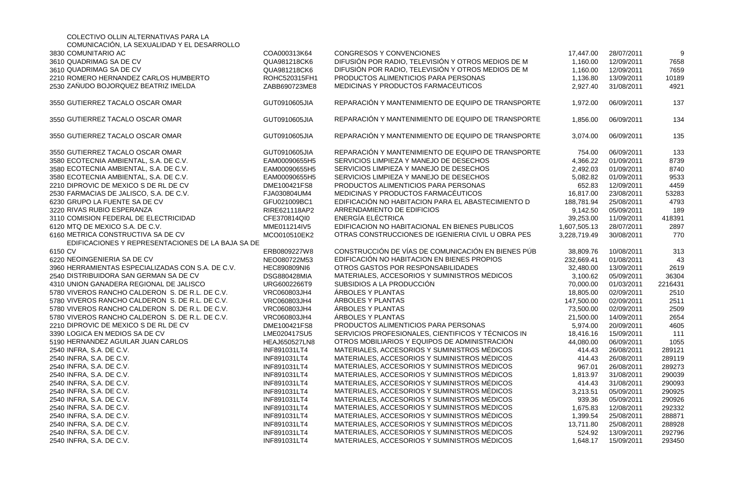| COLECTIVO OLLIN ALTERNATIVAS PARA LA              |                      |                                                    |              |            |         |
|---------------------------------------------------|----------------------|----------------------------------------------------|--------------|------------|---------|
| COMUNICACIÓN, LA SEXUALIDAD Y EL DESARROLLO       |                      |                                                    |              |            |         |
| 3830 COMUNITARIO AC                               | COA000313K64         | <b>CONGRESOS Y CONVENCIONES</b>                    | 17,447.00    | 28/07/2011 |         |
| 3610 QUADRIMAG SA DE CV                           | QUA981218CK6         | DIFUSIÓN POR RADIO, TELEVISIÓN Y OTROS MEDIOS DE M | 1,160.00     | 12/09/2011 | 7658    |
| 3610 QUADRIMAG SA DE CV                           | QUA981218CK6         | DIFUSIÓN POR RADIO, TELEVISIÓN Y OTROS MEDIOS DE M | 1,160.00     | 12/09/2011 | 7659    |
| 2210 ROMERO HERNANDEZ CARLOS HUMBERTO             | ROHC520315FH1        | PRODUCTOS ALIMENTICIOS PARA PERSONAS               | 1,136.80     | 13/09/2011 | 10189   |
| 2530 ZAÑUDO BOJORQUEZ BEATRIZ IMELDA              | ZABB690723ME8        | MEDICINAS Y PRODUCTOS FARMACÉUTICOS                | 2,927.40     | 31/08/2011 | 4921    |
| 3550 GUTIERREZ TACALO OSCAR OMAR                  | GUT0910605JIA        | REPARACIÓN Y MANTENIMIENTO DE EQUIPO DE TRANSPORTE | 1,972.00     | 06/09/2011 | 137     |
| 3550 GUTIERREZ TACALO OSCAR OMAR                  | GUT0910605JIA        | REPARACIÓN Y MANTENIMIENTO DE EQUIPO DE TRANSPORTE | 1,856.00     | 06/09/2011 | 134     |
| 3550 GUTIERREZ TACALO OSCAR OMAR                  | GUT0910605JIA        | REPARACIÓN Y MANTENIMIENTO DE EQUIPO DE TRANSPORTE | 3,074.00     | 06/09/2011 | 135     |
| 3550 GUTIERREZ TACALO OSCAR OMAR                  | GUT0910605JIA        | REPARACIÓN Y MANTENIMIENTO DE EQUIPO DE TRANSPORTE | 754.00       | 06/09/2011 | 133     |
| 3580 ECOTECNIA AMBIENTAL, S.A. DE C.V.            | EAM00090655H5        | SERVICIOS LIMPIEZA Y MANEJO DE DESECHOS            | 4,366.22     | 01/09/2011 | 8739    |
| 3580 ECOTECNIA AMBIENTAL, S.A. DE C.V.            | EAM00090655H5        | SERVICIOS LIMPIEZA Y MANEJO DE DESECHOS            | 2,492.03     | 01/09/2011 | 8740    |
| 3580 ECOTECNIA AMBIENTAL, S.A. DE C.V.            | EAM00090655H5        | SERVICIOS LIMPIEZA Y MANEJO DE DESECHOS            | 5,082.82     | 01/09/2011 | 9533    |
| 2210 DIPROVIC DE MEXICO S DE RL DE CV             | DME100421FS8         | PRODUCTOS ALIMENTICIOS PARA PERSONAS               | 652.83       | 12/09/2011 | 4459    |
| 2530 FARMACIAS DE JALISCO, S.A. DE C.V.           | FJA030804UM4         | MEDICINAS Y PRODUCTOS FARMACÉUTICOS                | 16,817.00    | 23/08/2011 | 53283   |
| 6230 GRUPO LA FUENTE SA DE CV                     | GFU021009BC1         | EDIFICACIÓN NO HABITACION PARA EL ABASTECIMIENTO D | 188,781.94   | 25/08/2011 | 4793    |
| 3220 RIVAS RUBIO ESPERANZA                        | RIRE621118AP2        | ARRENDAMIENTO DE EDIFICIOS                         | 9,142.50     | 05/09/2011 | 189     |
| 3110 COMISION FEDERAL DE ELECTRICIDAD             | CFE370814QI0         | ENERGÍA ELÉCTRICA                                  | 39,253.00    | 11/09/2011 | 418391  |
| 6120 MTQ DE MEXICO S.A. DE C.V.                   | MME011214IV5         | EDIFICACION NO HABITACIONAL EN BIENES PUBLICOS     | 1,607,505.13 | 28/07/2011 | 2897    |
| 6160 METRICA CONSTRUCTIVA SA DE CV                | MCO010510EK2         | OTRAS CONSTRUCCIONES DE IGENIERIA CIVIL U OBRA PES | 3,228,719.49 | 30/08/2011 | 770     |
| EDIFICACIONES Y REPRESENTACIONES DE LA BAJA SA DE |                      |                                                    |              |            |         |
| 6150 CV                                           | ERB0809227W8         | CONSTRUCCIÓN DE VÍAS DE COMUNICACIÓN EN BIENES PÚB | 38,809.76    | 10/08/2011 | 313     |
| 6220 NEOINGENIERIA SA DE CV                       | NEO080722M53         | EDIFICACIÓN NO HABITACION EN BIENES PROPIOS        | 232,669.41   | 01/08/2011 | 43      |
| 3960 HERRAMIENTAS ESPECIALIZADAS CON S.A. DE C.V. | HEC890809NI6         | OTROS GASTOS POR RESPONSABILIDADES                 | 32,480.00    | 13/09/2011 | 2619    |
| 2540 DISTRIBUIDORA SAN GERMAN SA DE CV            | <b>DSG880428MIA</b>  | MATERIALES, ACCESORIOS Y SUMINISTROS MÉDICOS       | 3,100.62     | 05/09/2011 | 36304   |
| 4310 UNION GANADERA REGIONAL DE JALISCO           | URG6002266T9         | SUBSIDIOS A LA PRODUCCIÓN                          | 70,000.00    | 01/03/2011 | 2216431 |
| 5780 VIVEROS RANCHO CALDERON S. DE R.L. DE C.V.   | VRC060803JH4         | <b>ÁRBOLES Y PLANTAS</b>                           | 18,805.00    | 02/09/2011 | 2510    |
| 5780 VIVEROS RANCHO CALDERON S. DE R.L. DE C.V.   | VRC060803JH4         | <b>ÁRBOLES Y PLANTAS</b>                           | 147,500.00   | 02/09/2011 | 2511    |
| 5780 VIVEROS RANCHO CALDERON S. DE R.L. DE C.V.   | VRC060803JH4         | ARBOLES Y PLANTAS                                  | 73,500.00    | 02/09/2011 | 2509    |
| 5780 VIVEROS RANCHO CALDERON S. DE R.L. DE C.V.   | VRC060803JH4         | <b>ÁRBOLES Y PLANTAS</b>                           | 21,500.00    | 14/09/2011 | 2654    |
| 2210 DIPROVIC DE MEXICO S DE RL DE CV             | DME100421FS8         | PRODUCTOS ALIMENTICIOS PARA PERSONAS               | 5,974.00     | 20/09/2011 | 4605    |
| 3390 LOGICA EN MEDIOS SA DE CV                    | LME020417SU5         | SERVICIOS PROFESIONALES, CIENTIFICOS Y TÉCNICOS IN | 18,416.16    | 15/09/2011 | 111     |
| 5190 HERNANDEZ AGUILAR JUAN CARLOS                | <b>HEAJ650527LN8</b> | OTROS MOBILIARIOS Y EQUIPOS DE ADMINISTRACIÓN      | 44,080.00    | 06/09/2011 | 1055    |
| 2540 INFRA, S.A. DE C.V.                          | INF891031LT4         | MATERIALES, ACCESORIOS Y SUMINISTROS MÉDICOS       | 414.43       | 26/08/2011 | 289121  |
| 2540 INFRA, S.A. DE C.V.                          | INF891031LT4         | MATERIALES, ACCESORIOS Y SUMINISTROS MÉDICOS       | 414.43       | 26/08/2011 | 289119  |
| 2540 INFRA, S.A. DE C.V.                          | INF891031LT4         | MATERIALES, ACCESORIOS Y SUMINISTROS MÉDICOS       | 967.01       | 26/08/2011 | 289273  |
| 2540 INFRA, S.A. DE C.V.                          | INF891031LT4         | MATERIALES, ACCESORIOS Y SUMINISTROS MEDICOS       | 1,813.97     | 31/08/2011 | 290039  |
| 2540 INFRA, S.A. DE C.V.                          | INF891031LT4         | MATERIALES, ACCESORIOS Y SUMINISTROS MÉDICOS       | 414.43       | 31/08/2011 | 290093  |
| 2540 INFRA, S.A. DE C.V.                          | INF891031LT4         | MATERIALES, ACCESORIOS Y SUMINISTROS MEDICOS       | 3,213.51     | 05/09/2011 | 290925  |
| 2540 INFRA, S.A. DE C.V.                          | INF891031LT4         | MATERIALES, ACCESORIOS Y SUMINISTROS MEDICOS       | 939.36       | 05/09/2011 | 290926  |
| 2540 INFRA, S.A. DE C.V.                          | INF891031LT4         | MATERIALES, ACCESORIOS Y SUMINISTROS MÉDICOS       | 1,675.83     | 12/08/2011 | 292332  |
| 2540 INFRA, S.A. DE C.V.                          | INF891031LT4         | MATERIALES, ACCESORIOS Y SUMINISTROS MÉDICOS       | 1,399.54     | 25/08/2011 | 288871  |
| 2540 INFRA, S.A. DE C.V.                          | INF891031LT4         | MATERIALES, ACCESORIOS Y SUMINISTROS MEDICOS       | 13,711.80    | 25/08/2011 | 288928  |
| 2540 INFRA, S.A. DE C.V.                          | INF891031LT4         | MATERIALES, ACCESORIOS Y SUMINISTROS MÉDICOS       | 524.92       | 13/09/2011 | 292796  |
| 2540 INFRA, S.A. DE C.V.                          | INF891031LT4         | MATERIALES, ACCESORIOS Y SUMINISTROS MÉDICOS       | 1,648.17     | 15/09/2011 | 293450  |

| 17,447.00                  | 28/07/2011               | 9            |
|----------------------------|--------------------------|--------------|
| 1,160.00                   | 12/09/2011               | 7658         |
| 1,160.00                   | 12/09/2011               | 7659         |
| 1,136.80                   | 13/09/2011               | 10189        |
| 2,927.40                   | 31/08/2011               | 4921         |
| 1,972.00                   | 06/09/2011               | 137          |
| 1,856.00                   | 06/09/2011               | 134          |
| 3,074.00                   | 06/09/2011               | 135          |
| 754.00                     | 06/09/2011               | 133          |
| 4,366.22                   | 01/09/2011               | 8739         |
| 2,492.03                   | 01/09/2011               | 8740         |
| 5,082.82                   | 01/09/2011               | 9533         |
| 652.83                     | 12/09/2011               | 4459         |
| 16,817.00                  | 23/08/2011               | 53283        |
| 188,781.94                 | 25/08/2011               | 4793         |
| 9,142.50                   | 05/09/2011               | 189          |
| 39,253.00                  | 11/09/2011               | 418391       |
| ,607,505.13<br>,228,719.49 | 28/07/2011<br>30/08/2011 | 2897<br>770  |
|                            |                          |              |
| 38,809.76                  | 10/08/2011               | 313          |
| 232,669.41                 | 01/08/2011               | 43           |
| 32,480.00                  | 13/09/2011               | 2619         |
| 3,100.62                   | 05/09/2011               | 36304        |
| 70,000.00                  | 01/03/2011               | 2216431      |
| 18,805.00<br>147,500.00    | 02/09/2011               | 2510<br>2511 |
| 73,500.00                  | 02/09/2011<br>02/09/2011 | 2509         |
| 21,500.00                  | 14/09/2011               | 2654         |
| 5,974.00                   | 20/09/2011               | 4605         |
| 18,416.16                  | 15/09/2011               | 111          |
| 44,080.00                  | 06/09/2011               | 1055         |
| 414.43                     | 26/08/2011               | 289121       |
| 414.43                     | 26/08/2011               | 289119       |
| 967.01                     | 26/08/2011               | 289273       |
| 1,813.97                   | 31/08/2011               | 290039       |
| 414.43                     | 31/08/2011               | 290093       |
| 3,213.51                   | 05/09/2011               | 290925       |
| 939.36                     | 05/09/2011               | 290926       |
| 1,675.83                   | 12/08/2011               | 292332       |
| 1,399.54                   | 25/08/2011               | 288871       |
| 13,711.80                  | 25/08/2011               | 288928       |
| 524.92                     | 13/09/2011               | 292796       |
| 1,648.17                   | 15/09/2011               | 293450       |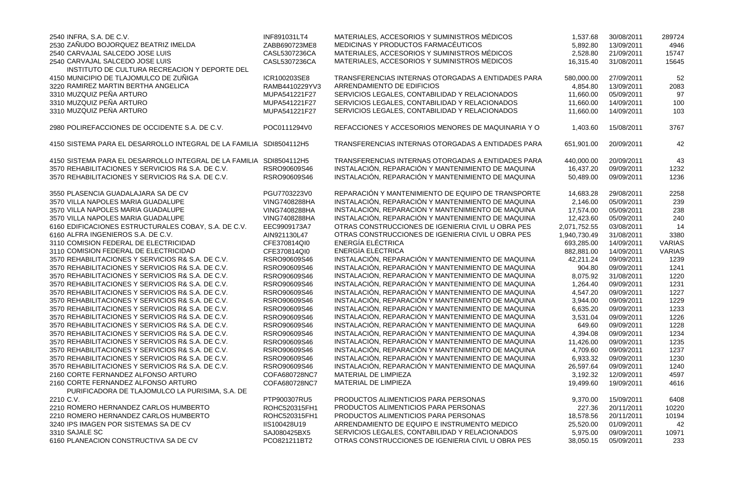| 2540 INFRA, S.A. DE C.V.<br>2530 ZAÑUDO BOJORQUEZ BEATRIZ IMELDA                       | INF891031LT4<br>ZABB690723ME8 | MATERIALES, ACCESORIOS Y SUMINISTROS MÉDICOS<br>MEDICINAS Y PRODUCTOS FARMACÉUTICOS | 1,537.68<br>5,892.80 | 30/08/2011<br>13/09/2011 | 289724<br>4946 |
|----------------------------------------------------------------------------------------|-------------------------------|-------------------------------------------------------------------------------------|----------------------|--------------------------|----------------|
| 2540 CARVAJAL SALCEDO JOSE LUIS                                                        | CASL5307236CA                 | MATERIALES, ACCESORIOS Y SUMINISTROS MÉDICOS                                        | 2,528.80             | 21/09/2011               | 15747          |
| 2540 CARVAJAL SALCEDO JOSE LUIS                                                        | CASL5307236CA                 | MATERIALES, ACCESORIOS Y SUMINISTROS MÉDICOS                                        | 16,315.40            | 31/08/2011               | 15645          |
| INSTITUTO DE CULTURA RECREACION Y DEPORTE DEL                                          |                               |                                                                                     |                      |                          |                |
| 4150 MUNICIPIO DE TLAJOMULCO DE ZUÑIGA                                                 | ICR100203SE8                  | TRANSFERENCIAS INTERNAS OTORGADAS A ENTIDADES PARA                                  | 580,000.00           | 27/09/2011               | 52             |
| 3220 RAMIREZ MARTIN BERTHA ANGELICA                                                    | RAMB4410229YV3                | ARRENDAMIENTO DE EDIFICIOS                                                          | 4,854.80             | 13/09/2011               | 2083           |
| 3310 MUZQUIZ PEÑA ARTURO                                                               | MUPA541221F27                 | SERVICIOS LEGALES, CONTABILIDAD Y RELACIONADOS                                      | 11,660.00            | 05/09/2011               | 97             |
| 3310 MUZQUIZ PEÑA ARTURO                                                               | MUPA541221F27                 | SERVICIOS LEGALES, CONTABILIDAD Y RELACIONADOS                                      | 11,660.00            | 14/09/2011               | 100            |
| 3310 MUZQUIZ PEÑA ARTURO                                                               | MUPA541221F27                 | SERVICIOS LEGALES, CONTABILIDAD Y RELACIONADOS                                      | 11,660.00            | 14/09/2011               | 103            |
| 2980 POLIREFACCIONES DE OCCIDENTE S.A. DE C.V.                                         | POC0111294V0                  | REFACCIONES Y ACCESORIOS MENORES DE MAQUINARIA Y O                                  | 1,403.60             | 15/08/2011               | 3767           |
| 4150 SISTEMA PARA EL DESARROLLO INTEGRAL DE LA FAMILIA SDI8504112H5                    |                               | TRANSFERENCIAS INTERNAS OTORGADAS A ENTIDADES PARA                                  | 651,901.00           | 20/09/2011               | 42             |
| 4150 SISTEMA PARA EL DESARROLLO INTEGRAL DE LA FAMILIA SDI8504112H5                    |                               | TRANSFERENCIAS INTERNAS OTORGADAS A ENTIDADES PARA                                  | 440,000.00           | 20/09/2011               | 43             |
| 3570 REHABILITACIONES Y SERVICIOS R& S.A. DE C.V.                                      | RSRO90609S46                  | INSTALACIÓN, REPARACIÓN Y MANTENIMIENTO DE MAQUINA                                  | 16,437.20            | 09/09/2011               | 1232           |
| 3570 REHABILITACIONES Y SERVICIOS R& S.A. DE C.V.                                      | RSRO90609S46                  | INSTALACIÓN, REPARACIÓN Y MANTENIMIENTO DE MAQUINA                                  | 50,489.00            | 09/09/2011               | 1236           |
| 3550 PLASENCIA GUADALAJARA SA DE CV                                                    | PGU7703223V0                  | REPARACIÓN Y MANTENIMIENTO DE EQUIPO DE TRANSPORTE                                  | 14,683.28            | 29/08/2011               | 2258           |
| 3570 VILLA NAPOLES MARIA GUADALUPE                                                     | <b>VING7408288HA</b>          | INSTALACIÓN, REPARACIÓN Y MANTENIMIENTO DE MAQUINA                                  | 2,146.00             | 05/09/2011               | 239            |
| 3570 VILLA NAPOLES MARIA GUADALUPE                                                     | <b>VING7408288HA</b>          | INSTALACIÓN, REPARACIÓN Y MANTENIMIENTO DE MAQUINA                                  | 17,574.00            | 05/09/2011               | 238            |
| 3570 VILLA NAPOLES MARIA GUADALUPE                                                     | <b>VING7408288HA</b>          | INSTALACIÓN, REPARACIÓN Y MANTENIMIENTO DE MAQUINA                                  | 12,423.60            | 05/09/2011               | 240            |
| 6160 EDIFICACIONES ESTRUCTURALES COBAY, S.A. DE C.V.                                   | EEC9909173A7                  | OTRAS CONSTRUCCIONES DE IGENIERIA CIVIL U OBRA PES                                  | 2,071,752.55         | 03/08/2011               | 14             |
| 6160 ALFRA INGENIEROS S.A. DE C.V.                                                     | AIN921130L47                  | OTRAS CONSTRUCCIONES DE IGENIERIA CIVIL U OBRA PES                                  | 1,940,730.49         | 31/08/2011               | 3380           |
| 3110 COMISION FEDERAL DE ELECTRICIDAD                                                  | CFE370814QI0                  | ENERGÍA ELÉCTRICA                                                                   | 693,285.00           | 14/09/2011               | <b>VARIAS</b>  |
| 3110 COMISION FEDERAL DE ELECTRICIDAD                                                  | CFE370814QI0                  | ENERGÍA ELÉCTRICA                                                                   | 882,881.00           | 14/09/2011               | <b>VARIAS</b>  |
| 3570 REHABILITACIONES Y SERVICIOS R& S.A. DE C.V.                                      | RSRO90609S46                  | INSTALACIÓN, REPARACIÓN Y MANTENIMIENTO DE MAQUINA                                  | 42,211.24            | 09/09/2011               | 1239           |
| 3570 REHABILITACIONES Y SERVICIOS R& S.A. DE C.V.                                      | RSRO90609S46                  | INSTALACIÓN, REPARACIÓN Y MANTENIMIENTO DE MAQUINA                                  | 904.80               | 09/09/2011               | 1241           |
| 3570 REHABILITACIONES Y SERVICIOS R& S.A. DE C.V.                                      | RSRO90609S46                  | INSTALACIÓN, REPARACIÓN Y MANTENIMIENTO DE MAQUINA                                  | 8,075.92             | 31/08/2011               | 1220           |
| 3570 REHABILITACIONES Y SERVICIOS R& S.A. DE C.V.                                      | RSRO90609S46                  | INSTALACIÓN, REPARACIÓN Y MANTENIMIENTO DE MAQUINA                                  | 1,264.40             | 09/09/2011               | 1231           |
| 3570 REHABILITACIONES Y SERVICIOS R& S.A. DE C.V.                                      | RSRO90609S46                  | INSTALACIÓN, REPARACIÓN Y MANTENIMIENTO DE MAQUINA                                  | 4,547.20             | 09/09/2011               | 1227           |
| 3570 REHABILITACIONES Y SERVICIOS R& S.A. DE C.V.                                      | RSRO90609S46                  | INSTALACIÓN, REPARACIÓN Y MANTENIMIENTO DE MAQUINA                                  | 3,944.00             | 09/09/2011               | 1229           |
| 3570 REHABILITACIONES Y SERVICIOS R& S.A. DE C.V.                                      | RSRO90609S46                  | INSTALACIÓN, REPARACIÓN Y MANTENIMIENTO DE MAQUINA                                  | 6,635.20             | 09/09/2011               | 1233           |
| 3570 REHABILITACIONES Y SERVICIOS R& S.A. DE C.V.                                      | RSRO90609S46                  | INSTALACIÓN, REPARACIÓN Y MANTENIMIENTO DE MAQUINA                                  | 3,531.04             | 09/09/2011               | 1226           |
| 3570 REHABILITACIONES Y SERVICIOS R& S.A. DE C.V.                                      | RSRO90609S46                  | INSTALACIÓN, REPARACIÓN Y MANTENIMIENTO DE MAQUINA                                  | 649.60               | 09/09/2011               | 1228           |
| 3570 REHABILITACIONES Y SERVICIOS R& S.A. DE C.V.                                      | RSRO90609S46                  | INSTALACIÓN, REPARACIÓN Y MANTENIMIENTO DE MAQUINA                                  | 4,394.08             | 09/09/2011               | 1234           |
| 3570 REHABILITACIONES Y SERVICIOS R& S.A. DE C.V.                                      | RSRO90609S46                  | INSTALACIÓN, REPARACIÓN Y MANTENIMIENTO DE MAQUINA                                  | 11,426.00            | 09/09/2011               | 1235           |
| 3570 REHABILITACIONES Y SERVICIOS R& S.A. DE C.V.                                      | RSRO90609S46                  | INSTALACIÓN, REPARACIÓN Y MANTENIMIENTO DE MAQUINA                                  | 4,709.60             | 09/09/2011               | 1237           |
| 3570 REHABILITACIONES Y SERVICIOS R& S.A. DE C.V.                                      | RSRO90609S46                  | INSTALACIÓN, REPARACIÓN Y MANTENIMIENTO DE MAQUINA                                  | 6,933.32             | 09/09/2011               | 1230           |
| 3570 REHABILITACIONES Y SERVICIOS R& S.A. DE C.V.                                      | RSRO90609S46                  | INSTALACIÓN, REPARACIÓN Y MANTENIMIENTO DE MAQUINA                                  | 26,597.64            | 09/09/2011               | 1240           |
| 2160 CORTE FERNANDEZ ALFONSO ARTURO                                                    | COFA680728NC7                 | <b>MATERIAL DE LIMPIEZA</b>                                                         | 3,192.32             | 12/09/2011               | 4597           |
| 2160 CORTE FERNANDEZ ALFONSO ARTURO<br>PURIFICADORA DE TLAJOMULCO LA PURISIMA, S.A. DE | COFA680728NC7                 | MATERIAL DE LIMPIEZA                                                                | 19,499.60            | 19/09/2011               | 4616           |
| 2210 C.V.                                                                              | PTP900307RU5                  | PRODUCTOS ALIMENTICIOS PARA PERSONAS                                                | 9,370.00             | 15/09/2011               | 6408           |
| 2210 ROMERO HERNANDEZ CARLOS HUMBERTO                                                  | ROHC520315FH1                 | PRODUCTOS ALIMENTICIOS PARA PERSONAS                                                | 227.36               | 20/11/2011               | 10220          |
| 2210 ROMERO HERNANDEZ CARLOS HUMBERTO                                                  | ROHC520315FH1                 | PRODUCTOS ALIMENTICIOS PARA PERSONAS                                                | 18,578.56            | 20/11/2011               | 10194          |
| 3240 IPS IMAGEN POR SISTEMAS SA DE CV                                                  | IIS100428U19                  | ARRENDAMIENTO DE EQUIPO E INSTRUMENTO MEDICO                                        | 25,520.00            | 01/09/2011               | 42             |
| 3310 SAJALE SC                                                                         | SAJ080425BX5                  | SERVICIOS LEGALES, CONTABILIDAD Y RELACIONADOS                                      | 5,975.00             | 09/09/2011               | 10971          |
| 6160 PLANEACION CONSTRUCTIVA SA DE CV                                                  | PCO821211BT2                  | OTRAS CONSTRUCCIONES DE IGENIERIA CIVIL U OBRA PES                                  | 38,050.15            | 05/09/2011               | 233            |

| 1,537.68              | 30/08/2011               | 289724       |
|-----------------------|--------------------------|--------------|
| 5,892.80              | 13/09/2011               | 4946         |
| 2,528.80              | 21/09/2011               | 15747        |
| 16,315.40             | 31/08/2011               | 15645        |
| 580,000.00            | 27/09/2011               | 52           |
| 4,854.80              | 13/09/2011               | 2083         |
| 11,660.00             | 05/09/2011               | 97           |
| 11,660.00             | 14/09/2011               | 100          |
| 11,660.00             | 14/09/2011               | 103          |
| 1,403.60              | 15/08/2011               | 3767         |
| 651,901.00            | 20/09/2011               | 42           |
| 440,000.00            | 20/09/2011               | 43           |
| 16,437.20             | 09/09/2011               | 1232         |
| 50,489.00             | 09/09/2011               | 1236         |
| 14,683.28             | 29/08/2011               | 2258         |
| 2,146.00              | 05/09/2011               | 239          |
| 17,574.00             | 05/09/2011               | 238          |
| 12,423.60             | 05/09/2011               | 240          |
| 2,071,752.55          | 03/08/2011               | 14           |
| 1,940,730.49          | 31/08/2011               | 3380         |
| 693,285.00            | 14/09/2011               | VARIAS       |
| 882,881.00            | 14/09/2011               | VARIAS       |
| 42,211.24             | 09/09/2011               | 1239         |
| 904.80                | 09/09/2011               | 1241         |
| 8,075.92              | 31/08/2011               | 1220         |
| 1,264.40              | 09/09/2011               | 1231         |
| 4,547.20              | 09/09/2011               | 1227         |
| 3,944.00              | 09/09/2011               | 1229         |
| 6,635.20              | 09/09/2011               | 1233         |
| 3,531.04              | 09/09/2011               | 1226         |
| 649.60                | 09/09/2011               | 1228         |
| 4,394.08              | 09/09/2011               | 1234         |
| 11,426.00             | 09/09/2011               | 1235         |
| 4,709.60              | 09/09/2011               | 1237         |
| 6,933.32              | 09/09/2011<br>09/09/2011 | 1230<br>1240 |
| 26,597.64<br>3,192.32 | 12/09/2011               | 4597         |
| 19,499.60             | 19/09/2011               | 4616         |
| 9,370.00              | 15/09/2011               | 6408         |
| 227.36                | 20/11/2011               | 10220        |
| 18,578.56             | 20/11/2011               | 10194        |
| 25,520.00             | 01/09/2011               | 42           |
| 5,975.00              | 09/09/2011               | 10971        |
| 38,050.15             | 05/09/2011               | 233          |
|                       |                          |              |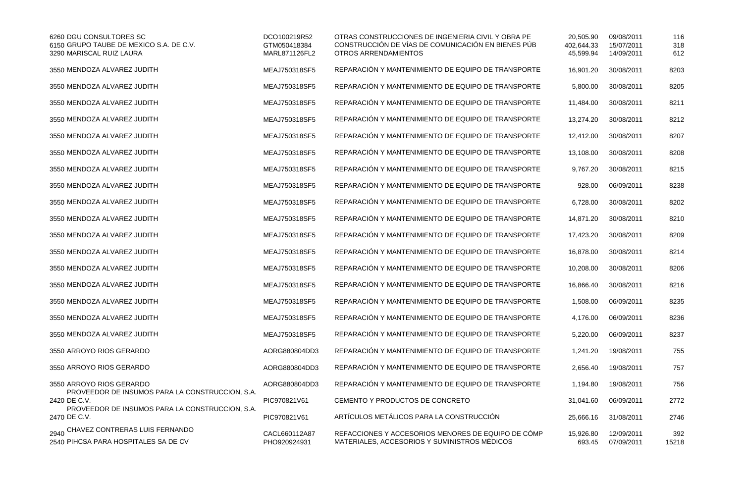| 6260 DGU CONSULTORES SC<br>6150 GRUPO TAUBE DE MEXICO S.A. DE C.V.<br>3290 MARISCAL RUIZ LAURA | DCO100219R52<br>GTM050418384<br>MARL871126FL2 | OTRAS CONSTRUCCIONES DE INGENIERIA CIVIL Y OBRA PE<br>CONSTRUCCIÓN DE VÍAS DE COMUNICACIÓN EN BIENES PÚB<br><b>OTROS ARRENDAMIENTOS</b> | 20,505.90<br>402,644.33<br>45,599.94 | 09/08/2011<br>15/07/2011<br>14/09/2011 | 116<br>318<br>612 |
|------------------------------------------------------------------------------------------------|-----------------------------------------------|-----------------------------------------------------------------------------------------------------------------------------------------|--------------------------------------|----------------------------------------|-------------------|
| 3550 MENDOZA ALVAREZ JUDITH                                                                    | MEAJ750318SF5                                 | REPARACIÓN Y MANTENIMIENTO DE EQUIPO DE TRANSPORTE                                                                                      | 16,901.20                            | 30/08/2011                             | 8203              |
| 3550 MENDOZA ALVAREZ JUDITH                                                                    | MEAJ750318SF5                                 | REPARACIÓN Y MANTENIMIENTO DE EQUIPO DE TRANSPORTE                                                                                      | 5,800.00                             | 30/08/2011                             | 8205              |
| 3550 MENDOZA ALVAREZ JUDITH                                                                    | MEAJ750318SF5                                 | REPARACIÓN Y MANTENIMIENTO DE EQUIPO DE TRANSPORTE                                                                                      | 11,484.00                            | 30/08/2011                             | 8211              |
| 3550 MENDOZA ALVAREZ JUDITH                                                                    | MEAJ750318SF5                                 | REPARACIÓN Y MANTENIMIENTO DE EQUIPO DE TRANSPORTE                                                                                      | 13,274.20                            | 30/08/2011                             | 8212              |
| 3550 MENDOZA ALVAREZ JUDITH                                                                    | MEAJ750318SF5                                 | REPARACIÓN Y MANTENIMIENTO DE EQUIPO DE TRANSPORTE                                                                                      | 12,412.00                            | 30/08/2011                             | 8207              |
| 3550 MENDOZA ALVAREZ JUDITH                                                                    | MEAJ750318SF5                                 | REPARACIÓN Y MANTENIMIENTO DE EQUIPO DE TRANSPORTE                                                                                      | 13,108.00                            | 30/08/2011                             | 8208              |
| 3550 MENDOZA ALVAREZ JUDITH                                                                    | MEAJ750318SF5                                 | REPARACIÓN Y MANTENIMIENTO DE EQUIPO DE TRANSPORTE                                                                                      | 9,767.20                             | 30/08/2011                             | 8215              |
| 3550 MENDOZA ALVAREZ JUDITH                                                                    | MEAJ750318SF5                                 | REPARACIÓN Y MANTENIMIENTO DE EQUIPO DE TRANSPORTE                                                                                      | 928.00                               | 06/09/2011                             | 8238              |
| 3550 MENDOZA ALVAREZ JUDITH                                                                    | MEAJ750318SF5                                 | REPARACIÓN Y MANTENIMIENTO DE EQUIPO DE TRANSPORTE                                                                                      | 6,728.00                             | 30/08/2011                             | 8202              |
| 3550 MENDOZA ALVAREZ JUDITH                                                                    | MEAJ750318SF5                                 | REPARACIÓN Y MANTENIMIENTO DE EQUIPO DE TRANSPORTE                                                                                      | 14,871.20                            | 30/08/2011                             | 8210              |
| 3550 MENDOZA ALVAREZ JUDITH                                                                    | MEAJ750318SF5                                 | REPARACIÓN Y MANTENIMIENTO DE EQUIPO DE TRANSPORTE                                                                                      | 17,423.20                            | 30/08/2011                             | 8209              |
| 3550 MENDOZA ALVAREZ JUDITH                                                                    | MEAJ750318SF5                                 | REPARACIÓN Y MANTENIMIENTO DE EQUIPO DE TRANSPORTE                                                                                      | 16,878.00                            | 30/08/2011                             | 8214              |
| 3550 MENDOZA ALVAREZ JUDITH                                                                    | MEAJ750318SF5                                 | REPARACIÓN Y MANTENIMIENTO DE EQUIPO DE TRANSPORTE                                                                                      | 10,208.00                            | 30/08/2011                             | 8206              |
| 3550 MENDOZA ALVAREZ JUDITH                                                                    | MEAJ750318SF5                                 | REPARACIÓN Y MANTENIMIENTO DE EQUIPO DE TRANSPORTE                                                                                      | 16,866.40                            | 30/08/2011                             | 8216              |
| 3550 MENDOZA ALVAREZ JUDITH                                                                    | MEAJ750318SF5                                 | REPARACIÓN Y MANTENIMIENTO DE EQUIPO DE TRANSPORTE                                                                                      | 1,508.00                             | 06/09/2011                             | 8235              |
| 3550 MENDOZA ALVAREZ JUDITH                                                                    | MEAJ750318SF5                                 | REPARACIÓN Y MANTENIMIENTO DE EQUIPO DE TRANSPORTE                                                                                      | 4,176.00                             | 06/09/2011                             | 8236              |
| 3550 MENDOZA ALVAREZ JUDITH                                                                    | MEAJ750318SF5                                 | REPARACIÓN Y MANTENIMIENTO DE EQUIPO DE TRANSPORTE                                                                                      | 5,220.00                             | 06/09/2011                             | 8237              |
| 3550 ARROYO RIOS GERARDO                                                                       | AORG880804DD3                                 | REPARACIÓN Y MANTENIMIENTO DE EQUIPO DE TRANSPORTE                                                                                      | 1,241.20                             | 19/08/2011                             | 755               |
| 3550 ARROYO RIOS GERARDO                                                                       | AORG880804DD3                                 | REPARACIÓN Y MANTENIMIENTO DE EQUIPO DE TRANSPORTE                                                                                      | 2,656.40                             | 19/08/2011                             | 757               |
| 3550 ARROYO RIOS GERARDO                                                                       | AORG880804DD3                                 | REPARACIÓN Y MANTENIMIENTO DE EQUIPO DE TRANSPORTE                                                                                      | 1,194.80                             | 19/08/2011                             | 756               |
| PROVEEDOR DE INSUMOS PARA LA CONSTRUCCION, S.A.<br>2420 DE C.V.                                | PIC970821V61                                  | CEMENTO Y PRODUCTOS DE CONCRETO                                                                                                         | 31,041.60                            | 06/09/2011                             | 2772              |
| PROVEEDOR DE INSUMOS PARA LA CONSTRUCCION, S.A.<br>2470 DE C.V.                                | PIC970821V61                                  | ARTÍCULOS METÁLICOS PARA LA CONSTRUCCIÓN                                                                                                | 25,666.16                            | 31/08/2011                             | 2746              |
| 2940 CHAVEZ CONTRERAS LUIS FERNANDO<br>2540 PIHCSA PARA HOSPITALES SA DE CV                    | CACL660112A87<br>PHO920924931                 | REFACCIONES Y ACCESORIOS MENORES DE EQUIPO DE CÓMP<br>MATERIALES, ACCESORIOS Y SUMINISTROS MÉDICOS                                      | 15,926.80<br>693.45                  | 12/09/2011<br>07/09/2011               | 392<br>15218      |

| 20,505.90<br>402,644.33<br>45,599.94 | 09/08/2011<br>15/07/2011<br>14/09/2011 | 116<br>318<br>612 |
|--------------------------------------|----------------------------------------|-------------------|
| 16,901.20                            | 30/08/2011                             | 8203              |
| 5,800.00                             | 30/08/2011                             | 8205              |
| 11,484.00                            | 30/08/2011                             | 8211              |
| 13,274.20                            | 30/08/2011                             | 8212              |
| 12,412.00                            | 30/08/2011                             | 8207              |
| 13,108.00                            | 30/08/2011                             | 8208              |
| 9,767.20                             | 30/08/2011                             | 8215              |
| 928.00                               | 06/09/2011                             | 8238              |
| 6,728.00                             | 30/08/2011                             | 8202              |
| 14,871.20                            | 30/08/2011                             | 8210              |
| 17,423.20                            | 30/08/2011                             | 8209              |
| 16,878.00                            | 30/08/2011                             | 8214              |
| 10,208.00                            | 30/08/2011                             | 8206              |
| 16,866.40                            | 30/08/2011                             | 8216              |
| 1,508.00                             | 06/09/2011                             | 8235              |
| 4,176.00                             | 06/09/2011                             | 8236              |
| 5,220.00                             | 06/09/2011                             | 8237              |
| 1,241.20                             | 19/08/2011                             | 755               |
| 2,656.40                             | 19/08/2011                             | 757               |
| 1,194.80                             | 19/08/2011                             | 756               |
| 31,041.60                            | 06/09/2011                             | 2772              |
| 25,666.16                            | 31/08/2011                             | 2746              |
| 15,926.80<br>693.45                  | 12/09/2011<br>07/09/2011               | 392<br>15218      |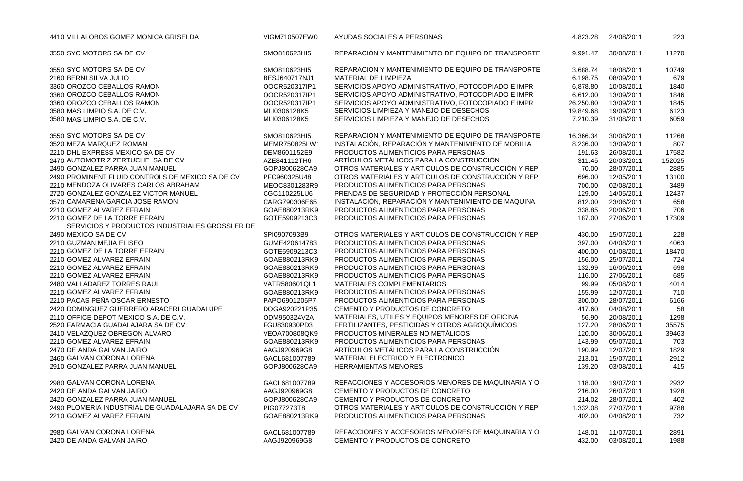| 4410 VILLALOBOS GOMEZ MONICA GRISELDA                                           | VIGM710507EW0 | AYUDAS SOCIALES A PERSONAS                         | 4,823.28  | 24/08/2011 | 223    |
|---------------------------------------------------------------------------------|---------------|----------------------------------------------------|-----------|------------|--------|
| 3550 SYC MOTORS SA DE CV                                                        | SMO810623HI5  | REPARACIÓN Y MANTENIMIENTO DE EQUIPO DE TRANSPORTE | 9,991.47  | 30/08/2011 | 11270  |
| 3550 SYC MOTORS SA DE CV                                                        | SMO810623HI5  | REPARACIÓN Y MANTENIMIENTO DE EQUIPO DE TRANSPORTE | 3,688.74  | 18/08/2011 | 10749  |
| 2160 BERNI SILVA JULIO                                                          | BESJ640717NJ1 | MATERIAL DE LIMPIEZA                               | 6,198.75  | 08/09/2011 | 679    |
| 3360 OROZCO CEBALLOS RAMON                                                      | OOCR520317IP1 | SERVICIOS APOYO ADMINISTRATIVO, FOTOCOPIADO E IMPR | 6,878.80  | 10/08/2011 | 1840   |
| 3360 OROZCO CEBALLOS RAMON                                                      | OOCR520317IP1 | SERVICIOS APOYO ADMINISTRATIVO, FOTOCOPIADO E IMPR | 6,612.00  | 13/09/2011 | 1846   |
| 3360 OROZCO CEBALLOS RAMON                                                      | OOCR520317IP1 | SERVICIOS APOYO ADMINISTRATIVO, FOTOCOPIADO E IMPR | 26,250.80 | 13/09/2011 | 1845   |
| 3580 MAS LIMPIO S.A. DE C.V.                                                    | MLI0306128K5  | SERVICIOS LIMPIEZA Y MANEJO DE DESECHOS            | 19,849.68 | 19/09/2011 | 6123   |
| 3580 MAS LIMPIO S.A. DE C.V.                                                    | MLI0306128K5  | SERVICIOS LIMPIEZA Y MANEJO DE DESECHOS            | 7,210.39  | 31/08/2011 | 6059   |
| 3550 SYC MOTORS SA DE CV                                                        | SMO810623HI5  | REPARACIÓN Y MANTENIMIENTO DE EQUIPO DE TRANSPORTE | 16,366.34 | 30/08/2011 | 11268  |
| 3520 MEZA MARQUEZ ROMAN                                                         | MEMR750825LW1 | INSTALACIÓN, REPARACIÓN Y MANTENIMIENTO DE MOBILIA | 8,236.00  | 13/09/2011 | 807    |
| 2210 DHL EXPRESS MEXICO SA DE CV                                                | DEM8601152E9  | PRODUCTOS ALIMENTICIOS PARA PERSONAS               | 191.63    | 26/08/2011 | 17582  |
| 2470 AUTOMOTRIZ ZERTUCHE SA DE CV                                               | AZE841112TH6  | ARTÍCULOS METÁLICOS PARA LA CONSTRUCCIÓN           | 311.45    | 20/03/2011 | 152025 |
| 2490 GONZALEZ PARRA JUAN MANUEL                                                 | GOPJ800628CA9 | OTROS MATERIALES Y ARTÍCULOS DE CONSTRUCCIÓN Y REP | 70.00     | 28/07/2011 | 2885   |
| 2490 PROMINENT FLUID CONTROLS DE MEXICO SA DE CV                                | PFC960325U48  | OTROS MATERIALES Y ARTÍCULOS DE CONSTRUCCIÓN Y REP | 696.00    | 12/05/2011 | 13100  |
| 2210 MENDOZA OLIVARES CARLOS ABRAHAM                                            | MEOC8301283R9 | PRODUCTOS ALIMENTICIOS PARA PERSONAS               | 700.00    | 02/08/2011 | 3489   |
| 2720 GONZALEZ GONZALEZ VICTOR MANUEL                                            | CGC110225LU6  | PRENDAS DE SEGURIDAD Y PROTECCIÓN PERSONAL         | 129.00    | 14/05/2011 | 12437  |
| 3570 CAMARENA GARCIA JOSE RAMON                                                 | CARG790306E65 | INSTALACIÓN, REPARACIÓN Y MANTENIMIENTO DE MAQUINA | 812.00    | 23/06/2011 | 658    |
| 2210 GOMEZ ALVAREZ EFRAIN                                                       | GOAE880213RK9 | PRODUCTOS ALIMENTICIOS PARA PERSONAS               | 338.85    | 20/06/2011 | 706    |
| 2210 GOMEZ DE LA TORRE EFRAIN<br>SERVICIOS Y PRODUCTOS INDUSTRIALES GROSSLER DE | GOTE5909213C3 | PRODUCTOS ALIMENTICIOS PARA PERSONAS               | 187.00    | 27/06/2011 | 17309  |
| 2490 MEXICO SA DE CV                                                            | SPI0907093B9  | OTROS MATERIALES Y ARTÍCULOS DE CONSTRUCCIÓN Y REP | 430.00    | 15/07/2011 | 228    |
| 2210 GUZMAN MEJIA ELISEO                                                        | GUME420614783 | PRODUCTOS ALIMENTICIOS PARA PERSONAS               | 397.00    | 04/08/2011 | 4063   |
| 2210 GOMEZ DE LA TORRE EFRAIN                                                   | GOTE5909213C3 | PRODUCTOS ALIMENTICIOS PARA PERSONAS               | 400.00    | 01/08/2011 | 18470  |
| 2210 GOMEZ ALVAREZ EFRAIN                                                       | GOAE880213RK9 | PRODUCTOS ALIMENTICIOS PARA PERSONAS               | 156.00    | 25/07/2011 | 724    |
| 2210 GOMEZ ALVAREZ EFRAIN                                                       | GOAE880213RK9 | PRODUCTOS ALIMENTICIOS PARA PERSONAS               | 132.99    | 16/06/2011 | 698    |
| 2210 GOMEZ ALVAREZ EFRAIN                                                       | GOAE880213RK9 | PRODUCTOS ALIMENTICIOS PARA PERSONAS               | 116.00    | 27/06/2011 | 685    |
| 2480 VALLADAREZ TORRES RAUL                                                     | VATR580601QL1 | <b>MATERIALES COMPLEMENTARIOS</b>                  | 99.99     | 05/08/2011 | 4014   |
| 2210 GOMEZ ALVAREZ EFRAIN                                                       | GOAE880213RK9 | PRODUCTOS ALIMENTICIOS PARA PERSONAS               | 155.99    | 12/07/2011 | 710    |
| 2210 PACAS PEÑA OSCAR ERNESTO                                                   | PAPO6901205P7 | PRODUCTOS ALIMENTICIOS PARA PERSONAS               | 300.00    | 28/07/2011 | 6166   |
| 2420 DOMINGUEZ GUERRERO ARACERI GUADALUPE                                       | DOGA920221P35 | CEMENTO Y PRODUCTOS DE CONCRETO                    | 417.60    | 04/08/2011 | 58     |
| 2110 OFFICE DEPOT MEXICO S.A. DE C.V.                                           | ODM950324V2A  | MATERIALES, ÚTILES Y EQUIPOS MENORES DE OFICINA    | 56.90     | 20/08/2011 | 1298   |
| 2520 FARMACIA GUADALAJARA SA DE CV                                              | FGU830930PD3  | FERTILIZANTES, PESTICIDAS Y OTROS AGROQUÍMICOS     | 127.20    | 28/06/2011 | 35575  |
| 2410 VELAZQUEZ OBREGON ALVARO                                                   | VEOA700808QK9 | PRODUCTOS MINERALES NO METÁLICOS                   | 120.00    | 30/06/2011 | 39463  |
| 2210 GOMEZ ALVAREZ EFRAIN                                                       | GOAE880213RK9 | PRODUCTOS ALIMENTICIOS PARA PERSONAS               | 143.99    | 05/07/2011 | 703    |
| 2470 DE ANDA GALVAN JAIRO                                                       | AAGJ920969G8  | ARTÍCULOS METÁLICOS PARA LA CONSTRUCCIÓN           | 190.99    | 12/07/2011 | 1829   |
| 2460 GALVAN CORONA LORENA                                                       | GACL681007789 | MATERIAL ELÉCTRICO Y ELECTRÓNICO                   | 213.01    | 15/07/2011 | 2912   |
| 2910 GONZALEZ PARRA JUAN MANUEL                                                 | GOPJ800628CA9 | <b>HERRAMIENTAS MENORES</b>                        | 139.20    | 03/08/2011 | 415    |
| 2980 GALVAN CORONA LORENA                                                       | GACL681007789 | REFACCIONES Y ACCESORIOS MENORES DE MAQUINARIA Y O | 118.00    | 19/07/2011 | 2932   |
| 2420 DE ANDA GALVAN JAIRO                                                       | AAGJ920969G8  | CEMENTO Y PRODUCTOS DE CONCRETO                    | 216.00    | 26/07/2011 | 1928   |
| 2420 GONZALEZ PARRA JUAN MANUEL                                                 | GOPJ800628CA9 | CEMENTO Y PRODUCTOS DE CONCRETO                    | 214.02    | 28/07/2011 | 402    |
| 2490 PLOMERIA INDUSTRIAL DE GUADALAJARA SA DE CV                                | PIG077273T8   | OTROS MATERIALES Y ARTÍCULOS DE CONSTRUCCIÓN Y REP | 1,332.08  | 27/07/2011 | 9788   |
| 2210 GOMEZ ALVAREZ EFRAIN                                                       | GOAE880213RK9 | PRODUCTOS ALIMENTICIOS PARA PERSONAS               | 402.00    | 04/08/2011 | 732    |
| 2980 GALVAN CORONA LORENA                                                       | GACL681007789 | REFACCIONES Y ACCESORIOS MENORES DE MAQUINARIA Y O | 148.01    | 11/07/2011 | 2891   |
| 2420 DE ANDA GALVAN JAIRO                                                       | AAGJ920969G8  | CEMENTO Y PRODUCTOS DE CONCRETO                    | 432.00    | 03/08/2011 | 1988   |
|                                                                                 |               |                                                    |           |            |        |

| 4,823.28  | 24/08/2011 | 223    |
|-----------|------------|--------|
| 9,991.47  | 30/08/2011 | 11270  |
| 3,688.74  | 18/08/2011 | 10749  |
| 6,198.75  | 08/09/2011 | 679    |
| 6,878.80  | 10/08/2011 | 1840   |
| 6,612.00  | 13/09/2011 | 1846   |
| 26,250.80 | 13/09/2011 | 1845   |
| 19,849.68 | 19/09/2011 | 6123   |
| 7,210.39  | 31/08/2011 | 6059   |
| 16,366.34 | 30/08/2011 | 11268  |
| 8,236.00  | 13/09/2011 | 807    |
| 191.63    | 26/08/2011 | 17582  |
| 311.45    | 20/03/2011 | 152025 |
| 70.00     | 28/07/2011 | 2885   |
| 696.00    | 12/05/2011 | 13100  |
| 700.00    | 02/08/2011 | 3489   |
| 129.00    | 14/05/2011 | 12437  |
| 812.00    | 23/06/2011 | 658    |
| 338.85    | 20/06/2011 | 706    |
| 187.00    | 27/06/2011 | 17309  |
| 430.00    | 15/07/2011 | 228    |
| 397.00    | 04/08/2011 | 4063   |
| 400.00    | 01/08/2011 | 18470  |
| 156.00    | 25/07/2011 | 724    |
| 132.99    | 16/06/2011 | 698    |
| 116.00    | 27/06/2011 | 685    |
| 99.99     | 05/08/2011 | 4014   |
| 155.99    | 12/07/2011 | 710    |
| 300.00    | 28/07/2011 | 6166   |
| 417.60    | 04/08/2011 | 58     |
| 56.90     | 20/08/2011 | 1298   |
| 127.20    | 28/06/2011 | 35575  |
| 120.00    | 30/06/2011 | 39463  |
| 143.99    | 05/07/2011 | 703    |
| 190.99    | 12/07/2011 | 1829   |
| 213.01    | 15/07/2011 | 2912   |
| 139.20    | 03/08/2011 | 415    |
| 118.00    | 19/07/2011 | 2932   |
| 216.00    | 26/07/2011 | 1928   |
| 214.02    | 28/07/2011 | 402    |
| 1,332.08  | 27/07/2011 | 9788   |
| 402.00    | 04/08/2011 | 732    |
| 148.01    | 11/07/2011 | 2891   |
| 432.00    | 03/08/2011 | 1988   |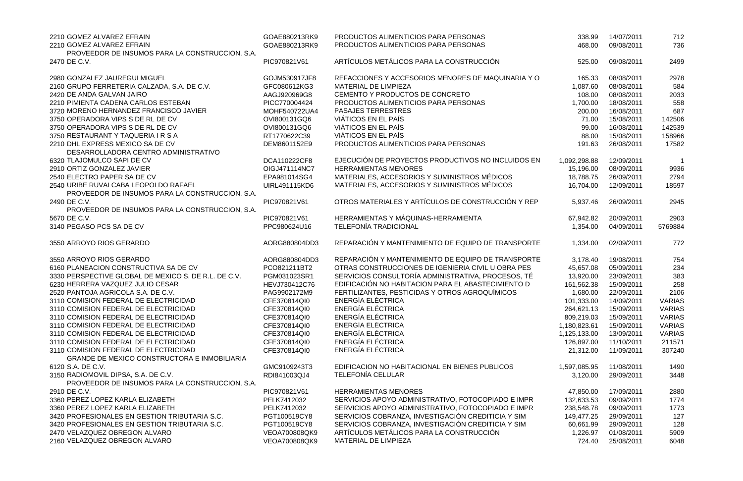| 2210 GOMEZ ALVAREZ EFRAIN<br>2210 GOMEZ ALVAREZ EFRAIN                                 | GOAE880213RK9<br>GOAE880213RK9 | PRODUCTOS ALIMENTICIOS PARA PERSONAS<br>PRODUCTOS ALIMENTICIOS PARA PERSONAS                   | 338.99<br>468.00      | 14/07/2011<br>09/08/2011 | 712<br>736    |
|----------------------------------------------------------------------------------------|--------------------------------|------------------------------------------------------------------------------------------------|-----------------------|--------------------------|---------------|
| PROVEEDOR DE INSUMOS PARA LA CONSTRUCCION, S.A.                                        |                                |                                                                                                |                       |                          |               |
| 2470 DE C.V.                                                                           | PIC970821V61                   | ARTÍCULOS METÁLICOS PARA LA CONSTRUCCIÓN                                                       | 525.00                | 09/08/2011               | 2499          |
| 2980 GONZALEZ JAUREGUI MIGUEL                                                          | GOJM530917JF8                  | REFACCIONES Y ACCESORIOS MENORES DE MAQUINARIA Y O                                             | 165.33                | 08/08/2011               | 2978          |
| 2160 GRUPO FERRETERIA CALZADA, S.A. DE C.V.                                            | GFC080612KG3                   | MATERIAL DE LIMPIEZA                                                                           | 1,087.60              | 08/08/2011               | 584           |
| 2420 DE ANDA GALVAN JAIRO                                                              | AAGJ920969G8                   | CEMENTO Y PRODUCTOS DE CONCRETO                                                                | 108.00                | 08/08/2011               | 2033          |
| 2210 PIMIENTA CADENA CARLOS ESTEBAN                                                    | PICC770004424                  | PRODUCTOS ALIMENTICIOS PARA PERSONAS                                                           | 1,700.00              | 18/08/2011               | 558           |
| 3720 MORENO HERNANDEZ FRANCISCO JAVIER                                                 | MOHF540722UA4                  | <b>PASAJES TERRESTRES</b>                                                                      | 200.00                | 16/08/2011               | 687           |
| 3750 OPERADORA VIPS S DE RL DE CV                                                      | OVI800131GQ6                   | VIÁTICOS EN EL PAÍS                                                                            | 71.00                 | 15/08/2011               | 142506        |
| 3750 OPERADORA VIPS S DE RL DE CV                                                      | OVI800131GQ6                   | VIÁTICOS EN EL PAÍS                                                                            | 99.00                 | 16/08/2011               | 142539        |
| 3750 RESTAURANT Y TAQUERIA I R S A                                                     | RT1770622C39                   | VIÁTICOS EN EL PAÍS                                                                            | 88.00                 | 15/08/2011               | 158966        |
| 2210 DHL EXPRESS MEXICO SA DE CV<br>DESARROLLADORA CENTRO ADMINISTRATIVO               | DEM8601152E9                   | PRODUCTOS ALIMENTICIOS PARA PERSONAS                                                           | 191.63                | 26/08/2011               | 17582         |
| 6320 TLAJOMULCO SAPI DE CV                                                             | DCA110222CF8                   | EJECUCIÓN DE PROYECTOS PRODUCTIVOS NO INCLUIDOS EN                                             | 1,092,298.88          | 12/09/2011               | -1            |
| 2910 ORTIZ GONZALEZ JAVIER                                                             | OIGJ471114NC7                  | <b>HERRAMIENTAS MENORES</b>                                                                    | 15,196.00             | 08/09/2011               | 9936          |
| 2540 ELECTRO PAPER SA DE CV                                                            | EPA981014SG4                   | MATERIALES, ACCESORIOS Y SUMINISTROS MÉDICOS                                                   | 18,788.75             | 26/09/2011               | 2794          |
| 2540 URIBE RUVALCABA LEOPOLDO RAFAEL                                                   | UIRL491115KD6                  | MATERIALES, ACCESORIOS Y SUMINISTROS MÉDICOS                                                   | 16,704.00             | 12/09/2011               | 18597         |
| PROVEEDOR DE INSUMOS PARA LA CONSTRUCCION, S.A.                                        |                                |                                                                                                |                       |                          |               |
| 2490 DE C.V.                                                                           | PIC970821V61                   | OTROS MATERIALES Y ARTÍCULOS DE CONSTRUCCIÓN Y REP                                             | 5,937.46              | 26/09/2011               | 2945          |
| PROVEEDOR DE INSUMOS PARA LA CONSTRUCCION, S.A.                                        |                                |                                                                                                |                       |                          |               |
| 5670 DE C.V.                                                                           | PIC970821V61                   | HERRAMIENTAS Y MÁQUINAS-HERRAMIENTA                                                            | 67,942.82             | 20/09/2011               | 2903          |
| 3140 PEGASO PCS SA DE CV                                                               | PPC980624U16                   | <b>TELEFONÍA TRADICIONAL</b>                                                                   | 1,354.00              | 04/09/2011               | 5769884       |
| 3550 ARROYO RIOS GERARDO                                                               | AORG880804DD3                  | REPARACIÓN Y MANTENIMIENTO DE EQUIPO DE TRANSPORTE                                             | 1,334.00              | 02/09/2011               | 772           |
| 3550 ARROYO RIOS GERARDO                                                               | AORG880804DD3                  | REPARACIÓN Y MANTENIMIENTO DE EQUIPO DE TRANSPORTE                                             | 3,178.40              | 19/08/2011               | 754           |
| 6160 PLANEACION CONSTRUCTIVA SA DE CV                                                  | PCO821211BT2                   | OTRAS CONSTRUCCIONES DE IGENIERIA CIVIL U OBRA PES                                             | 45,657.08             | 05/09/2011               | 234           |
| 3330 PERSPECTIVE GLOBAL DE MEXICO S. DE R.L. DE C.V.                                   | PGM031023SR1                   | SERVICIOS CONSULTORÍA ADMINISTRATIVA, PROCESOS, TÉ                                             | 13,920.00             | 23/09/2011               | 383           |
| 6230 HERRERA VAZQUEZ JULIO CESAR                                                       | HEVJ730412C76                  | EDIFICACIÓN NO HABITACION PARA EL ABASTECIMIENTO D                                             | 161,562.38            | 15/09/2011               | 258           |
| 2520 PANTOJA AGRICOLA S.A. DE C.V.                                                     | PAG9902172M9                   | FERTILIZANTES, PESTICIDAS Y OTROS AGROQUÍMICOS                                                 | 1,680.00              | 22/09/2011               | 2106          |
| 3110 COMISION FEDERAL DE ELECTRICIDAD                                                  | CFE370814QI0                   | <b>ENERGÍA ELÉCTRICA</b>                                                                       | 101,333.00            | 14/09/2011               | <b>VARIAS</b> |
| 3110 COMISION FEDERAL DE ELECTRICIDAD                                                  | CFE370814QI0                   | <b>ENERGÍA ELÉCTRICA</b>                                                                       | 264,621.13            | 15/09/2011               | <b>VARIAS</b> |
| 3110 COMISION FEDERAL DE ELECTRICIDAD                                                  | CFE370814QI0                   | <b>ENERGÍA ELÉCTRICA</b>                                                                       | 809,219.03            | 15/09/2011               | <b>VARIAS</b> |
| 3110 COMISION FEDERAL DE ELECTRICIDAD                                                  | CFE370814QI0                   | ENERGÍA ELÉCTRICA                                                                              | 1,180,823.61          | 15/09/2011               | <b>VARIAS</b> |
| 3110 COMISION FEDERAL DE ELECTRICIDAD                                                  | CFE370814QI0                   | <b>ENERGÍA ELÉCTRICA</b>                                                                       | 1,125,133.00          | 13/09/2011               | <b>VARIAS</b> |
| 3110 COMISION FEDERAL DE ELECTRICIDAD                                                  | CFE370814QI0                   | <b>ENERGÍA ELÉCTRICA</b>                                                                       | 126,897.00            | 11/10/2011               | 211571        |
| 3110 COMISION FEDERAL DE ELECTRICIDAD                                                  | CFE370814QI0                   | <b>ENERGÍA ELÉCTRICA</b>                                                                       | 21,312.00             | 11/09/2011               | 307240        |
| <b>GRANDE DE MEXICO CONSTRUCTORA E INMOBILIARIA</b>                                    |                                |                                                                                                |                       |                          |               |
| 6120 S.A. DE C.V.                                                                      | GMC9109243T3                   | EDIFICACION NO HABITACIONAL EN BIENES PUBLICOS                                                 | 1,597,085.95          | 11/08/2011               | 1490          |
| 3150 RADIOMOVIL DIPSA, S.A. DE C.V.<br>PROVEEDOR DE INSUMOS PARA LA CONSTRUCCION, S.A. | RDI841003QJ4                   | <b>TELEFONÍA CELULAR</b>                                                                       | 3,120.00              | 29/09/2011               | 3448          |
| 2910 DE C.V.                                                                           |                                |                                                                                                |                       |                          |               |
| 3360 PEREZ LOPEZ KARLA ELIZABETH                                                       |                                |                                                                                                |                       |                          |               |
| 3360 PEREZ LOPEZ KARLA ELIZABETH                                                       | PIC970821V61                   | <b>HERRAMIENTAS MENORES</b>                                                                    | 47,850.00             | 17/09/2011               | 2880          |
|                                                                                        | PELK7412032                    | SERVICIOS APOYO ADMINISTRATIVO, FOTOCOPIADO E IMPR                                             | 132,633.53            | 09/09/2011               | 1774          |
|                                                                                        | PELK7412032                    | SERVICIOS APOYO ADMINISTRATIVO, FOTOCOPIADO E IMPR                                             | 238,548.78            | 09/09/2011               | 1773          |
| 3420 PROFESIONALES EN GESTION TRIBUTARIA S.C.                                          | PGT100519CY8                   | SERVICIOS COBRANZA, INVESTIGACIÓN CREDITICIA Y SIM                                             | 149,477.25            | 29/09/2011               | 127           |
| 3420 PROFESIONALES EN GESTION TRIBUTARIA S.C.<br>2470 VELAZQUEZ OBREGON ALVARO         | PGT100519CY8<br>VEOA700808QK9  | SERVICIOS COBRANZA, INVESTIGACIÓN CREDITICIA Y SIM<br>ARTÍCULOS METÁLICOS PARA LA CONSTRUCCIÓN | 60,661.99<br>1,226.97 | 29/09/2011<br>01/08/2011 | 128<br>5909   |

| 338.99<br>468.00 | 14/07/2011<br>09/08/2011 | 712<br>736    |
|------------------|--------------------------|---------------|
|                  |                          |               |
| 525.00           | 09/08/2011               | 2499          |
| 165.33           | 08/08/2011               | 2978          |
| 1,087.60         | 08/08/2011               | 584           |
| 108.00           | 08/08/2011               | 2033          |
| 1,700.00         | 18/08/2011               | 558           |
| 200.00           | 16/08/2011               | 687           |
| 71.00            | 15/08/2011               | 142506        |
| 99.00            | 16/08/2011               | 142539        |
| 88.00            | 15/08/2011               | 158966        |
| 191.63           | 26/08/2011               | 17582         |
|                  |                          |               |
| 1,092,298.88     | 12/09/2011               | 1             |
| 15,196.00        | 08/09/2011               | 9936          |
| 18,788.75        | 26/09/2011               | 2794          |
| 16,704.00        | 12/09/2011               | 18597         |
| 5,937.46         | 26/09/2011               | 2945          |
| 67,942.82        | 20/09/2011               | 2903          |
| 1,354.00         | 04/09/2011               | 5769884       |
| 1,334.00         | 02/09/2011               | 772           |
| 3,178.40         | 19/08/2011               | 754           |
| 45,657.08        | 05/09/2011               | 234           |
| 13,920.00        | 23/09/2011               | 383           |
| 161,562.38       | 15/09/2011               | 258           |
| 1,680.00         | 22/09/2011               | 2106          |
|                  | 14/09/2011               | <b>VARIAS</b> |
| 101,333.00       |                          |               |
| 264,621.13       | 15/09/2011               | VARIAS        |
| 809,219.03       | 15/09/2011               | VARIAS        |
| 1,180,823.61     | 15/09/2011               | VARIAS        |
| 1,125,133.00     | 13/09/2011               | VARIAS        |
| 126,897.00       | 11/10/2011               | 211571        |
| 21,312.00        | 11/09/2011               | 307240        |
| 1,597,085.95     | 11/08/2011               | 1490          |
| 3,120.00         | 29/09/2011               | 3448          |
| 47,850.00        | 17/09/2011               | 2880          |
| 132,633.53       | 09/09/2011               | 1774          |
| 238,548.78       | 09/09/2011               | 1773          |
| 149,477.25       | 29/09/2011               | 127           |
|                  | 29/09/2011               | 128           |
| 60,661.99        |                          |               |
| 1,226.97         | 01/08/2011               | 5909          |
| 724.40           | 25/08/2011               | 6048          |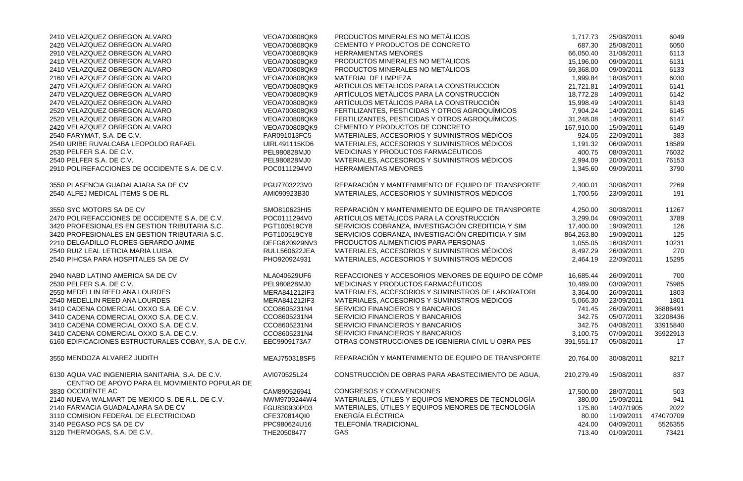| 2410 VELAZQUEZ OBREGON ALVARO                                                                     | VEOA700808QK9        | PRODUCTOS MINERALES NO METÁLICOS                   | 1,717.73   | 25/08/2011 | 6049      |
|---------------------------------------------------------------------------------------------------|----------------------|----------------------------------------------------|------------|------------|-----------|
| 2420 VELAZQUEZ OBREGON ALVARO                                                                     | VEOA700808QK9        | CEMENTO Y PRODUCTOS DE CONCRETO                    | 687.30     | 25/08/2011 | 6050      |
| 2910 VELAZQUEZ OBREGON ALVARO                                                                     | VEOA700808QK9        | <b>HERRAMIENTAS MENORES</b>                        | 66,050.40  | 31/08/2011 | 6113      |
| 2410 VELAZQUEZ OBREGON ALVARO                                                                     | VEOA700808QK9        | PRODUCTOS MINERALES NO METÁLICOS                   | 15,196.00  | 09/09/2011 | 6131      |
| 2410 VELAZQUEZ OBREGON ALVARO                                                                     | VEOA700808QK9        | PRODUCTOS MINERALES NO METÁLICOS                   | 69,368.00  | 09/09/2011 | 6133      |
| 2160 VELAZQUEZ OBREGON ALVARO                                                                     | VEOA700808QK9        | MATERIAL DE LIMPIEZA                               | 1,999.84   | 18/08/2011 | 6030      |
| 2470 VELAZQUEZ OBREGON ALVARO                                                                     | VEOA700808QK9        | ARTÍCULOS METÁLICOS PARA LA CONSTRUCCIÓN           | 21,721.81  | 14/09/2011 | 6141      |
| 2470 VELAZQUEZ OBREGON ALVARO                                                                     | VEOA700808QK9        | ARTÍCULOS METÁLICOS PARA LA CONSTRUCCIÓN           | 18,772.28  | 14/09/2011 | 6142      |
| 2470 VELAZQUEZ OBREGON ALVARO                                                                     | VEOA700808QK9        | ARTÍCULOS METÁLICOS PARA LA CONSTRUCCIÓN           | 15,998.49  | 14/09/2011 | 6143      |
| 2520 VELAZQUEZ OBREGON ALVARO                                                                     | VEOA700808QK9        | FERTILIZANTES, PESTICIDAS Y OTROS AGROQUÍMICOS     | 7,904.24   | 14/09/2011 | 6145      |
| 2520 VELAZQUEZ OBREGON ALVARO                                                                     | VEOA700808QK9        | FERTILIZANTES, PESTICIDAS Y OTROS AGROQUÍMICOS     | 31,248.08  | 14/09/2011 | 6147      |
| 2420 VELAZQUEZ OBREGON ALVARO                                                                     | VEOA700808QK9        | CEMENTO Y PRODUCTOS DE CONCRETO                    | 167,910.00 | 15/09/2011 | 6149      |
| 2540 FARYMAT, S.A. DE C.V.                                                                        | FAR091013FC5         | MATERIALES, ACCESORIOS Y SUMINISTROS MÉDICOS       | 924.05     | 22/09/2011 | 383       |
| 2540 URIBE RUVALCABA LEOPOLDO RAFAEL                                                              | <b>UIRL491115KD6</b> | MATERIALES, ACCESORIOS Y SUMINISTROS MÉDICOS       | 1,191.32   | 06/09/2011 | 18589     |
| 2530 PELFER S.A. DE C.V.                                                                          | PEL980828MJ0         | MEDICINAS Y PRODUCTOS FARMACÉUTICOS                | 400.75     | 08/09/2011 | 76032     |
| 2540 PELFER S.A. DE C.V.                                                                          | PEL980828MJ0         | MATERIALES, ACCESORIOS Y SUMINISTROS MÉDICOS       | 2,994.09   | 20/09/2011 | 76153     |
| 2910 POLIREFACCIONES DE OCCIDENTE S.A. DE C.V.                                                    | POC0111294V0         | <b>HERRAMIENTAS MENORES</b>                        | 1,345.60   | 09/09/2011 | 3790      |
| 3550 PLASENCIA GUADALAJARA SA DE CV                                                               | PGU7703223V0         | REPARACIÓN Y MANTENIMIENTO DE EQUIPO DE TRANSPORTE | 2,400.01   | 30/08/2011 | 2269      |
| 2540 ALFEJ MEDICAL ITEMS S DE RL                                                                  | AMI090923B30         | MATERIALES, ACCESORIOS Y SUMINISTROS MÉDICOS       | 1,700.56   | 23/09/2011 | 191       |
| 3550 SYC MOTORS SA DE CV                                                                          | SMO810623HI5         | REPARACIÓN Y MANTENIMIENTO DE EQUIPO DE TRANSPORTE | 4,250.00   | 30/08/2011 | 11267     |
| 2470 POLIREFACCIONES DE OCCIDENTE S.A. DE C.V.                                                    | POC0111294V0         | ARTÍCULOS METÁLICOS PARA LA CONSTRUCCIÓN           | 3,299.04   | 09/09/2011 | 3789      |
| 3420 PROFESIONALES EN GESTION TRIBUTARIA S.C.                                                     | PGT100519CY8         | SERVICIOS COBRANZA, INVESTIGACIÓN CREDITICIA Y SIM | 17,400.00  | 19/09/2011 | 126       |
| 3420 PROFESIONALES EN GESTION TRIBUTARIA S.C.                                                     | PGT100519CY8         | SERVICIOS COBRANZA, INVESTIGACIÓN CREDITICIA Y SIM | 864,263.80 | 19/09/2011 | 125       |
| 2210 DELGADILLO FLORES GERARDO JAIME                                                              | DEFG620929NV3        | PRODUCTOS ALIMENTICIOS PARA PERSONAS               | 1,055.05   | 16/08/2011 | 10231     |
| 2540 RUIZ LEAL LETICIA MARIA LUISA                                                                | <b>RULL560622JEA</b> | MATERIALES, ACCESORIOS Y SUMINISTROS MÉDICOS       | 8,497.29   | 26/09/2011 | 270       |
| 2540 PIHCSA PARA HOSPITALES SA DE CV                                                              | PHO920924931         | MATERIALES, ACCESORIOS Y SUMINISTROS MÉDICOS       | 2,464.19   | 22/09/2011 | 15295     |
| 2940 NABD LATINO AMERICA SA DE CV                                                                 | NLA040629UF6         | REFACCIONES Y ACCESORIOS MENORES DE EQUIPO DE CÓMP | 16,685.44  | 26/09/2011 | 700       |
| 2530 PELFER S.A. DE C.V.                                                                          | PEL980828MJ0         | MEDICINAS Y PRODUCTOS FARMACÉUTICOS                | 10,489.00  | 03/09/2011 | 75985     |
| 2550 MEDELLIN REED ANA LOURDES                                                                    | MERA841212IF3        | MATERIALES, ACCESORIOS Y SUMINISTROS DE LABORATORI | 3,364.00   | 26/09/2011 | 1803      |
| 2540 MEDELLIN REED ANA LOURDES                                                                    | MERA841212IF3        | MATERIALES, ACCESORIOS Y SUMINISTROS MÉDICOS       | 5,066.30   | 23/09/2011 | 1801      |
| 3410 CADENA COMERCIAL OXXO S.A. DE C.V.                                                           | CCO8605231N4         | <b>SERVICIO FINANCIEROS Y BANCARIOS</b>            | 741.45     | 26/09/2011 | 36886491  |
| 3410 CADENA COMERCIAL OXXO S.A. DE C.V.                                                           | CCO8605231N4         | SERVICIO FINANCIEROS Y BANCARIOS                   | 342.75     | 05/07/2011 | 32208436  |
| 3410 CADENA COMERCIAL OXXO S.A. DE C.V.                                                           | CCO8605231N4         | SERVICIO FINANCIEROS Y BANCARIOS                   | 342.75     | 04/08/2011 | 33915840  |
| 3410 CADENA COMERCIAL OXXO S.A. DE C.V.                                                           | CCO8605231N4         | SERVICIO FINANCIEROS Y BANCARIOS                   | 3,100.75   | 07/09/2011 | 35922913  |
| 6160 EDIFICACIONES ESTRUCTURALES COBAY, S.A. DE C.V.                                              | EEC9909173A7         | OTRAS CONSTRUCCIONES DE IGENIERIA CIVIL U OBRA PES | 391,551.17 | 05/08/2011 | 17        |
| 3550 MENDOZA ALVAREZ JUDITH                                                                       | MEAJ750318SF5        | REPARACIÓN Y MANTENIMIENTO DE EQUIPO DE TRANSPORTE | 20,764.00  | 30/08/2011 | 8217      |
| 6130 AQUA VAC INGENIERIA SANITARIA, S.A. DE C.V.<br>CENTRO DE APOYO PARA EL MOVIMIENTO POPULAR DE | AVI070525L24         | CONSTRUCCIÓN DE OBRAS PARA ABASTECIMIENTO DE AGUA, | 210,279.49 | 15/08/2011 | 837       |
| 3830 OCCIDENTE AC                                                                                 | CAM890526941         | <b>CONGRESOS Y CONVENCIONES</b>                    | 17,500.00  | 28/07/2011 | 503       |
| 2140 NUEVA WALMART DE MEXICO S. DE R.L. DE C.V.                                                   | NWM9709244W4         | MATERIALES, ÚTILES Y EQUIPOS MENORES DE TECNOLOGÍA | 380.00     | 15/09/2011 | 941       |
| 2140 FARMACIA GUADALAJARA SA DE CV                                                                | FGU830930PD3         | MATERIALES, ÚTILES Y EQUIPOS MENORES DE TECNOLOGÍA | 175.80     | 14/07/1905 | 2022      |
| 3110 COMISION FEDERAL DE ELECTRICIDAD                                                             | CFE370814QI0         | ENERGÍA ELÉCTRICA                                  | 80.00      | 11/09/2011 | 474070709 |
| 3140 PEGASO PCS SA DE CV                                                                          | PPC980624U16         | <b>TELEFONÍA TRADICIONAL</b>                       | 424.00     | 04/09/2011 | 5526355   |
| 3120 THERMOGAS, S.A. DE C.V.                                                                      | THE20508477          | <b>GAS</b>                                         | 713.40     | 01/09/2011 | 73421     |

| 1,717.73   | 25/08/2011 | 6049      |
|------------|------------|-----------|
| 687.30     | 25/08/2011 | 6050      |
| 66,050.40  | 31/08/2011 | 6113      |
| 15,196.00  | 09/09/2011 | 6131      |
| 69,368.00  | 09/09/2011 | 6133      |
| 1,999.84   | 18/08/2011 | 6030      |
| 21,721.81  | 14/09/2011 | 6141      |
| 18,772.28  | 14/09/2011 | 6142      |
| 15,998.49  | 14/09/2011 | 6143      |
| 7,904.24   | 14/09/2011 | 6145      |
| 31,248.08  | 14/09/2011 | 6147      |
| 167,910.00 | 15/09/2011 | 6149      |
| 924.05     | 22/09/2011 | 383       |
| 1,191.32   | 06/09/2011 | 18589     |
| 400.75     | 08/09/2011 | 76032     |
| 2,994.09   | 20/09/2011 | 76153     |
| 1,345.60   | 09/09/2011 | 3790      |
| 2,400.01   | 30/08/2011 | 2269      |
| 1,700.56   | 23/09/2011 | 191       |
| 4,250.00   | 30/08/2011 | 11267     |
| 3,299.04   | 09/09/2011 | 3789      |
| 17,400.00  | 19/09/2011 | 126       |
| 864,263.80 | 19/09/2011 | 125       |
| 1,055.05   | 16/08/2011 | 10231     |
| 8,497.29   | 26/09/2011 | 270       |
| 2,464.19   | 22/09/2011 | 15295     |
| 16,685.44  | 26/09/2011 | 700       |
| 10,489.00  | 03/09/2011 | 75985     |
| 3,364.00   | 26/09/2011 | 1803      |
| 5,066.30   | 23/09/2011 | 1801      |
| 741.45     | 26/09/2011 | 36886491  |
| 342.75     | 05/07/2011 | 32208436  |
| 342.75     | 04/08/2011 | 33915840  |
| 3,100.75   | 07/09/2011 | 35922913  |
| 391,551.17 | 05/08/2011 | 17        |
| 20,764.00  | 30/08/2011 | 8217      |
| 210,279.49 | 15/08/2011 | 837       |
| 17,500.00  | 28/07/2011 | 503       |
| 380.00     | 15/09/2011 | 941       |
| 175.80     | 14/07/1905 | 2022      |
| 80.00      | 11/09/2011 | 474070709 |
| 424.00     | 04/09/2011 | 5526355   |
| 713.40     | 01/09/2011 | 73421     |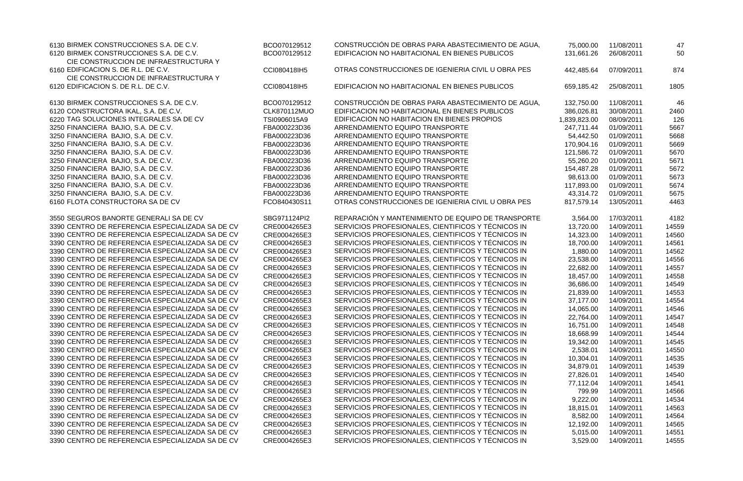| 6130 BIRMEK CONSTRUCCIONES S.A. DE C.V.          | BCO070129512        | CONSTRUCCIÓN DE OBRAS PARA ABASTECIMIENTO DE AGUA,                                                       | 75,000.00              | 11/08/2011               | 47    |
|--------------------------------------------------|---------------------|----------------------------------------------------------------------------------------------------------|------------------------|--------------------------|-------|
| 6120 BIRMEK CONSTRUCCIONES S.A. DE C.V.          | BCO070129512        | EDIFICACION NO HABITACIONAL EN BIENES PUBLICOS                                                           | 131,661.26             | 26/08/2011               | 50    |
| CIE CONSTRUCCION DE INFRAESTRUCTURA Y            |                     |                                                                                                          |                        |                          |       |
| 6160 EDIFICACION S. DE R.L. DE C.V.              | CCI080418IH5        | OTRAS CONSTRUCCIONES DE IGENIERIA CIVIL U OBRA PES                                                       | 442,485.64             | 07/09/2011               | 874   |
| CIE CONSTRUCCION DE INFRAESTRUCTURA Y            |                     |                                                                                                          |                        |                          |       |
| 6120 EDIFICACION S. DE R.L. DE C.V.              | CCI080418IH5        | EDIFICACION NO HABITACIONAL EN BIENES PUBLICOS                                                           | 659,185.42             | 25/08/2011               | 1805  |
| 6130 BIRMEK CONSTRUCCIONES S.A. DE C.V.          | BCO070129512        | CONSTRUCCIÓN DE OBRAS PARA ABASTECIMIENTO DE AGUA,                                                       | 132,750.00             | 11/08/2011               | 46    |
| 6120 CONSTRUCTORA IKAL, S.A. DE C.V.             | <b>CLK870112MUO</b> | EDIFICACION NO HABITACIONAL EN BIENES PUBLICOS                                                           | 386,026.81             | 30/08/2011               | 2460  |
| 6220 TAG SOLUCIONES INTEGRALES SA DE CV          | TSI0906015A9        | EDIFICACIÓN NO HABITACION EN BIENES PROPIOS                                                              | 1,839,823.00           | 08/09/2011               | 126   |
| 3250 FINANCIERA BAJIO, S.A. DE C.V.              | FBA000223D36        | ARRENDAMIENTO EQUIPO TRANSPORTE                                                                          | 247,711.44             | 01/09/2011               | 5667  |
| 3250 FINANCIERA BAJIO, S.A. DE C.V.              | FBA000223D36        | ARRENDAMIENTO EQUIPO TRANSPORTE                                                                          | 54,442.50              | 01/09/2011               | 5668  |
| 3250 FINANCIERA BAJIO, S.A. DE C.V.              | FBA000223D36        | ARRENDAMIENTO EQUIPO TRANSPORTE                                                                          | 170,904.16             | 01/09/2011               | 5669  |
| 3250 FINANCIERA BAJIO, S.A. DE C.V.              | FBA000223D36        | ARRENDAMIENTO EQUIPO TRANSPORTE                                                                          | 121,586.72             | 01/09/2011               | 5670  |
| 3250 FINANCIERA BAJIO, S.A. DE C.V.              | FBA000223D36        | ARRENDAMIENTO EQUIPO TRANSPORTE                                                                          | 55,260.20              | 01/09/2011               | 5671  |
| 3250 FINANCIERA BAJIO, S.A. DE C.V.              | FBA000223D36        | ARRENDAMIENTO EQUIPO TRANSPORTE                                                                          | 154,487.28             | 01/09/2011               | 5672  |
| 3250 FINANCIERA BAJIO, S.A. DE C.V.              | FBA000223D36        | ARRENDAMIENTO EQUIPO TRANSPORTE                                                                          | 98,613.00              | 01/09/2011               | 5673  |
| 3250 FINANCIERA BAJIO, S.A. DE C.V.              | FBA000223D36        | ARRENDAMIENTO EQUIPO TRANSPORTE                                                                          | 117,893.00             | 01/09/2011               | 5674  |
| 3250 FINANCIERA BAJIO, S.A. DE C.V.              | FBA000223D36        | ARRENDAMIENTO EQUIPO TRANSPORTE                                                                          | 43,314.72              | 01/09/2011               | 5675  |
| 6160 FLOTA CONSTRUCTORA SA DE CV                 | FCO840430S11        | OTRAS CONSTRUCCIONES DE IGENIERIA CIVIL U OBRA PES                                                       | 817,579.14             | 13/05/2011               | 4463  |
| 3550 SEGUROS BANORTE GENERALI SA DE CV           | SBG971124PI2        | REPARACIÓN Y MANTENIMIENTO DE EQUIPO DE TRANSPORTE                                                       | 3,564.00               | 17/03/2011               | 4182  |
| 3390 CENTRO DE REFERENCIA ESPECIALIZADA SA DE CV | CRE0004265E3        | SERVICIOS PROFESIONALES, CIENTIFICOS Y TÉCNICOS IN                                                       | 13,720.00              | 14/09/2011               | 14559 |
| 3390 CENTRO DE REFERENCIA ESPECIALIZADA SA DE CV | CRE0004265E3        | SERVICIOS PROFESIONALES, CIENTIFICOS Y TÉCNICOS IN                                                       | 14,323.00              | 14/09/2011               | 14560 |
| 3390 CENTRO DE REFERENCIA ESPECIALIZADA SA DE CV | CRE0004265E3        | SERVICIOS PROFESIONALES, CIENTIFICOS Y TÉCNICOS IN                                                       | 18,700.00              | 14/09/2011               | 14561 |
| 3390 CENTRO DE REFERENCIA ESPECIALIZADA SA DE CV | CRE0004265E3        | SERVICIOS PROFESIONALES, CIENTIFICOS Y TÉCNICOS IN                                                       | 1,880.00               | 14/09/2011               | 14562 |
| 3390 CENTRO DE REFERENCIA ESPECIALIZADA SA DE CV | CRE0004265E3        | SERVICIOS PROFESIONALES, CIENTIFICOS Y TÉCNICOS IN                                                       | 23,538.00              | 14/09/2011               | 14556 |
| 3390 CENTRO DE REFERENCIA ESPECIALIZADA SA DE CV | CRE0004265E3        | SERVICIOS PROFESIONALES, CIENTIFICOS Y TÉCNICOS IN                                                       | 22,682.00              | 14/09/2011               | 14557 |
| 3390 CENTRO DE REFERENCIA ESPECIALIZADA SA DE CV | CRE0004265E3        | SERVICIOS PROFESIONALES, CIENTIFICOS Y TÉCNICOS IN                                                       | 18,457.00              | 14/09/2011               | 14558 |
| 3390 CENTRO DE REFERENCIA ESPECIALIZADA SA DE CV | CRE0004265E3        | SERVICIOS PROFESIONALES, CIENTIFICOS Y TÉCNICOS IN                                                       | 36,686.00              | 14/09/2011               | 14549 |
| 3390 CENTRO DE REFERENCIA ESPECIALIZADA SA DE CV | CRE0004265E3        | SERVICIOS PROFESIONALES, CIENTIFICOS Y TÉCNICOS IN                                                       |                        |                          | 14553 |
| 3390 CENTRO DE REFERENCIA ESPECIALIZADA SA DE CV | CRE0004265E3        | SERVICIOS PROFESIONALES, CIENTIFICOS Y TÉCNICOS IN                                                       | 21,839.00              | 14/09/2011<br>14/09/2011 | 14554 |
| 3390 CENTRO DE REFERENCIA ESPECIALIZADA SA DE CV |                     | SERVICIOS PROFESIONALES, CIENTIFICOS Y TÉCNICOS IN                                                       | 37,177.00<br>14.065.00 |                          |       |
|                                                  | CRE0004265E3        |                                                                                                          |                        | 14/09/2011               | 14546 |
| 3390 CENTRO DE REFERENCIA ESPECIALIZADA SA DE CV | CRE0004265E3        | SERVICIOS PROFESIONALES, CIENTIFICOS Y TÉCNICOS IN                                                       | 22,764.00              | 14/09/2011               | 14547 |
| 3390 CENTRO DE REFERENCIA ESPECIALIZADA SA DE CV | CRE0004265E3        | SERVICIOS PROFESIONALES, CIENTIFICOS Y TÉCNICOS IN<br>SERVICIOS PROFESIONALES, CIENTIFICOS Y TÉCNICOS IN | 16,751.00              | 14/09/2011               | 14548 |
| 3390 CENTRO DE REFERENCIA ESPECIALIZADA SA DE CV | CRE0004265E3        |                                                                                                          | 18,668.99              | 14/09/2011               | 14544 |
| 3390 CENTRO DE REFERENCIA ESPECIALIZADA SA DE CV | CRE0004265E3        | SERVICIOS PROFESIONALES, CIENTIFICOS Y TÉCNICOS IN                                                       | 19,342.00              | 14/09/2011               | 14545 |
| 3390 CENTRO DE REFERENCIA ESPECIALIZADA SA DE CV | CRE0004265E3        | SERVICIOS PROFESIONALES, CIENTIFICOS Y TÉCNICOS IN                                                       | 2,538.01               | 14/09/2011               | 14550 |
| 3390 CENTRO DE REFERENCIA ESPECIALIZADA SA DE CV | CRE0004265E3        | SERVICIOS PROFESIONALES, CIENTIFICOS Y TÉCNICOS IN                                                       | 10,304.01              | 14/09/2011               | 14535 |
| 3390 CENTRO DE REFERENCIA ESPECIALIZADA SA DE CV | CRE0004265E3        | SERVICIOS PROFESIONALES, CIENTIFICOS Y TÉCNICOS IN                                                       | 34,879.01              | 14/09/2011               | 14539 |
| 3390 CENTRO DE REFERENCIA ESPECIALIZADA SA DE CV | CRE0004265E3        | SERVICIOS PROFESIONALES, CIENTIFICOS Y TÉCNICOS IN                                                       | 27,826.01              | 14/09/2011               | 14540 |
| 3390 CENTRO DE REFERENCIA ESPECIALIZADA SA DE CV | CRE0004265E3        | SERVICIOS PROFESIONALES, CIENTIFICOS Y TÉCNICOS IN                                                       | 77,112.04              | 14/09/2011               | 14541 |
| 3390 CENTRO DE REFERENCIA ESPECIALIZADA SA DE CV | CRE0004265E3        | SERVICIOS PROFESIONALES, CIENTIFICOS Y TÉCNICOS IN                                                       | 799.99                 | 14/09/2011               | 14566 |
| 3390 CENTRO DE REFERENCIA ESPECIALIZADA SA DE CV | CRE0004265E3        | SERVICIOS PROFESIONALES, CIENTIFICOS Y TÉCNICOS IN                                                       | 9,222.00               | 14/09/2011               | 14534 |
| 3390 CENTRO DE REFERENCIA ESPECIALIZADA SA DE CV | CRE0004265E3        | SERVICIOS PROFESIONALES, CIENTIFICOS Y TÉCNICOS IN                                                       | 18,815.01              | 14/09/2011               | 14563 |
| 3390 CENTRO DE REFERENCIA ESPECIALIZADA SA DE CV | CRE0004265E3        | SERVICIOS PROFESIONALES, CIENTIFICOS Y TÉCNICOS IN                                                       | 8,582.00               | 14/09/2011               | 14564 |
| 3390 CENTRO DE REFERENCIA ESPECIALIZADA SA DE CV | CRE0004265E3        | SERVICIOS PROFESIONALES, CIENTIFICOS Y TÉCNICOS IN                                                       | 12,192.00              | 14/09/2011               | 14565 |
| 3390 CENTRO DE REFERENCIA ESPECIALIZADA SA DE CV | CRE0004265E3        | SERVICIOS PROFESIONALES, CIENTIFICOS Y TÉCNICOS IN                                                       | 5,015.00               | 14/09/2011               | 14551 |
| 3390 CENTRO DE REFERENCIA ESPECIALIZADA SA DE CV | CRE0004265E3        | SERVICIOS PROFESIONALES, CIENTIFICOS Y TÉCNICOS IN                                                       | 3,529.00               | 14/09/2011               | 14555 |

| 75,000.00    | 11/08/2011 | 47    |
|--------------|------------|-------|
| 131,661.26   | 26/08/2011 | 50    |
|              | 07/09/2011 | 874   |
| 442,485.64   |            |       |
| 659,185.42   | 25/08/2011 | 1805  |
| 132,750.00   | 11/08/2011 | 46    |
| 386,026.81   | 30/08/2011 | 2460  |
| 1,839,823.00 | 08/09/2011 | 126   |
| 247,711.44   | 01/09/2011 | 5667  |
| 54,442.50    | 01/09/2011 | 5668  |
| 170,904.16   | 01/09/2011 | 5669  |
| 121,586.72   | 01/09/2011 | 5670  |
| 55,260.20    | 01/09/2011 | 5671  |
| 154,487.28   | 01/09/2011 | 5672  |
| 98,613.00    | 01/09/2011 | 5673  |
| 117,893.00   | 01/09/2011 | 5674  |
| 43,314.72    | 01/09/2011 | 5675  |
| 817,579.14   | 13/05/2011 | 4463  |
| 3,564.00     | 17/03/2011 | 4182  |
| 13,720.00    | 14/09/2011 | 14559 |
| 14,323.00    | 14/09/2011 | 14560 |
| 18,700.00    | 14/09/2011 | 14561 |
| 1,880.00     | 14/09/2011 | 14562 |
| 23,538.00    | 14/09/2011 | 14556 |
| 22,682.00    | 14/09/2011 | 14557 |
| 18,457.00    | 14/09/2011 | 14558 |
| 36,686.00    | 14/09/2011 | 14549 |
| 21,839.00    | 14/09/2011 | 14553 |
| 37,177.00    | 14/09/2011 | 14554 |
| 14,065.00    | 14/09/2011 | 14546 |
| 22,764.00    | 14/09/2011 | 14547 |
| 16,751.00    | 14/09/2011 | 14548 |
| 18,668.99    | 14/09/2011 | 14544 |
| 19,342.00    | 14/09/2011 | 14545 |
| 2,538.01     | 14/09/2011 | 14550 |
| 10,304.01    | 14/09/2011 | 14535 |
| 34,879.01    | 14/09/2011 | 14539 |
| 27,826.01    | 14/09/2011 | 14540 |
| 77,112.04    | 14/09/2011 | 14541 |
| 799.99       | 14/09/2011 | 14566 |
| 9,222.00     | 14/09/2011 | 14534 |
| 18,815.01    | 14/09/2011 | 14563 |
| 8,582.00     | 14/09/2011 | 14564 |
| 12,192.00    | 14/09/2011 | 14565 |
| 5,015.00     | 14/09/2011 | 14551 |
| 3,529.00     | 14/09/2011 | 14555 |